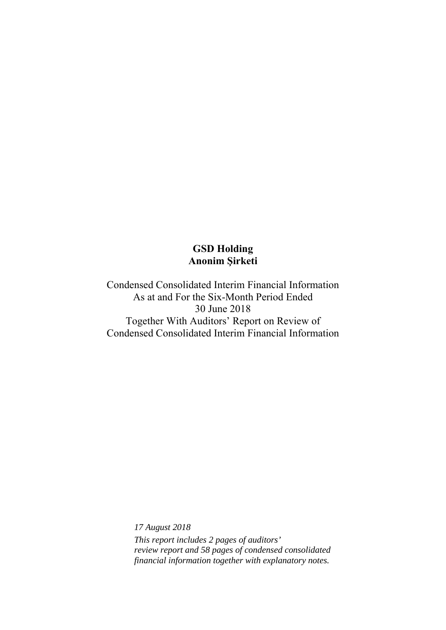Condensed Consolidated Interim Financial Information As at and For the Six-Month Period Ended 30 June 2018 Together With Auditors' Report on Review of Condensed Consolidated Interim Financial Information

> *17 August 2018 This report includes 2 pages of auditors' review report and 58 pages of condensed consolidated financial information together with explanatory notes.*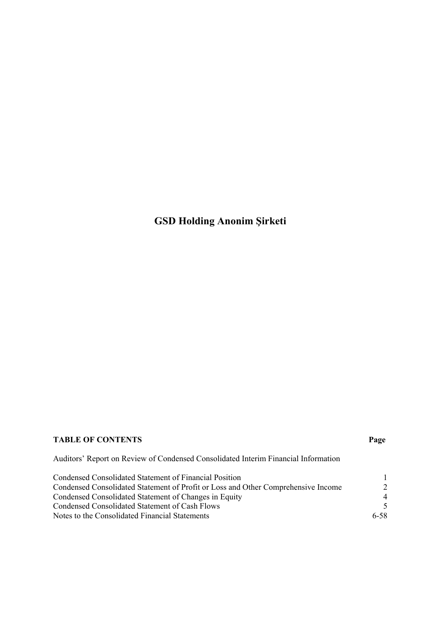## **TABLE OF CONTENTS Page**

Auditors' Report on Review of Condensed Consolidated Interim Financial Information

| Condensed Consolidated Statement of Financial Position                            |                |
|-----------------------------------------------------------------------------------|----------------|
| Condensed Consolidated Statement of Profit or Loss and Other Comprehensive Income | $\mathcal{L}$  |
| Condensed Consolidated Statement of Changes in Equity                             | $\overline{4}$ |
| Condensed Consolidated Statement of Cash Flows                                    | $\sim$         |
| Notes to the Consolidated Financial Statements                                    | 6-58           |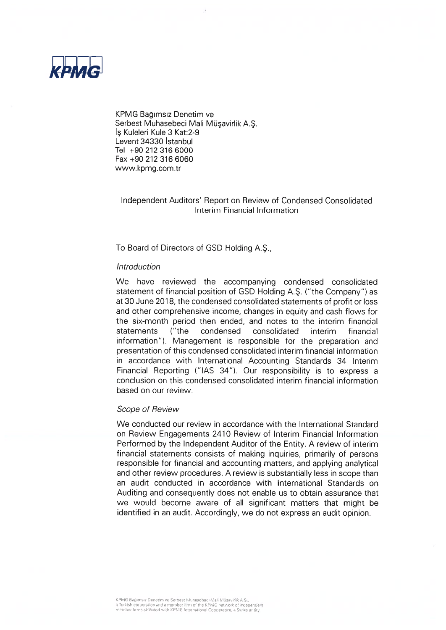

KPMG Bağımsız Denetim ve Serbest Muhasebeci Mali Müsavirlik A.S. Is Kuleleri Kule 3 Kat:2-9 Levent 34330 Istanbul Tel +90 212 316 6000 Fax +90 212 316 6060 www.kpmg.com.tr

### Independent Auditors' Report on Review of Condensed Consolidated Interim Financial Information

To Board of Directors of GSD Holding A.S.,

#### Introduction

We have reviewed the accompanying condensed consolidated statement of financial position of GSD Holding A.S. ("the Company") as at 30 June 2018, the condensed consolidated statements of profit or loss and other comprehensive income, changes in equity and cash flows for the six-month period then ended, and notes to the interim financial statements  $(''$ the condensed consolidated interim financial information"). Management is responsible for the preparation and presentation of this condensed consolidated interim financial information in accordance with International Accounting Standards 34 Interim Financial Reporting ("IAS 34"). Our responsibility is to express a conclusion on this condensed consolidated interim financial information based on our review.

#### Scope of Review

We conducted our review in accordance with the International Standard on Review Engagements 2410 Review of Interim Financial Information Performed by the Independent Auditor of the Entity. A review of interim financial statements consists of making inquiries, primarily of persons responsible for financial and accounting matters, and applying analytical and other review procedures. A review is substantially less in scope than an audit conducted in accordance with International Standards on Auditing and consequently does not enable us to obtain assurance that we would become aware of all significant matters that might be identified in an audit. Accordingly, we do not express an audit opinion.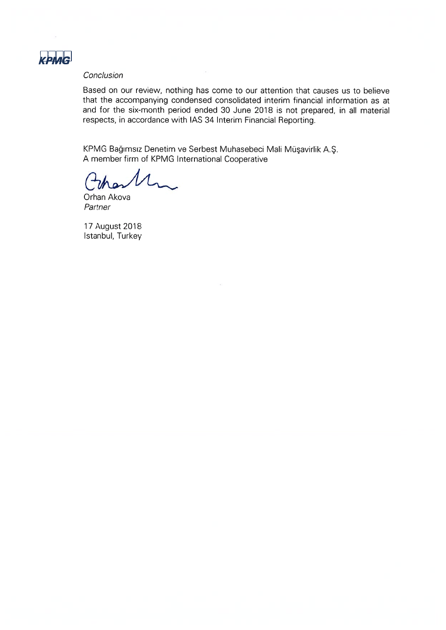

#### Conclusion

Based on our review, nothing has come to our attention that causes us to believe that the accompanying condensed consolidated interim financial information as at and for the six-month period ended 30 June 2018 is not prepared, in all material respects, in accordance with IAS 34 Interim Financial Reporting.

KPMG Bağımsız Denetim ve Serbest Muhasebeci Mali Müşavirlik A.Ş. A member firm of KPMG International Cooperative

Orhan Akova Partner

17 August 2018 Istanbul, Turkey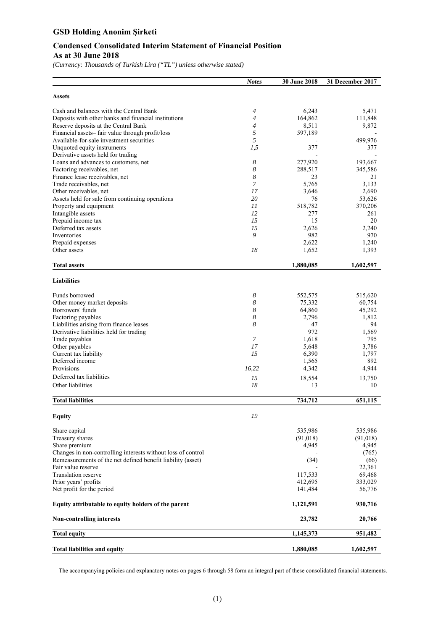### **Condensed Consolidated Interim Statement of Financial Position As at 30 June 2018**

*(Currency: Thousands of Turkish Lira ("TL") unless otherwise stated)* 

|                                                              | <b>Notes</b>   | <b>30 June 2018</b> | 31 December 2017 |
|--------------------------------------------------------------|----------------|---------------------|------------------|
| <b>Assets</b>                                                |                |                     |                  |
| Cash and balances with the Central Bank                      | $\overline{4}$ | 6,243               | 5,471            |
| Deposits with other banks and financial institutions         | $\overline{4}$ | 164,862             | 111,848          |
| Reserve deposits at the Central Bank                         | $\overline{4}$ | 8,511               | 9,872            |
| Financial assets-fair value through profit/loss              | 5              | 597,189             |                  |
| Available-for-sale investment securities                     | 5              |                     | 499,976          |
| Unquoted equity instruments                                  | 1,5            | 377                 | 377              |
| Derivative assets held for trading                           |                |                     |                  |
| Loans and advances to customers, net                         | 8              | 277,920             | 193,667          |
| Factoring receivables, net                                   | 8              | 288,517             | 345,586          |
| Finance lease receivables, net                               | 8              | 23                  | 21               |
| Trade receivables, net                                       | 7              | 5,765               | 3,133            |
| Other receivables, net                                       | 17             | 3,646               | 2,690            |
| Assets held for sale from continuing operations              | 20             | 76                  | 53,626           |
| Property and equipment                                       | 11             | 518,782             | 370,206          |
| Intangible assets                                            | 12             | 277                 | 261              |
| Prepaid income tax                                           | 15             | 15                  | 20               |
| Deferred tax assets                                          | 15             | 2,626               | 2,240            |
| Inventories                                                  | 9              | 982                 | 970              |
| Prepaid expenses                                             |                | 2,622               | 1,240            |
| Other assets                                                 | 18             | 1,652               | 1,393            |
| <b>Total assets</b>                                          |                | 1,880,085           | 1,602,597        |
| <b>Liabilities</b>                                           |                |                     |                  |
| Funds borrowed                                               | 8              | 552,575             | 515,620          |
| Other money market deposits                                  | 8              | 75,332              | 60,754           |
| Borrowers' funds                                             | 8              | 64,860              | 45,292           |
| Factoring payables                                           | 8              | 2,796               | 1,812            |
| Liabilities arising from finance leases                      | 8              | 47                  | 94               |
| Derivative liabilities held for trading                      |                | 972                 | 1,569            |
| Trade payables                                               | $\overline{7}$ | 1,618               | 795              |
| Other payables                                               | 17             | 5,648               | 3,786            |
| Current tax liability                                        | 15             | 6,390               | 1,797            |
| Deferred income                                              |                | 1,565               | 892              |
| Provisions                                                   | 16,22          | 4,342               | 4,944            |
| Deferred tax liabilities                                     |                |                     |                  |
| Other liabilities                                            | 15             | 18,554              | 13,750           |
|                                                              | 18             | 13                  | 10               |
| <b>Total liabilities</b>                                     |                | 734,712             | 651,115          |
| <b>Equity</b>                                                | 19             |                     |                  |
| Share capital                                                |                | 535,986             | 535,986          |
| Treasury shares                                              |                | (91,018)            | (91,018)         |
| Share premium                                                |                | 4,945               | 4,945            |
| Changes in non-controlling interests without loss of control |                |                     | (765)            |
| Remeasurements of the net defined benefit liability (asset)  |                | (34)                | (66)             |
| Fair value reserve                                           |                |                     | 22,361           |
| Translation reserve                                          |                | 117,533             | 69,468           |
| Prior years' profits                                         |                | 412,695             | 333,029          |
| Net profit for the period                                    |                | 141,484             | 56,776           |
| Equity attributable to equity holders of the parent          |                | 1,121,591           | 930,716          |
| <b>Non-controlling interests</b>                             |                | 23,782              | 20,766           |
| <b>Total equity</b>                                          |                | 1,145,373           | 951,482          |
| <b>Total liabilities and equity</b>                          |                | 1,880,085           | 1,602,597        |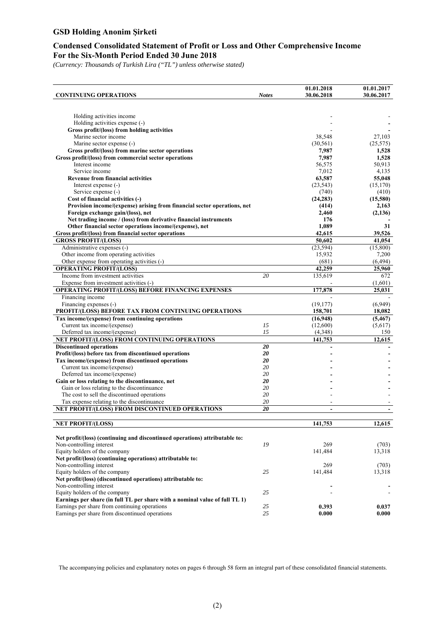### **Condensed Consolidated Statement of Profit or Loss and Other Comprehensive Income For the Six-Month Period Ended 30 June 2018**

*(Currency: Thousands of Turkish Lira ("TL") unless otherwise stated)* 

|                                                                                         |              | 01.01.2018                   | 01.01.2017         |
|-----------------------------------------------------------------------------------------|--------------|------------------------------|--------------------|
| <b>CONTINUING OPERATIONS</b>                                                            | <b>Notes</b> | 30.06.2018                   | 30.06.2017         |
|                                                                                         |              |                              |                    |
|                                                                                         |              |                              |                    |
| Holding activities income                                                               |              |                              |                    |
| Holding activities expense (-)                                                          |              |                              |                    |
| Gross profit/(loss) from holding activities<br>Marine sector income                     |              |                              |                    |
|                                                                                         |              | 38,548                       | 27,103             |
| Marine sector expense (-)<br>Gross profit/(loss) from marine sector operations          |              | (30, 561)<br>7,987           | (25, 575)<br>1,528 |
| Gross profit/(loss) from commercial sector operations                                   |              | 7,987                        | 1,528              |
| Interest income                                                                         |              | 56,575                       | 50,913             |
| Service income                                                                          |              | 7,012                        | 4,135              |
| <b>Revenue from financial activities</b>                                                |              | 63,587                       | 55,048             |
| Interest expense (-)                                                                    |              | (23, 543)                    | (15, 170)          |
| Service expense (-)                                                                     |              | (740)                        | (410)              |
| Cost of financial activities (-)                                                        |              | (24, 283)                    | (15,580)           |
| Provision income/(expense) arising from financial sector operations, net                |              | (414)                        | 2,163              |
| Foreign exchange gain/(loss), net                                                       |              | 2,460                        | (2,136)            |
| Net trading income / (loss) from derivative financial instruments                       |              | 176                          |                    |
| Other financial sector operations income/(expense), net                                 |              | 1,089                        | 31                 |
| Gross profit/(loss) from financial sector operations                                    |              | 42,615                       | 39,526             |
| <b>GROSS PROFIT/(LOSS)</b>                                                              |              | 50,602                       | 41,054             |
| Administrative expenses (-)                                                             |              | (23, 594)                    | (15,800)           |
| Other income from operating activities                                                  |              | 15,932                       | 7,200              |
| Other expense from operating activities (-)                                             |              | (681)                        | (6, 494)           |
| <b>OPERATING PROFIT/(LOSS)</b>                                                          |              | 42,259                       | 25,960             |
| Income from investment activities                                                       | 20           | 135,619                      | 672                |
| Expense from investment activities (-)                                                  |              |                              | (1,601)            |
| OPERATING PROFIT/(LOSS) BEFORE FINANCING EXPENSES                                       |              | 177,878                      | 25.031             |
| Financing income                                                                        |              |                              |                    |
| Financing expenses (-)                                                                  |              | (19, 177)                    | (6,949)            |
| PROFIT/(LOSS) BEFORE TAX FROM CONTINUING OPERATIONS                                     |              | 158,701                      | 18,082             |
| Tax income/(expense) from continuing operations                                         |              | (16,948)                     | (5, 467)           |
| Current tax income/(expense)                                                            | 15           | (12,600)                     | (5,617)            |
| Deferred tax income/(expense)                                                           | 15           | (4,348)                      | 150                |
| NET PROFIT/(LOSS) FROM CONTINUING OPERATIONS                                            |              | 141,753                      | 12,615             |
| <b>Discontinued operations</b><br>Profit/(loss) before tax from discontinued operations | 20           |                              |                    |
|                                                                                         | 20<br>20     |                              |                    |
| Tax income/(expense) from discontinued operations<br>Current tax income/(expense)       | 20           |                              |                    |
| Deferred tax income/(expense)                                                           | 20           |                              |                    |
| Gain or loss relating to the discontinuance, net                                        | 20           |                              |                    |
| Gain or loss relating to the discontinuance                                             | 20           |                              |                    |
| The cost to sell the discontinued operations                                            | 20           |                              |                    |
| Tax expense relating to the discontinuance                                              | 20           | $\blacksquare$               |                    |
| NET PROFIT/(LOSS) FROM DISCONTINUED OPERATIONS                                          | 20           | $\mathbf{r}$                 |                    |
|                                                                                         |              |                              |                    |
| <b>NET PROFIT/(LOSS)</b>                                                                |              | 141,753                      | 12,615             |
|                                                                                         |              |                              |                    |
| Net profit/(loss) (continuing and discontinued operations) attributable to:             |              |                              |                    |
| Non-controlling interest                                                                | 19           | 269                          | (703)              |
| Equity holders of the company                                                           |              | 141,484                      | 13,318             |
| Net profit/(loss) (continuing operations) attributable to:                              |              |                              |                    |
| Non-controlling interest                                                                |              | 269                          | (703)              |
| Equity holders of the company                                                           | 25           | 141,484                      | 13,318             |
| Net profit/(loss) (discontinued operations) attributable to:                            |              |                              |                    |
| Non-controlling interest                                                                |              | $\qquad \qquad \blacksquare$ |                    |
| Equity holders of the company                                                           | 25           |                              |                    |
| Earnings per share (in full TL per share with a nominal value of full TL 1)             |              |                              |                    |
| Earnings per share from continuing operations                                           | 25           | 0.393                        | 0.037              |
| Earnings per share from discontinued operations                                         | 25           | 0.000                        | 0.000              |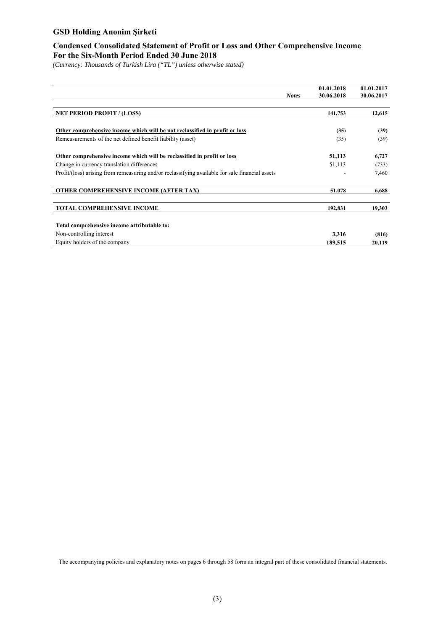### **Condensed Consolidated Statement of Profit or Loss and Other Comprehensive Income For the Six-Month Period Ended 30 June 2018**

*(Currency: Thousands of Turkish Lira ("TL") unless otherwise stated)* 

|                                                                                                 | <b>Notes</b> | 01.01.2018<br>30.06.2018 | 01.01.2017<br>30.06.2017 |
|-------------------------------------------------------------------------------------------------|--------------|--------------------------|--------------------------|
| <b>NET PERIOD PROFIT / (LOSS)</b>                                                               |              | 141,753                  | 12,615                   |
|                                                                                                 |              |                          |                          |
| Other comprehensive income which will be not reclassified in profit or loss                     |              | (35)                     | (39)                     |
| Remeasurements of the net defined benefit liability (asset)                                     |              | (35)                     | (39)                     |
| Other comprehensive income which will be reclassified in profit or loss                         |              | 51,113                   | 6,727                    |
| Change in currency translation differences                                                      |              | 51,113                   | (733)                    |
| Profit/(loss) arising from remeasuring and/or reclassifying available for sale financial assets |              |                          | 7,460                    |
| <b>OTHER COMPREHENSIVE INCOME (AFTER TAX)</b>                                                   |              | 51,078                   | 6,688                    |
| <b>TOTAL COMPREHENSIVE INCOME</b>                                                               |              | 192,831                  | 19,303                   |
| Total comprehensive income attributable to:                                                     |              |                          |                          |
| Non-controlling interest                                                                        |              | 3,316                    | (816)                    |
| Equity holders of the company                                                                   |              | 189,515                  | 20,119                   |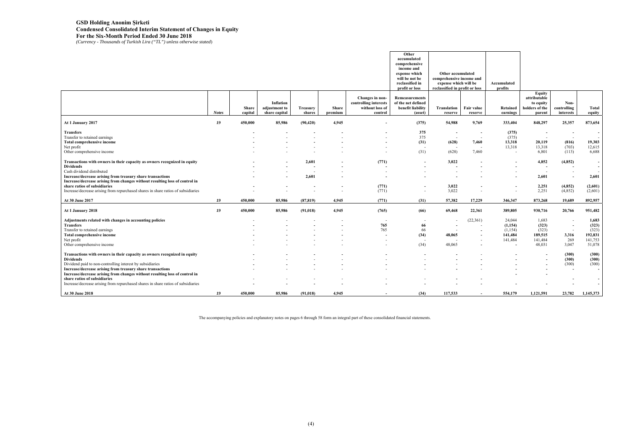# **GSD Holding Anonim Şirketi Condensed Consolidated Interim Statement of Changes in Equity For the Six-Month Period Ended 30 June 2018**  *(Currency - Thousands of Turkish Lira ("TL") unless otherwise stated*)

|                                                                                                                                           |              |                         |                                             |                           |                  |                                                                        | Other<br>accumulated<br>comprehensive<br>income and<br>expense which<br>will be not be<br>reclassified in<br>profit or loss | Other accumulated<br>comprehensive income and<br>expense which will be<br>reclassified in profit or loss |                       | Accumulated<br>profits   |                                                                 |                                  |                 |
|-------------------------------------------------------------------------------------------------------------------------------------------|--------------|-------------------------|---------------------------------------------|---------------------------|------------------|------------------------------------------------------------------------|-----------------------------------------------------------------------------------------------------------------------------|----------------------------------------------------------------------------------------------------------|-----------------------|--------------------------|-----------------------------------------------------------------|----------------------------------|-----------------|
|                                                                                                                                           | <b>Notes</b> | <b>Share</b><br>capital | Inflation<br>adjustment to<br>share capital | <b>Treasury</b><br>shares | Share<br>premium | Changes in non-<br>controlling interests<br>without loss of<br>control | <b>Remeasurements</b><br>of the net defined<br>benefit liability<br>(asset)                                                 | Translation<br>reserve                                                                                   | Fair value<br>reserve | Retained<br>earnings     | Equity<br>attributable<br>to equity<br>holders of the<br>parent | Non-<br>controlling<br>interests | Total<br>equity |
| At 1 January 2017                                                                                                                         | 19           | 450,000                 | 85,986                                      | (90, 420)                 | 4,945            |                                                                        | (375)                                                                                                                       | 54,988                                                                                                   | 9,769                 | 333,404                  | 848,297                                                         | 25,357                           | 873,654         |
| <b>Transfers</b>                                                                                                                          |              |                         |                                             |                           |                  |                                                                        | 375                                                                                                                         | $\sim$                                                                                                   |                       | (375)                    |                                                                 | $\overline{\phantom{a}}$         | $\sim$          |
| Transfer to retained earnings                                                                                                             |              |                         |                                             |                           |                  |                                                                        | 375                                                                                                                         | $\overline{\phantom{a}}$                                                                                 | $\sim$                | (375)                    | $\sim$                                                          | $\sim$                           | $\sim$          |
| <b>Total comprehensive income</b>                                                                                                         |              |                         |                                             |                           |                  |                                                                        | (31)                                                                                                                        | (628)                                                                                                    | 7,460                 | 13,318                   | 20,119                                                          | (816)                            | 19,303          |
| Net profit                                                                                                                                |              |                         |                                             |                           |                  |                                                                        | <b>.</b>                                                                                                                    |                                                                                                          |                       | 13,318                   | 13,318                                                          | (703)                            | 12,615          |
| Other comprehensive income                                                                                                                |              |                         |                                             |                           |                  |                                                                        | (31)                                                                                                                        | (628)                                                                                                    | 7,460                 | $\sim$                   | 6,801                                                           | (113)                            | 6,688           |
| Transactions with owners in their capacity as owners recognized in equity                                                                 |              |                         |                                             | 2,601                     |                  | (771)                                                                  |                                                                                                                             | 3,022                                                                                                    |                       |                          | 4,852                                                           | (4, 852)                         | $\sim$          |
| <b>Dividends</b>                                                                                                                          |              |                         |                                             | $\overline{\phantom{a}}$  |                  | $\overline{\phantom{a}}$                                               |                                                                                                                             | $\overline{\phantom{a}}$                                                                                 |                       | $\overline{\phantom{a}}$ | $\overline{\phantom{a}}$                                        | $\overline{\phantom{a}}$         | $\sim$          |
| Cash dividend distributed                                                                                                                 |              |                         |                                             | $\overline{a}$            |                  | $\sim$                                                                 |                                                                                                                             |                                                                                                          |                       |                          |                                                                 |                                  |                 |
| Increase/decrease arising from treasury share transactions<br>Increase/decrease arising from changes without resulting loss of control in |              |                         |                                             | 2,601                     |                  |                                                                        |                                                                                                                             |                                                                                                          |                       |                          | 2,601                                                           | $\overline{\phantom{a}}$         | 2,601           |
| share ratios of subsidiaries                                                                                                              |              |                         |                                             |                           |                  | (771)                                                                  | $\overline{\phantom{a}}$                                                                                                    | 3,022                                                                                                    |                       |                          | 2,251                                                           | (4, 852)                         | (2,601)         |
| Increase/decrease arising from repurchased shares in share ratios of subsidiaries                                                         |              |                         |                                             |                           |                  | (771)                                                                  | $\overline{\phantom{0}}$                                                                                                    | 3,022                                                                                                    |                       | $\overline{\phantom{a}}$ | 2,251                                                           | (4,852)                          | (2,601)         |
| At 30 June 2017                                                                                                                           | 19           | 450,000                 | 85,986                                      | (87, 819)                 | 4,945            | (771)                                                                  | (31)                                                                                                                        | 57,382                                                                                                   | 17,229                | 346,347                  | 873,268                                                         | 19,689                           | 892,957         |
| At 1 January 2018                                                                                                                         | 19           | 450,000                 | 85,986                                      | (91, 018)                 | 4,945            | (765)                                                                  | (66)                                                                                                                        | 69,468                                                                                                   | 22,361                | 389,805                  | 930,716                                                         | 20,766                           | 951,482         |
| Adjustments related with changes in accounting policies                                                                                   |              |                         |                                             |                           |                  |                                                                        |                                                                                                                             | $\overline{\phantom{a}}$                                                                                 | (22, 361)             | 24,044                   | 1,683                                                           |                                  | 1,683           |
| <b>Transfers</b>                                                                                                                          |              |                         |                                             |                           |                  | 765                                                                    | 66                                                                                                                          | $\overline{\phantom{a}}$                                                                                 |                       | (1,154)                  | (323)                                                           | $\overline{\phantom{a}}$         | (323)           |
| Transfer to retained earnings                                                                                                             |              |                         |                                             |                           |                  | 765                                                                    | 66                                                                                                                          | $\overline{a}$                                                                                           |                       | (1,154)                  | (323)                                                           | $\overline{a}$                   | (323)           |
|                                                                                                                                           |              |                         |                                             |                           |                  |                                                                        | (34)                                                                                                                        | 48,065                                                                                                   |                       | 141,484                  | 189,515                                                         | 3,316                            | 192,831         |
| Total comprehensive income<br>Net profit                                                                                                  |              |                         |                                             |                           |                  |                                                                        |                                                                                                                             |                                                                                                          |                       | 141,484                  | 141,484                                                         | 269                              | 141,753         |
| Other comprehensive income                                                                                                                |              |                         |                                             |                           |                  |                                                                        | (34)                                                                                                                        | 48,065                                                                                                   |                       |                          | 48,031                                                          | 3,047                            | 51,078          |
|                                                                                                                                           |              |                         |                                             |                           |                  |                                                                        |                                                                                                                             |                                                                                                          |                       |                          |                                                                 |                                  |                 |
| Transactions with owners in their capacity as owners recognized in equity                                                                 |              |                         |                                             |                           |                  |                                                                        |                                                                                                                             |                                                                                                          |                       |                          |                                                                 | (300)                            | (300)           |
| <b>Dividends</b>                                                                                                                          |              |                         |                                             |                           |                  |                                                                        |                                                                                                                             |                                                                                                          |                       |                          |                                                                 | (300)                            | (300)           |
| Dividend paid to non-controlling interest by subsidiaries                                                                                 |              |                         |                                             |                           |                  |                                                                        |                                                                                                                             |                                                                                                          |                       |                          |                                                                 | (300)                            | (300)           |
| Increase/decrease arising from treasury share transactions                                                                                |              |                         |                                             |                           |                  |                                                                        |                                                                                                                             |                                                                                                          |                       |                          |                                                                 | $\overline{a}$                   | $\sim$          |
| Increase/decrease arising from changes without resulting loss of control in                                                               |              |                         |                                             |                           |                  |                                                                        |                                                                                                                             |                                                                                                          |                       |                          |                                                                 |                                  |                 |
| share ratios of subsidiaries                                                                                                              |              |                         |                                             |                           |                  |                                                                        |                                                                                                                             |                                                                                                          |                       |                          |                                                                 |                                  | $\sim$          |
| Increase/decrease arising from repurchased shares in share ratios of subsidiaries                                                         |              |                         |                                             |                           |                  |                                                                        |                                                                                                                             |                                                                                                          |                       |                          |                                                                 |                                  | $\sim$          |
| At 30 June 2018                                                                                                                           | 19           | 450,000                 | 85,986                                      | (91, 018)                 | 4.945            |                                                                        | (34)                                                                                                                        | 117,533                                                                                                  |                       | 554,179                  | 1,121,591                                                       | 23,782                           | 1,145,373       |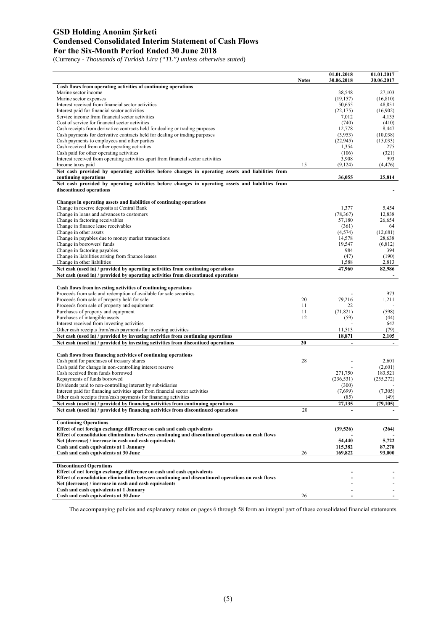### **GSD Holding Anonim Şirketi Condensed Consolidated Interim Statement of Cash Flows For the Six-Month Period Ended 30 June 2018**

(Currency - *Thousands of Turkish Lira ("TL") unless otherwise stated*)

|                                                                                                                                             |              | 01.01.2018           | 01.01.2017           |
|---------------------------------------------------------------------------------------------------------------------------------------------|--------------|----------------------|----------------------|
| Cash flows from operating activities of continuing operations                                                                               | <b>Notes</b> | 30.06.2018           | 30.06.2017           |
| Marine sector income                                                                                                                        |              | 38,548               | 27,103               |
| Marine sector expenses                                                                                                                      |              | (19, 157)            | (16, 810)            |
| Interest received from financial sector activities                                                                                          |              | 50,655               | 48,851               |
| Interest paid for financial sector activities                                                                                               |              | (22, 175)            | (16,902)             |
| Service income from financial sector activities                                                                                             |              | 7,012                | 4,135                |
| Cost of service for financial sector activities                                                                                             |              | (740)                | (410)                |
| Cash receipts from derivative contracts held for dealing or trading purposes                                                                |              | 12,778               | 8,447                |
| Cash payments for derivative contracts held for dealing or trading purposes<br>Cash payments to employees and other parties                 |              | (3,953)<br>(22, 945) | (10,038)<br>(15,033) |
| Cash received from other operating activities                                                                                               |              | 1,354                | 275                  |
| Cash paid for other operating activities                                                                                                    |              | (106)                | (321)                |
| Interest received from operating activities apart from financial sector activities                                                          |              | 3,908                | 993                  |
| Income taxes paid                                                                                                                           | 15           | (9,124)              | (4, 476)             |
| Net cash provided by operating activities before changes in operating assets and liabilities from                                           |              |                      |                      |
| continuing operations                                                                                                                       |              | 36,055               | 25,814               |
| Net cash provided by operating activities before changes in operating assets and liabilities from                                           |              |                      |                      |
| discontinued operations                                                                                                                     |              |                      |                      |
| Changes in operating assets and liabilities of continuing operations                                                                        |              |                      |                      |
| Change in reserve deposits at Central Bank                                                                                                  |              | 1,377                | 5,454                |
| Change in loans and advances to customers                                                                                                   |              | (78, 367)            | 12,838               |
| Change in factoring receivables                                                                                                             |              | 57,180               | 26,654               |
| Change in finance lease receivables                                                                                                         |              | (361)                | 64                   |
| Change in other assets                                                                                                                      |              | (4, 574)             | (12,681)             |
| Change in payables due to money market transactions                                                                                         |              | 14,578               | 28,638               |
| Change in borrowers' funds                                                                                                                  |              | 19,547               | (6, 812)             |
| Change in factoring payables                                                                                                                |              | 984                  | 394                  |
| Change in liabilities arising from finance leases<br>Change in other liabilities                                                            |              | (47)<br>1,588        | (190)<br>2,813       |
| Net cash (used in) / provided by operating activities from continuing operations                                                            |              | 47,960               | 82.986               |
| Net cash (used in) / provided by operating activities from discontinued operations                                                          |              |                      |                      |
|                                                                                                                                             |              |                      |                      |
| Cash flows from investing activities of continuing operations                                                                               |              |                      |                      |
| Proceeds from sale and redemption of available for sale securities                                                                          |              |                      | 973                  |
| Proceeds from sale of property held for sale                                                                                                | 20           | 79,216               | 1,211                |
| Proceeds from sale of property and equipment                                                                                                | 11           | 22                   |                      |
| Purchases of property and equipment                                                                                                         | 11           | (71, 821)            | (598)                |
| Purchases of intangible assets<br>Interest received from investing activities                                                               | 12           | (59)                 | (44)<br>642          |
| Other cash receipts from/cash payments for investing activities                                                                             |              | 11,513               | (79)                 |
| Net cash (used in) / provided by investing activities from continuing operations                                                            |              | 18,871               | 2,105                |
| Net cash (used in) / provided by investing activities from discontiued operations                                                           | 20           | $\blacksquare$       | $\blacksquare$       |
|                                                                                                                                             |              |                      |                      |
| Cash flows from financing activities of continuing operations                                                                               |              |                      |                      |
| Cash paid for purchases of treasury shares                                                                                                  | 28           |                      | 2,601                |
| Cash paid for change in non-controlling interest reserve                                                                                    |              |                      | (2,601)              |
| Cash received from funds borrowed                                                                                                           |              | 271,750              | 183,521              |
| Repayments of funds borrowed                                                                                                                |              | (236, 531)           | (255, 272)           |
| Dividends paid to non-controlling interest by subsidiaries<br>Interest paid for financing activities apart from financial sector activities |              | (300)<br>(7,699)     | (7,305)              |
| Other cash receipts from/cash payments for financing activities                                                                             |              | (85)                 | (49)                 |
| Net cash (used in) / provided by financing activities from continuing operations                                                            |              | 27,135               | (79, 105)            |
| Net cash (used in) / provided by financing activities from discontinued operations                                                          | 20           |                      |                      |
|                                                                                                                                             |              |                      |                      |
| <b>Continuing Operations</b>                                                                                                                |              |                      |                      |
| Effect of net foreign exchange difference on cash and cash equivalents                                                                      |              | (39,526)             | (264)                |
| Effect of consolidation eliminations between continuing and discontinued operations on cash flows                                           |              |                      |                      |
| Net (decrease) / increase in cash and cash equivalents                                                                                      |              | 54,440               | 5,722                |
| Cash and cash equivalents at 1 January                                                                                                      |              | 115,382              | 87,278               |
| Cash and cash equivalents at 30 June                                                                                                        | 26           | 169,822              | 93,000               |
|                                                                                                                                             |              |                      |                      |
| <b>Discontinued Operations</b><br>Effect of net foreign exchange difference on cash and cash equivalents                                    |              |                      |                      |
| Effect of consolidation eliminations between continuing and discontinued operations on cash flows                                           |              |                      |                      |
| Net (decrease) / increase in cash and cash equivalents                                                                                      |              |                      |                      |
| Cash and cash equivalents at 1 January                                                                                                      |              |                      |                      |
| Cash and cash equivalents at 30 June                                                                                                        | 26           |                      |                      |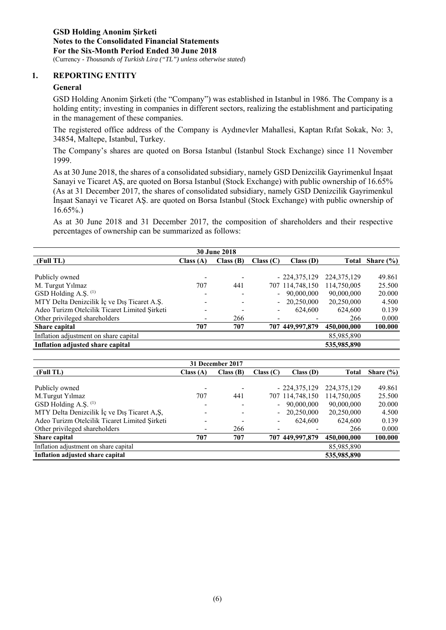#### **1. REPORTING ENTITY**

#### **General**

GSD Holding Anonim Şirketi (the "Company") was established in Istanbul in 1986. The Company is a holding entity; investing in companies in different sectors, realizing the establishment and participating in the management of these companies.

The registered office address of the Company is Aydınevler Mahallesi, Kaptan Rıfat Sokak, No: 3, 34854, Maltepe, Istanbul, Turkey.

The Company's shares are quoted on Borsa Istanbul (Istanbul Stock Exchange) since 11 November 1999.

As at 30 June 2018, the shares of a consolidated subsidiary, namely GSD Denizcilik Gayrimenkul İnşaat Sanayi ve Ticaret AŞ, are quoted on Borsa Istanbul (Stock Exchange) with public ownership of 16.65% (As at 31 December 2017, the shares of consolidated subsidiary, namely GSD Denizcilik Gayrimenkul İnşaat Sanayi ve Ticaret AŞ. are quoted on Borsa Istanbul (Stock Exchange) with public ownership of  $16.65\%$ )

As at 30 June 2018 and 31 December 2017, the composition of shareholders and their respective percentages of ownership can be summarized as follows:

| <b>30 June 2018</b>                           |          |          |           |                 |               |               |
|-----------------------------------------------|----------|----------|-----------|-----------------|---------------|---------------|
| (Full TL)                                     | Class(A) | Class(B) | Class (C) | Class(D)        | <b>Total</b>  | Share $(\% )$ |
|                                               |          |          |           |                 |               |               |
| Publicly owned                                |          |          |           | $-224,375,129$  | 224, 375, 129 | 49.861        |
| M. Turgut Yılmaz                              | 707      | 441      |           | 707 114,748,150 | 114,750,005   | 25.500        |
| GSD Holding A.S. (1)                          |          |          | $\sim$    | 90,000,000      | 90,000,000    | 20.000        |
| MTY Delta Denizcilik İç ve Dış Ticaret A.Ş.   |          |          |           | 20,250,000      | 20,250,000    | 4.500         |
| Adeo Turizm Otelcilik Ticaret Limited Şirketi |          |          |           | 624,600         | 624,600       | 0.139         |
| Other privileged shareholders                 |          | 266      |           |                 | 266           | 0.000         |
| Share capital                                 | 707      | 707      |           | 707 449,997,879 | 450,000,000   | 100.000       |
| Inflation adjustment on share capital         |          |          |           |                 | 85,985,890    |               |
| Inflation adjusted share capital              |          |          |           |                 | 535,985,890   |               |

| 31 December 2017                              |          |          |           |                 |               |               |
|-----------------------------------------------|----------|----------|-----------|-----------------|---------------|---------------|
| (Full TL)                                     | Class(A) | Class(B) | Class (C) | Class(D)        | <b>Total</b>  | Share $(\% )$ |
|                                               |          |          |           |                 |               |               |
| Publicly owned                                |          |          |           | $-224,375,129$  | 224, 375, 129 | 49.861        |
| M.Turgut Yilmaz                               | 707      | 441      |           | 707 114,748,150 | 114,750,005   | 25.500        |
| GSD Holding A.Ş. (1)                          |          |          | $\sim$    | 90,000,000      | 90,000,000    | 20.000        |
| MTY Delta Denizcilik İç ve Dış Ticaret A,Ş,   |          |          |           | 20,250,000      | 20,250,000    | 4.500         |
| Adeo Turizm Otelcilik Ticaret Limited Sirketi |          |          |           | 624,600         | 624,600       | 0.139         |
| Other privileged shareholders                 |          | 266      |           |                 | 266           | 0.000         |
| Share capital                                 | 707      | 707      |           | 707 449,997,879 | 450,000,000   | 100.000       |
| Inflation adjustment on share capital         |          |          |           |                 | 85,985,890    |               |
| Inflation adjusted share capital              |          |          |           |                 | 535,985,890   |               |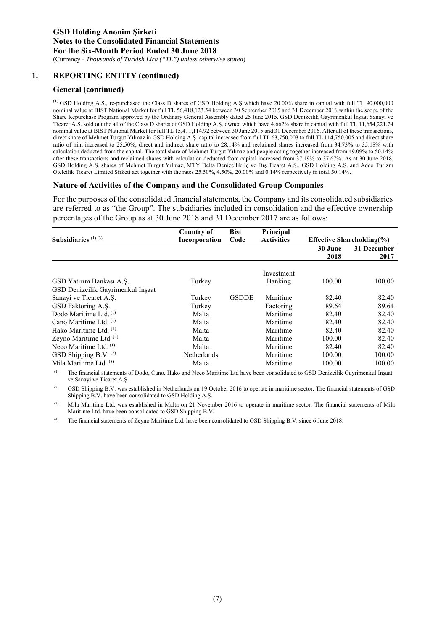### **1. REPORTING ENTITY (continued)**

#### **General (continued)**

(1) GSD Holding A.Ş., re-purchased the Class D shares of GSD Holding A.Ş which have 20.00% share in capital with full TL 90,000,000 nominal value at BIST National Market for full TL 56,418,123.54 between 30 September 2015 and 31 December 2016 within the scope of the Share Repurchase Program approved by the Ordinary General Assembly dated 25 June 2015. GSD Denizcilik Gayrimenkul İnşaat Sanayi ve Ticaret A.Ş. sold out the all of the Class D shares of GSD Holding A.Ş. owned which have 4.662% share in capital with full TL 11,654,221.74 nominal value at BIST National Market for full TL 15,411,114.92 between 30 June 2015 and 31 December 2016. After all of these transactions, direct share of Mehmet Turgut Yılmaz in GSD Holding A.Ş. capital increased from full TL 63,750,003 to full TL 114,750,005 and direct share ratio of him increased to 25.50%, direct and indirect share ratio to 28.14% and reclaimed shares increased from 34.73% to 35.18% with calculation deducted from the capital. The total share of Mehmet Turgut Yılmaz and people acting together increased from 49.09% to 50.14% after these transactions and reclaimed shares with calculation deducted from capital increased from 37.19% to 37.67%. As at 30 June 2018, GSD Holding A.Ş. shares of Mehmet Turgut Yılmaz, MTY Delta Denizcilik İç ve Dış Ticaret A.Ş., GSD Holding A.Ş. and Adeo Turizm Otelcilik Ticaret Limited Şirketi act together with the rates 25.50%, 4.50%, 20.00% and 0.14% respectively in total 50.14%.

#### **Nature of Activities of the Company and the Consolidated Group Companies**

For the purposes of the consolidated financial statements, the Company and its consolidated subsidiaries are referred to as "the Group". The subsidiaries included in consolidation and the effective ownership percentages of the Group as at 30 June 2018 and 31 December 2017 are as follows:

|                                    | <b>Country of</b> | <b>Bist</b>  | Principal         |         |                                |
|------------------------------------|-------------------|--------------|-------------------|---------|--------------------------------|
| Subsidiaries $(1)(3)$              | Incorporation     | Code         | <b>Activities</b> |         | Effective Shareholding $(\% )$ |
|                                    |                   |              |                   | 30 June | 31 December                    |
|                                    |                   |              |                   | 2018    | 2017                           |
|                                    |                   |              | Investment        |         |                                |
| GSD Yatırım Bankası A.Ş.           | Turkey            |              | Banking           | 100.00  | 100.00                         |
| GSD Denizcilik Gayrimenkul İnşaat  |                   |              |                   |         |                                |
| Sanayi ve Ticaret A.S.             | Turkey            | <b>GSDDE</b> | Maritime          | 82.40   | 82.40                          |
| GSD Faktoring A.S.                 | Turkey            |              | Factoring         | 89.64   | 89.64                          |
| Dodo Maritime Ltd. <sup>(1)</sup>  | Malta             |              | Maritime          | 82.40   | 82.40                          |
| Cano Maritime Ltd. (1)             | Malta             |              | Maritime          | 82.40   | 82.40                          |
| Hako Maritime Ltd. (1)             | Malta             |              | Maritime          | 82.40   | 82.40                          |
| Zeyno Maritime Ltd. <sup>(4)</sup> | Malta             |              | Maritime          | 100.00  | 82.40                          |
| Neco Maritime Ltd. $(1)$           | Malta             |              | Maritime          | 82.40   | 82.40                          |
| GSD Shipping B.V. $(2)$            | Netherlands       |              | Maritime          | 100.00  | 100.00                         |
| Mila Maritime Ltd. (3)             | Malta             |              | Maritime          | 100.00  | 100.00                         |

(1) The financial statements of Dodo, Cano, Hako and Neco Maritime Ltd have been consolidated to GSD Denizcilik Gayrimenkul İnşaat ve Sanayi ve Ticaret A.Ş.

(2) GSD Shipping B.V. was established in Netherlands on 19 October 2016 to operate in maritime sector. The financial statements of GSD Shipping B.V. have been consolidated to GSD Holding A.Ş.

(3) Mila Maritime Ltd. was established in Malta on 21 November 2016 to operate in maritime sector. The financial statements of Mila Maritime Ltd. have been consolidated to GSD Shipping B.V.

(4) The financial statements of Zeyno Maritime Ltd. have been consolidated to GSD Shipping B.V. since 6 June 2018.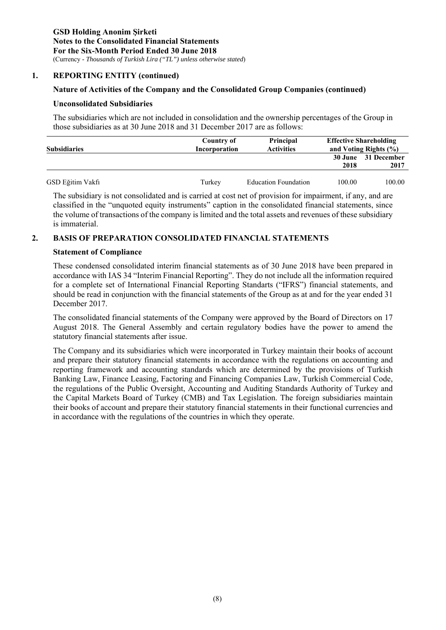#### **1. REPORTING ENTITY (continued)**

#### **Nature of Activities of the Company and the Consolidated Group Companies (continued)**

#### **Unconsolidated Subsidiaries**

The subsidiaries which are not included in consolidation and the ownership percentages of the Group in those subsidiaries as at 30 June 2018 and 31 December 2017 are as follows:

| <b>Subsidiaries</b> | Country of<br><b>Incorporation</b> | <b>Principal</b><br><b>Activities</b> | <b>Effective Shareholding</b><br>and Voting Rights $(\% )$ |                             |  |
|---------------------|------------------------------------|---------------------------------------|------------------------------------------------------------|-----------------------------|--|
|                     |                                    |                                       | 2018                                                       | 30 June 31 December<br>2017 |  |
| GSD Eğitim Vakfı    | Turkey                             | <b>Education Foundation</b>           | 100.00                                                     | 100.00                      |  |

The subsidiary is not consolidated and is carried at cost net of provision for impairment, if any, and are classified in the "unquoted equity instruments" caption in the consolidated financial statements, since the volume of transactions of the company is limited and the total assets and revenues of these subsidiary is immaterial.

#### **2. BASIS OF PREPARATION CONSOLIDATED FINANCIAL STATEMENTS**

#### **Statement of Compliance**

These condensed consolidated interim financial statements as of 30 June 2018 have been prepared in accordance with IAS 34 "Interim Financial Reporting". They do not include all the information required for a complete set of International Financial Reporting Standarts ("IFRS") financial statements, and should be read in conjunction with the financial statements of the Group as at and for the year ended 31 December 2017.

The consolidated financial statements of the Company were approved by the Board of Directors on 17 August 2018. The General Assembly and certain regulatory bodies have the power to amend the statutory financial statements after issue.

The Company and its subsidiaries which were incorporated in Turkey maintain their books of account and prepare their statutory financial statements in accordance with the regulations on accounting and reporting framework and accounting standards which are determined by the provisions of Turkish Banking Law, Finance Leasing, Factoring and Financing Companies Law, Turkish Commercial Code, the regulations of the Public Oversight, Accounting and Auditing Standards Authority of Turkey and the Capital Markets Board of Turkey (CMB) and Tax Legislation. The foreign subsidiaries maintain their books of account and prepare their statutory financial statements in their functional currencies and in accordance with the regulations of the countries in which they operate.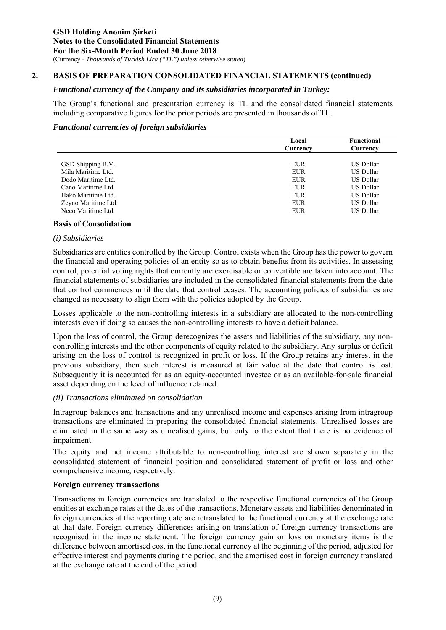### **2. BASIS OF PREPARATION CONSOLIDATED FINANCIAL STATEMENTS (continued)**

#### *Functional currency of the Company and its subsidiaries incorporated in Turkey:*

The Group's functional and presentation currency is TL and the consolidated financial statements including comparative figures for the prior periods are presented in thousands of TL.

#### *Functional currencies of foreign subsidiaries*

|                     | Local      | <b>Functional</b> |
|---------------------|------------|-------------------|
|                     | Currency   | Currency          |
|                     |            |                   |
| GSD Shipping B.V.   | EUR        | US Dollar         |
| Mila Maritime Ltd.  | <b>EUR</b> | <b>US Dollar</b>  |
| Dodo Maritime Ltd.  | <b>EUR</b> | US Dollar         |
| Cano Maritime Ltd.  | EUR        | US Dollar         |
| Hako Maritime Ltd.  | <b>EUR</b> | US Dollar         |
| Zeyno Maritime Ltd. | <b>EUR</b> | US Dollar         |
| Neco Maritime Ltd.  | <b>EUR</b> | <b>US Dollar</b>  |
|                     |            |                   |

#### **Basis of Consolidation**

#### *(i) Subsidiaries*

Subsidiaries are entities controlled by the Group. Control exists when the Group has the power to govern the financial and operating policies of an entity so as to obtain benefits from its activities. In assessing control, potential voting rights that currently are exercisable or convertible are taken into account. The financial statements of subsidiaries are included in the consolidated financial statements from the date that control commences until the date that control ceases. The accounting policies of subsidiaries are changed as necessary to align them with the policies adopted by the Group.

Losses applicable to the non-controlling interests in a subsidiary are allocated to the non-controlling interests even if doing so causes the non-controlling interests to have a deficit balance.

Upon the loss of control, the Group derecognizes the assets and liabilities of the subsidiary, any noncontrolling interests and the other components of equity related to the subsidiary. Any surplus or deficit arising on the loss of control is recognized in profit or loss. If the Group retains any interest in the previous subsidiary, then such interest is measured at fair value at the date that control is lost. Subsequently it is accounted for as an equity-accounted investee or as an available-for-sale financial asset depending on the level of influence retained.

#### *(ii) Transactions eliminated on consolidation*

Intragroup balances and transactions and any unrealised income and expenses arising from intragroup transactions are eliminated in preparing the consolidated financial statements. Unrealised losses are eliminated in the same way as unrealised gains, but only to the extent that there is no evidence of impairment.

The equity and net income attributable to non-controlling interest are shown separately in the consolidated statement of financial position and consolidated statement of profit or loss and other comprehensive income, respectively.

### **Foreign currency transactions**

Transactions in foreign currencies are translated to the respective functional currencies of the Group entities at exchange rates at the dates of the transactions. Monetary assets and liabilities denominated in foreign currencies at the reporting date are retranslated to the functional currency at the exchange rate at that date. Foreign currency differences arising on translation of foreign currency transactions are recognised in the income statement. The foreign currency gain or loss on monetary items is the difference between amortised cost in the functional currency at the beginning of the period, adjusted for effective interest and payments during the period, and the amortised cost in foreign currency translated at the exchange rate at the end of the period.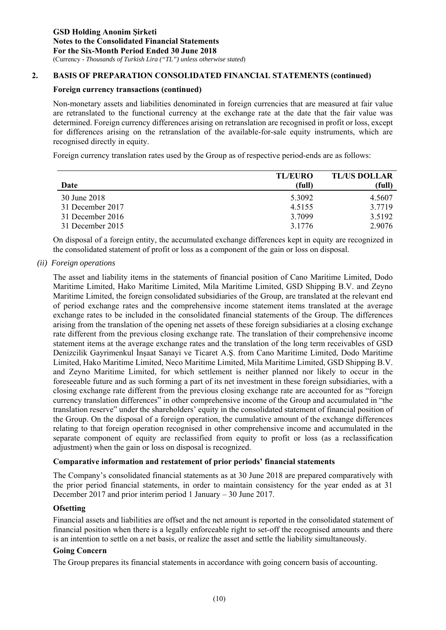### **2. BASIS OF PREPARATION CONSOLIDATED FINANCIAL STATEMENTS (continued)**

#### **Foreign currency transactions (continued)**

Non-monetary assets and liabilities denominated in foreign currencies that are measured at fair value are retranslated to the functional currency at the exchange rate at the date that the fair value was determined. Foreign currency differences arising on retranslation are recognised in profit or loss, except for differences arising on the retranslation of the available-for-sale equity instruments, which are recognised directly in equity.

Foreign currency translation rates used by the Group as of respective period-ends are as follows:

|                  | <b>TL/EURO</b> | <b>TL/US DOLLAR</b> |
|------------------|----------------|---------------------|
| Date             | (full)         | (full)              |
| 30 June 2018     | 5.3092         | 4.5607              |
| 31 December 2017 | 4.5155         | 3.7719              |
| 31 December 2016 | 3.7099         | 3.5192              |
| 31 December 2015 | 3.1776         | 2.9076              |

On disposal of a foreign entity, the accumulated exchange differences kept in equity are recognized in the consolidated statement of profit or loss as a component of the gain or loss on disposal.

*(ii) Foreign operations* 

The asset and liability items in the statements of financial position of Cano Maritime Limited, Dodo Maritime Limited, Hako Maritime Limited, Mila Maritime Limited, GSD Shipping B.V. and Zeyno Maritime Limited, the foreign consolidated subsidiaries of the Group, are translated at the relevant end of period exchange rates and the comprehensive income statement items translated at the average exchange rates to be included in the consolidated financial statements of the Group. The differences arising from the translation of the opening net assets of these foreign subsidiaries at a closing exchange rate different from the previous closing exchange rate. The translation of their comprehensive income statement items at the average exchange rates and the translation of the long term receivables of GSD Denizcilik Gayrimenkul İnşaat Sanayi ve Ticaret A.Ş. from Cano Maritime Limited, Dodo Maritime Limited, Hako Maritime Limited, Neco Maritime Limited, Mila Maritime Limited, GSD Shipping B.V. and Zeyno Maritime Limited, for which settlement is neither planned nor likely to occur in the foreseeable future and as such forming a part of its net investment in these foreign subsidiaries, with a closing exchange rate different from the previous closing exchange rate are accounted for as "foreign currency translation differences" in other comprehensive income of the Group and accumulated in "the translation reserve" under the shareholders' equity in the consolidated statement of financial position of the Group. On the disposal of a foreign operation, the cumulative amount of the exchange differences relating to that foreign operation recognised in other comprehensive income and accumulated in the separate component of equity are reclassified from equity to profit or loss (as a reclassification adjustment) when the gain or loss on disposal is recognized.

#### **Comparative information and restatement of prior periods' financial statements**

The Company's consolidated financial statements as at 30 June 2018 are prepared comparatively with the prior period financial statements, in order to maintain consistency for the year ended as at 31 December 2017 and prior interim period 1 January – 30 June 2017.

#### **Ofsetting**

Financial assets and liabilities are offset and the net amount is reported in the consolidated statement of financial position when there is a legally enforceable right to set-off the recognised amounts and there is an intention to settle on a net basis, or realize the asset and settle the liability simultaneously.

#### **Going Concern**

The Group prepares its financial statements in accordance with going concern basis of accounting.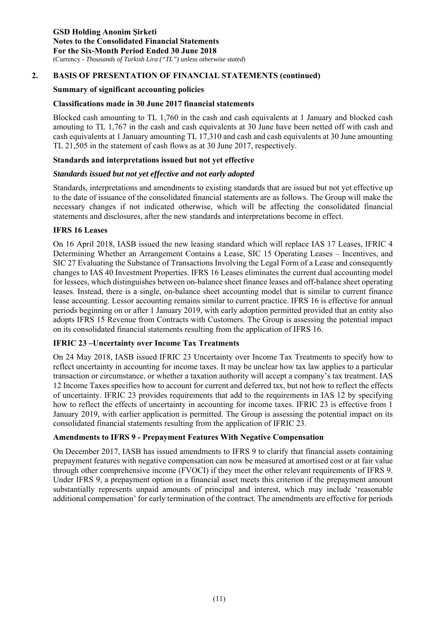#### **Summary of significant accounting policies**

#### **Classifications made in 30 June 2017 financial statements**

Blocked cash amounting to TL 1,760 in the cash and cash equivalents at 1 January and blocked cash amouting to TL 1,767 in the cash and cash equivalents at 30 June have been netted off with cash and cash equivalents at 1 January amounting TL 17,310 and cash and cash equivalents at 30 June amounting TL 21,505 in the statement of cash flows as at 30 June 2017, respectively.

### **Standards and interpretations issued but not yet effective**

#### *Standards issued but not yet effective and not early adopted*

Standards, interpretations and amendments to existing standards that are issued but not yet effective up to the date of issuance of the consolidated financial statements are as follows. The Group will make the necessary changes if not indicated otherwise, which will be affecting the consolidated financial statements and disclosures, after the new standards and interpretations become in effect.

#### **IFRS 16 Leases**

On 16 April 2018, IASB issued the new leasing standard which will replace IAS 17 Leases, IFRIC 4 Determining Whether an Arrangement Contains a Lease, SIC 15 Operating Leases – Incentives, and SIC 27 Evaluating the Substance of Transactions Involving the Legal Form of a Lease and consequently changes to IAS 40 Investment Properties. IFRS 16 Leases eliminates the current dual accounting model for lessees, which distinguishes between on-balance sheet finance leases and off-balance sheet operating leases. Instead, there is a single, on-balance sheet accounting model that is similar to current finance lease accounting. Lessor accounting remains similar to current practice. IFRS 16 is effective for annual periods beginning on or after 1 January 2019, with early adoption permitted provided that an entity also adopts IFRS 15 Revenue from Contracts with Customers. The Group is assessing the potential impact on its consolidated financial statements resulting from the application of IFRS 16.

#### **IFRIC 23 –Uncertainty over Income Tax Treatments**

On 24 May 2018, IASB issued IFRIC 23 Uncertainty over Income Tax Treatments to specify how to reflect uncertainty in accounting for income taxes. It may be unclear how tax law applies to a particular transaction or circumstance, or whether a taxation authority will accept a company's tax treatment. IAS 12 Income Taxes specifies how to account for current and deferred tax, but not how to reflect the effects of uncertainty. IFRIC 23 provides requirements that add to the requirements in IAS 12 by specifying how to reflect the effects of uncertainty in accounting for income taxes. IFRIC 23 is effective from 1 January 2019, with earlier application is permitted. The Group is assessing the potential impact on its consolidated financial statements resulting from the application of IFRIC 23.

#### **Amendments to IFRS 9 - Prepayment Features With Negative Compensation**

On December 2017, IASB has issued amendments to IFRS 9 to clarify that financial assets containing prepayment features with negative compensation can now be measured at amortised cost or at fair value through other comprehensive income (FVOCI) if they meet the other relevant requirements of IFRS 9. Under IFRS 9, a prepayment option in a financial asset meets this criterion if the prepayment amount substantially represents unpaid amounts of principal and interest, which may include 'reasonable additional compensation' for early termination of the contract. The amendments are effective for periods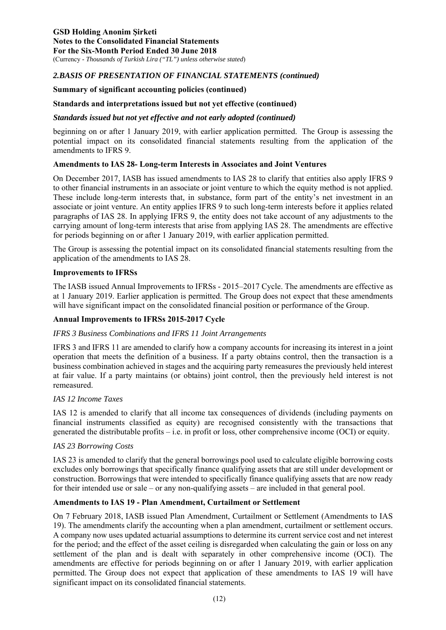#### **Summary of significant accounting policies (continued)**

### **Standards and interpretations issued but not yet effective (continued)**

#### *Standards issued but not yet effective and not early adopted (continued)*

beginning on or after 1 January 2019, with earlier application permitted. The Group is assessing the potential impact on its consolidated financial statements resulting from the application of the amendments to IFRS 9.

#### **Amendments to IAS 28- Long-term Interests in Associates and Joint Ventures**

On December 2017, IASB has issued amendments to IAS 28 to clarify that entities also apply IFRS 9 to other financial instruments in an associate or joint venture to which the equity method is not applied. These include long-term interests that, in substance, form part of the entity's net investment in an associate or joint venture. An entity applies IFRS 9 to such long-term interests before it applies related paragraphs of IAS 28. In applying IFRS 9, the entity does not take account of any adjustments to the carrying amount of long-term interests that arise from applying IAS 28. The amendments are effective for periods beginning on or after 1 January 2019, with earlier application permitted.

The Group is assessing the potential impact on its consolidated financial statements resulting from the application of the amendments to IAS 28.

#### **Improvements to IFRSs**

The IASB issued Annual Improvements to IFRSs - 2015–2017 Cycle. The amendments are effective as at 1 January 2019. Earlier application is permitted. The Group does not expect that these amendments will have significant impact on the consolidated financial position or performance of the Group.

#### **Annual Improvements to IFRSs 2015-2017 Cycle**

#### *IFRS 3 Business Combinations and IFRS 11 Joint Arrangements*

IFRS 3 and IFRS 11 are amended to clarify how a company accounts for increasing its interest in a joint operation that meets the definition of a business. If a party obtains control, then the transaction is a business combination achieved in stages and the acquiring party remeasures the previously held interest at fair value. If a party maintains (or obtains) joint control, then the previously held interest is not remeasured.

#### *IAS 12 Income Taxes*

IAS 12 is amended to clarify that all income tax consequences of dividends (including payments on financial instruments classified as equity) are recognised consistently with the transactions that generated the distributable profits – i.e. in profit or loss, other comprehensive income (OCI) or equity.

#### *IAS 23 Borrowing Costs*

IAS 23 is amended to clarify that the general borrowings pool used to calculate eligible borrowing costs excludes only borrowings that specifically finance qualifying assets that are still under development or construction. Borrowings that were intended to specifically finance qualifying assets that are now ready for their intended use or sale – or any non-qualifying assets – are included in that general pool.

#### **Amendments to IAS 19 - Plan Amendment, Curtailment or Settlement**

On 7 February 2018, IASB issued Plan Amendment, Curtailment or Settlement (Amendments to IAS 19). The amendments clarify the accounting when a plan amendment, curtailment or settlement occurs. A company now uses updated actuarial assumptions to determine its current service cost and net interest for the period; and the effect of the asset ceiling is disregarded when calculating the gain or loss on any settlement of the plan and is dealt with separately in other comprehensive income (OCI). The amendments are effective for periods beginning on or after 1 January 2019, with earlier application permitted. The Group does not expect that application of these amendments to IAS 19 will have significant impact on its consolidated financial statements.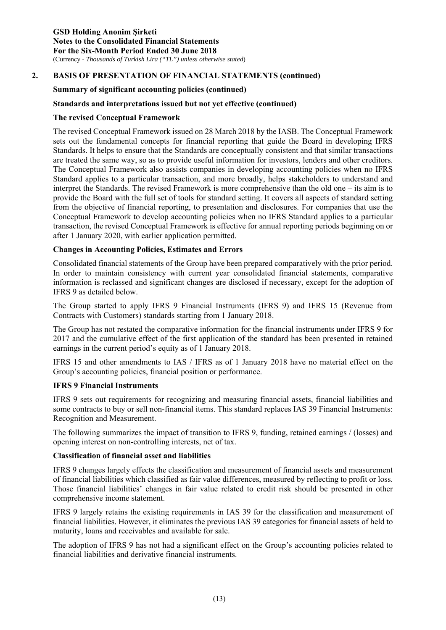#### **Summary of significant accounting policies (continued)**

### **Standards and interpretations issued but not yet effective (continued)**

#### **The revised Conceptual Framework**

The revised Conceptual Framework issued on 28 March 2018 by the IASB. The Conceptual Framework sets out the fundamental concepts for financial reporting that guide the Board in developing IFRS Standards. It helps to ensure that the Standards are conceptually consistent and that similar transactions are treated the same way, so as to provide useful information for investors, lenders and other creditors. The Conceptual Framework also assists companies in developing accounting policies when no IFRS Standard applies to a particular transaction, and more broadly, helps stakeholders to understand and interpret the Standards. The revised Framework is more comprehensive than the old one – its aim is to provide the Board with the full set of tools for standard setting. It covers all aspects of standard setting from the objective of financial reporting, to presentation and disclosures. For companies that use the Conceptual Framework to develop accounting policies when no IFRS Standard applies to a particular transaction, the revised Conceptual Framework is effective for annual reporting periods beginning on or after 1 January 2020, with earlier application permitted.

### **Changes in Accounting Policies, Estimates and Errors**

Consolidated financial statements of the Group have been prepared comparatively with the prior period. In order to maintain consistency with current year consolidated financial statements, comparative information is reclassed and significant changes are disclosed if necessary, except for the adoption of IFRS 9 as detailed below.

The Group started to apply IFRS 9 Financial Instruments (IFRS 9) and IFRS 15 (Revenue from Contracts with Customers) standards starting from 1 January 2018.

The Group has not restated the comparative information for the financial instruments under IFRS 9 for 2017 and the cumulative effect of the first application of the standard has been presented in retained earnings in the current period's equity as of 1 January 2018.

IFRS 15 and other amendments to IAS / IFRS as of 1 January 2018 have no material effect on the Group's accounting policies, financial position or performance.

#### **IFRS 9 Financial Instruments**

IFRS 9 sets out requirements for recognizing and measuring financial assets, financial liabilities and some contracts to buy or sell non-financial items. This standard replaces IAS 39 Financial Instruments: Recognition and Measurement.

The following summarizes the impact of transition to IFRS 9, funding, retained earnings / (losses) and opening interest on non-controlling interests, net of tax.

#### **Classification of financial asset and liabilities**

IFRS 9 changes largely effects the classification and measurement of financial assets and measurement of financial liabilities which classified as fair value differences, measured by reflecting to profit or loss. Those financial liabilities' changes in fair value related to credit risk should be presented in other comprehensive income statement.

IFRS 9 largely retains the existing requirements in IAS 39 for the classification and measurement of financial liabilities. However, it eliminates the previous IAS 39 categories for financial assets of held to maturity, loans and receivables and available for sale.

The adoption of IFRS 9 has not had a significant effect on the Group's accounting policies related to financial liabilities and derivative financial instruments.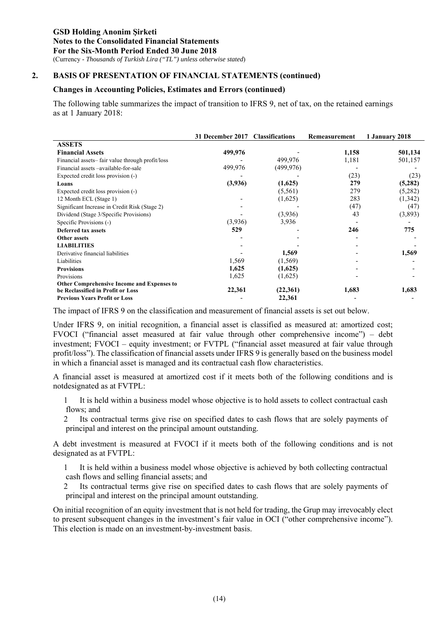#### **Changes in Accounting Policies, Estimates and Errors (continued)**

The following table summarizes the impact of transition to IFRS 9, net of tax, on the retained earnings as at 1 January 2018:

|                                                   | 31 December 2017 | <b>Classifications</b> | Remeasurement | 1 January 2018 |
|---------------------------------------------------|------------------|------------------------|---------------|----------------|
| <b>ASSETS</b>                                     |                  |                        |               |                |
| <b>Financial Assets</b>                           | 499,976          |                        | 1,158         | 501,134        |
| Financial assets-fair value through profit/loss   |                  | 499,976                | 1,181         | 501,157        |
| Financial assets -available-for-sale              | 499,976          | (499, 976)             |               |                |
| Expected credit loss provision (-)                |                  |                        | (23)          | (23)           |
| Loans                                             | (3,936)          | (1,625)                | 279           | (5,282)        |
| Expected credit loss provision (-)                |                  | (5, 561)               | 279           | (5,282)        |
| 12 Month ECL (Stage 1)                            |                  | (1,625)                | 283           | (1,342)        |
| Significant Increase in Credit Risk (Stage 2)     |                  |                        | (47)          | (47)           |
| Dividend (Stage 3/Specific Provisions)            |                  | (3,936)                | 43            | (3,893)        |
| Specific Provisions (-)                           | (3,936)          | 3,936                  |               |                |
| <b>Deferred tax assets</b>                        | 529              |                        | 246           | 775            |
| Other assets                                      |                  |                        |               |                |
| <b>LIABILITIES</b>                                |                  |                        |               |                |
| Derivative financial liabilities                  |                  | 1,569                  |               | 1,569          |
| Liabilities                                       | 1,569            | (1, 569)               |               |                |
| <b>Provisions</b>                                 | 1,625            | (1,625)                |               |                |
| Provisions                                        | 1,625            | (1,625)                |               |                |
| <b>Other Comprehensive Income and Expenses to</b> |                  |                        |               |                |
| be Reclassified in Profit or Loss                 | 22,361           | (22,361)               | 1,683         | 1,683          |
| <b>Previous Years Profit or Loss</b>              |                  | 22,361                 |               |                |

The impact of IFRS 9 on the classification and measurement of financial assets is set out below.

Under IFRS 9, on initial recognition, a financial asset is classified as measured at: amortized cost; FVOCI ("financial asset measured at fair value through other comprehensive income") – debt investment; FVOCI – equity investment; or FVTPL ("financial asset measured at fair value through profit/loss"). The classification of financial assets under IFRS 9 is generally based on the business model in which a financial asset is managed and its contractual cash flow characteristics.

A financial asset is measured at amortized cost if it meets both of the following conditions and is notdesignated as at FVTPL:

1 It is held within a business model whose objective is to hold assets to collect contractual cash flows; and

2 Its contractual terms give rise on specified dates to cash flows that are solely payments of principal and interest on the principal amount outstanding.

A debt investment is measured at FVOCI if it meets both of the following conditions and is not designated as at FVTPL:

1 It is held within a business model whose objective is achieved by both collecting contractual cash flows and selling financial assets; and

2 Its contractual terms give rise on specified dates to cash flows that are solely payments of principal and interest on the principal amount outstanding.

On initial recognition of an equity investment that is not held for trading, the Grup may irrevocably elect to present subsequent changes in the investment's fair value in OCI ("other comprehensive income"). This election is made on an investment-by-investment basis.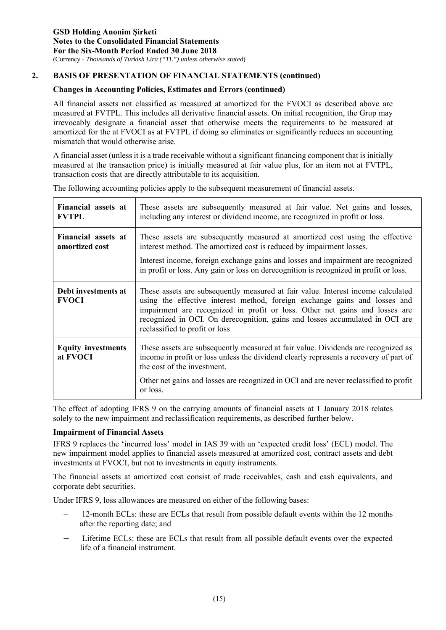### **Changes in Accounting Policies, Estimates and Errors (continued)**

All financial assets not classified as measured at amortized for the FVOCI as described above are measured at FVTPL. This includes all derivative financial assets. On initial recognition, the Grup may irrevocably designate a financial asset that otherwise meets the requirements to be measured at amortized for the at FVOCI as at FVTPL if doing so eliminates or significantly reduces an accounting mismatch that would otherwise arise.

A financial asset (unless it is a trade receivable without a significant financing component that is initially measured at the transaction price) is initially measured at fair value plus, for an item not at FVTPL, transaction costs that are directly attributable to its acquisition.

| Financial assets at<br><b>FVTPL</b>   | These assets are subsequently measured at fair value. Net gains and losses,<br>including any interest or dividend income, are recognized in profit or loss.                                                                                                                                                                                                     |
|---------------------------------------|-----------------------------------------------------------------------------------------------------------------------------------------------------------------------------------------------------------------------------------------------------------------------------------------------------------------------------------------------------------------|
| Financial assets at<br>amortized cost | These assets are subsequently measured at amortized cost using the effective<br>interest method. The amortized cost is reduced by impairment losses.<br>Interest income, foreign exchange gains and losses and impairment are recognized<br>in profit or loss. Any gain or loss on derecognition is recognized in profit or loss.                               |
| Debt investments at<br><b>FVOCI</b>   | These assets are subsequently measured at fair value. Interest income calculated<br>using the effective interest method, foreign exchange gains and losses and<br>impairment are recognized in profit or loss. Other net gains and losses are<br>recognized in OCI. On derecognition, gains and losses accumulated in OCI are<br>reclassified to profit or loss |
| <b>Equity investments</b><br>at FVOCI | These assets are subsequently measured at fair value. Dividends are recognized as<br>income in profit or loss unless the dividend clearly represents a recovery of part of<br>the cost of the investment.                                                                                                                                                       |
|                                       | Other net gains and losses are recognized in OCI and are never reclassified to profit<br>or loss.                                                                                                                                                                                                                                                               |

The following accounting policies apply to the subsequent measurement of financial assets.

The effect of adopting IFRS 9 on the carrying amounts of financial assets at 1 January 2018 relates solely to the new impairment and reclassification requirements, as described further below.

#### **Impairment of Financial Assets**

IFRS 9 replaces the 'incurred loss' model in IAS 39 with an 'expected credit loss' (ECL) model. The new impairment model applies to financial assets measured at amortized cost, contract assets and debt investments at FVOCI, but not to investments in equity instruments.

The financial assets at amortized cost consist of trade receivables, cash and cash equivalents, and corporate debt securities.

Under IFRS 9, loss allowances are measured on either of the following bases:

- 12-month ECLs: these are ECLs that result from possible default events within the 12 months after the reporting date; and
- Lifetime ECLs: these are ECLs that result from all possible default events over the expected life of a financial instrument.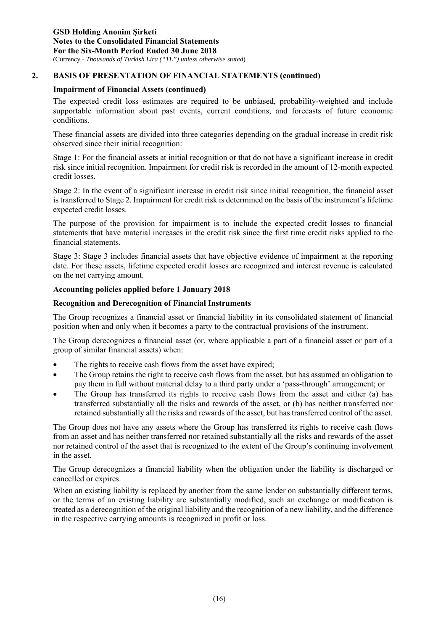### **Impairment of Financial Assets (continued)**

The expected credit loss estimates are required to be unbiased, probability-weighted and include supportable information about past events, current conditions, and forecasts of future economic conditions.

These financial assets are divided into three categories depending on the gradual increase in credit risk observed since their initial recognition:

Stage 1: For the financial assets at initial recognition or that do not have a significant increase in credit risk since initial recognition. Impairment for credit risk is recorded in the amount of 12-month expected credit losses.

Stage 2: In the event of a significant increase in credit risk since initial recognition, the financial asset is transferred to Stage 2. Impairment for credit risk is determined on the basis of the instrument's lifetime expected credit losses.

The purpose of the provision for impairment is to include the expected credit losses to financial statements that have material increases in the credit risk since the first time credit risks applied to the financial statements.

Stage 3: Stage 3 includes financial assets that have objective evidence of impairment at the reporting date. For these assets, lifetime expected credit losses are recognized and interest revenue is calculated on the net carrying amount.

#### **Accounting policies applied before 1 January 2018**

#### **Recognition and Derecognition of Financial Instruments**

The Group recognizes a financial asset or financial liability in its consolidated statement of financial position when and only when it becomes a party to the contractual provisions of the instrument.

The Group derecognizes a financial asset (or, where applicable a part of a financial asset or part of a group of similar financial assets) when:

- The rights to receive cash flows from the asset have expired;
- The Group retains the right to receive cash flows from the asset, but has assumed an obligation to pay them in full without material delay to a third party under a 'pass-through' arrangement; or
- The Group has transferred its rights to receive cash flows from the asset and either (a) has transferred substantially all the risks and rewards of the asset, or (b) has neither transferred nor retained substantially all the risks and rewards of the asset, but has transferred control of the asset.

The Group does not have any assets where the Group has transferred its rights to receive cash flows from an asset and has neither transferred nor retained substantially all the risks and rewards of the asset nor retained control of the asset that is recognized to the extent of the Group's continuing involvement in the asset.

The Group derecognizes a financial liability when the obligation under the liability is discharged or cancelled or expires.

When an existing liability is replaced by another from the same lender on substantially different terms, or the terms of an existing liability are substantially modified, such an exchange or modification is treated as a derecognition of the original liability and the recognition of a new liability, and the difference in the respective carrying amounts is recognized in profit or loss.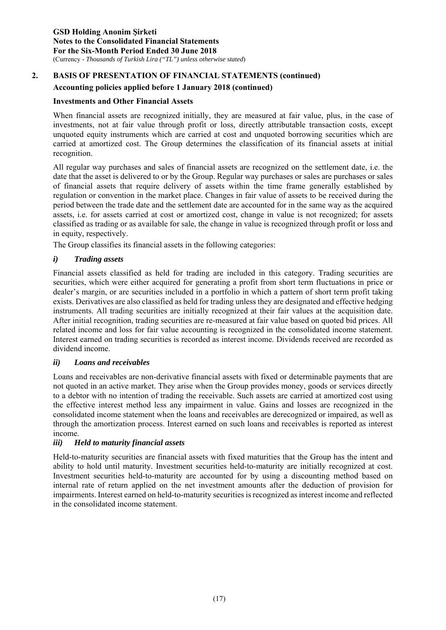### **Accounting policies applied before 1 January 2018 (continued)**

#### **Investments and Other Financial Assets**

When financial assets are recognized initially, they are measured at fair value, plus, in the case of investments, not at fair value through profit or loss, directly attributable transaction costs, except unquoted equity instruments which are carried at cost and unquoted borrowing securities which are carried at amortized cost. The Group determines the classification of its financial assets at initial recognition.

All regular way purchases and sales of financial assets are recognized on the settlement date, i.e. the date that the asset is delivered to or by the Group. Regular way purchases or sales are purchases or sales of financial assets that require delivery of assets within the time frame generally established by regulation or convention in the market place. Changes in fair value of assets to be received during the period between the trade date and the settlement date are accounted for in the same way as the acquired assets, i.e. for assets carried at cost or amortized cost, change in value is not recognized; for assets classified as trading or as available for sale, the change in value is recognized through profit or loss and in equity, respectively.

The Group classifies its financial assets in the following categories:

#### *i) Trading assets*

Financial assets classified as held for trading are included in this category. Trading securities are securities, which were either acquired for generating a profit from short term fluctuations in price or dealer's margin, or are securities included in a portfolio in which a pattern of short term profit taking exists. Derivatives are also classified as held for trading unless they are designated and effective hedging instruments. All trading securities are initially recognized at their fair values at the acquisition date. After initial recognition, trading securities are re-measured at fair value based on quoted bid prices. All related income and loss for fair value accounting is recognized in the consolidated income statement. Interest earned on trading securities is recorded as interest income. Dividends received are recorded as dividend income.

#### *ii) Loans and receivables*

Loans and receivables are non-derivative financial assets with fixed or determinable payments that are not quoted in an active market. They arise when the Group provides money, goods or services directly to a debtor with no intention of trading the receivable. Such assets are carried at amortized cost using the effective interest method less any impairment in value. Gains and losses are recognized in the consolidated income statement when the loans and receivables are derecognized or impaired, as well as through the amortization process. Interest earned on such loans and receivables is reported as interest income.

#### *iii) Held to maturity financial assets*

Held-to-maturity securities are financial assets with fixed maturities that the Group has the intent and ability to hold until maturity. Investment securities held-to-maturity are initially recognized at cost. Investment securities held-to-maturity are accounted for by using a discounting method based on internal rate of return applied on the net investment amounts after the deduction of provision for impairments. Interest earned on held-to-maturity securities is recognized as interest income and reflected in the consolidated income statement.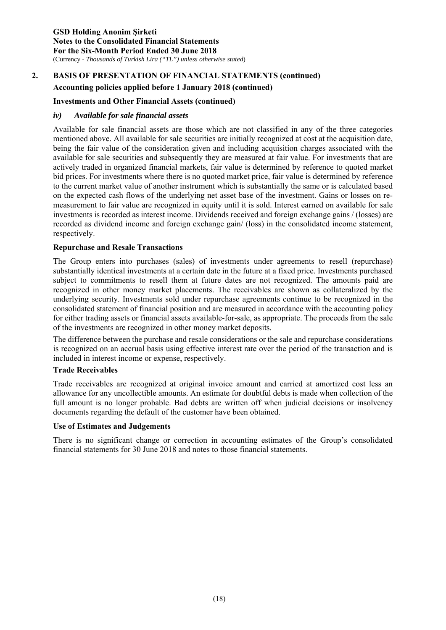### **Accounting policies applied before 1 January 2018 (continued)**

#### **Investments and Other Financial Assets (continued)**

#### *iv) Available for sale financial assets*

Available for sale financial assets are those which are not classified in any of the three categories mentioned above. All available for sale securities are initially recognized at cost at the acquisition date, being the fair value of the consideration given and including acquisition charges associated with the available for sale securities and subsequently they are measured at fair value. For investments that are actively traded in organized financial markets, fair value is determined by reference to quoted market bid prices. For investments where there is no quoted market price, fair value is determined by reference to the current market value of another instrument which is substantially the same or is calculated based on the expected cash flows of the underlying net asset base of the investment. Gains or losses on remeasurement to fair value are recognized in equity until it is sold. Interest earned on available for sale investments is recorded as interest income. Dividends received and foreign exchange gains / (losses) are recorded as dividend income and foreign exchange gain/ (loss) in the consolidated income statement, respectively.

#### **Repurchase and Resale Transactions**

The Group enters into purchases (sales) of investments under agreements to resell (repurchase) substantially identical investments at a certain date in the future at a fixed price. Investments purchased subject to commitments to resell them at future dates are not recognized. The amounts paid are recognized in other money market placements. The receivables are shown as collateralized by the underlying security. Investments sold under repurchase agreements continue to be recognized in the consolidated statement of financial position and are measured in accordance with the accounting policy for either trading assets or financial assets available-for-sale, as appropriate. The proceeds from the sale of the investments are recognized in other money market deposits.

The difference between the purchase and resale considerations or the sale and repurchase considerations is recognized on an accrual basis using effective interest rate over the period of the transaction and is included in interest income or expense, respectively.

#### **Trade Receivables**

Trade receivables are recognized at original invoice amount and carried at amortized cost less an allowance for any uncollectible amounts. An estimate for doubtful debts is made when collection of the full amount is no longer probable. Bad debts are written off when judicial decisions or insolvency documents regarding the default of the customer have been obtained.

#### **Use of Estimates and Judgements**

There is no significant change or correction in accounting estimates of the Group's consolidated financial statements for 30 June 2018 and notes to those financial statements.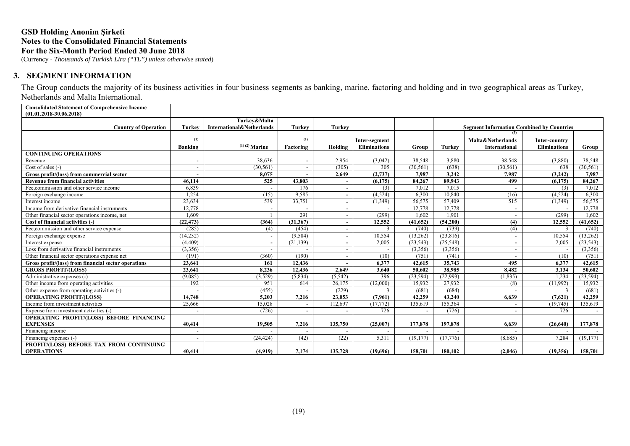(Currency - *Thousands of Turkish Lira ("TL") unless otherwise stated*)

#### **3. SEGMENT INFORMATION**

The Group conducts the majority of its business activities in four business segments as banking, marine, factoring and holding and in two geographical areas as Turkey, Netherlands and Malta International.

**Consolidated Statement of Comprehensive Income (01.01.2018-30.06.2018)**

| <b>Country of Operation</b>                          | Turkey                   | Turkev&Malta<br>International&Netherlands | <b>Turkey</b> | <b>Turkey</b>            |                     |           |               | <b>Segment Information Combined by Countries</b> |                     |           |
|------------------------------------------------------|--------------------------|-------------------------------------------|---------------|--------------------------|---------------------|-----------|---------------|--------------------------------------------------|---------------------|-----------|
|                                                      |                          |                                           |               |                          |                     |           |               |                                                  |                     |           |
|                                                      | (1)                      |                                           | (1)           |                          | Inter-segment       |           |               | Malta&Netherlands                                | Inter-country       |           |
|                                                      | Banking                  | $(1)$ (2) Marine                          | Factoring     | Holding                  | <b>Eliminations</b> | Group     | <b>Turkey</b> | <b>International</b>                             | <b>Eliminations</b> | Group     |
| <b>CONTINUING OPERATIONS</b>                         |                          |                                           |               |                          |                     |           |               |                                                  |                     |           |
| Revenue                                              |                          | 38,636                                    |               | 2,954                    | (3,042)             | 38,548    | 3,880         | 38,548                                           | (3,880)             | 38,548    |
| Cost of sales (-)                                    |                          | (30.561)                                  |               | (305)                    | 305                 | (30.561)  | (638)         | (30, 561)                                        | 638                 | (30, 561) |
| Gross profit/(loss) from commercial sector           | $\overline{\phantom{0}}$ | 8,075                                     |               | 2,649                    | (2,737)             | 7.987     | 3,242         | 7,987                                            | (3,242)             | 7,987     |
| <b>Revenue from financial activities</b>             | 46.114                   | 525                                       | 43,803        |                          | (6,175)             | 84.267    | 89.943        | 499                                              | (6.175)             | 84,267    |
| Fee.commission and other service income              | 6,839                    | $\overline{\phantom{a}}$                  | 176           |                          | (3)                 | 7,012     | 7,015         |                                                  | (3)                 | 7,012     |
| Foreign exchange income                              | 1.254                    | (15)                                      | 9,585         |                          | (4,524)             | 6,300     | 10,840        | (16)                                             | (4,524)             | 6,300     |
| Interest income                                      | 23,634                   | 539                                       | 33,751        |                          | (1,349)             | 56,575    | 57,409        | 515                                              | (1, 349)            | 56,575    |
| Income from derivative financial instruments         | 12,778                   | $\overline{\phantom{a}}$                  |               |                          |                     | 12,778    | 12,778        | $\overline{\phantom{a}}$                         |                     | 12,778    |
| Other financial sector operations income, net        | 1.609                    |                                           | 291           |                          | (299)               | 1.602     | 1.901         |                                                  | (299)               | 1.602     |
| Cost of financial activities (-)                     | (22, 473)                | (364)                                     | (31, 367)     |                          | 12,552              | (41, 652) | (54,200)      | (4)                                              | 12,552              | (41, 652) |
| Fee, commission and other service expense            | (285)                    | (4)                                       | (454)         |                          |                     | (740)     | (739)         | (4)                                              |                     | (740)     |
| Foreign exchange expense                             | (14, 232)                | $\overline{\phantom{a}}$                  | (9, 584)      | $\overline{\phantom{a}}$ | 10,554              | (13,262)  | (23,816)      | $\overline{\phantom{a}}$                         | 10,554              | (13,262)  |
| Interest expense                                     | (4, 409)                 | $\sim$                                    | (21, 139)     |                          | 2,005               | (23, 543) | (25,548)      | $\overline{\phantom{a}}$                         | 2.005               | (23, 543) |
| Loss from derivative financial instruments           | (3,356)                  |                                           |               |                          |                     | (3,356)   | (3,356)       |                                                  |                     | (3,356)   |
| Other financial sector operations expense net        | (191)                    | (360)                                     | (190)         |                          | (10)                | (751)     | (741)         |                                                  | (10)                | (751)     |
| Gross profit/(loss) from financial sector operations | 23,641                   | 161                                       | 12,436        |                          | 6.377               | 42,615    | 35,743        | 495                                              | 6.377               | 42,615    |
| <b>GROSS PROFIT/(LOSS)</b>                           | 23,641                   | 8.236                                     | 12.436        | 2.649                    | 3.640               | 50.602    | 38.985        | 8.482                                            | 3,134               | 50.602    |
| Administrative expenses (-)                          | (9,085)                  | (3,529)                                   | (5,834)       | (5, 542)                 | 396                 | (23, 594) | (22,993)      | (1, 835)                                         | 1,234               | (23, 594) |
| Other income from operating activities               | 192                      | 951                                       | 614           | 26,175                   | (12,000)            | 15,932    | 27,932        | (8)                                              | (11,992)            | 15,932    |
| Other expense from operating activities (-)          |                          | (455)                                     |               | (229)                    | $\mathcal{R}$       | (681)     | (684)         |                                                  | 3                   | (681)     |
| <b>OPERATING PROFIT/(LOSS)</b>                       | 14.748                   | 5,203                                     | 7.216         | 23,053                   | (7,961)             | 42,259    | 43,240        | 6.639                                            | (7,621)             | 42,259    |
| Income from investment activities                    | 25,666                   | 15,028                                    |               | 112,697                  | (17,772)            | 135,619   | 155,364       |                                                  | (19, 745)           | 135,619   |
| Expense from investment activities (-)               |                          | (726)                                     |               |                          | 726                 |           | (726)         |                                                  | 726                 |           |
| OPERATING PROFIT/(LOSS) BEFORE FINANCING             |                          |                                           |               |                          |                     |           |               |                                                  |                     |           |
| <b>EXPENSES</b>                                      | 40.414                   | 19.505                                    | 7.216         | 135,750                  | (25.007)            | 177,878   | 197,878       | 6.639                                            | (26.640)            | 177,878   |
| Financing income                                     |                          |                                           |               |                          |                     |           |               |                                                  |                     |           |
| Financing expenses (-)                               | $\overline{\phantom{a}}$ | (24, 424)                                 | (42)          | (22)                     | 5,311               | (19,177)  | (17,776)      | (8,685)                                          | 7.284               | (19.177)  |
| PROFIT/(LOSS) BEFORE TAX FROM CONTINUING             |                          |                                           |               |                          |                     |           |               |                                                  |                     |           |
| <b>OPERATIONS</b>                                    | 40.414                   | (4,919)                                   | 7,174         | 135,728                  | (19,696)            | 158,701   | 180.102       | (2,046)                                          | (19,356)            | 158,701   |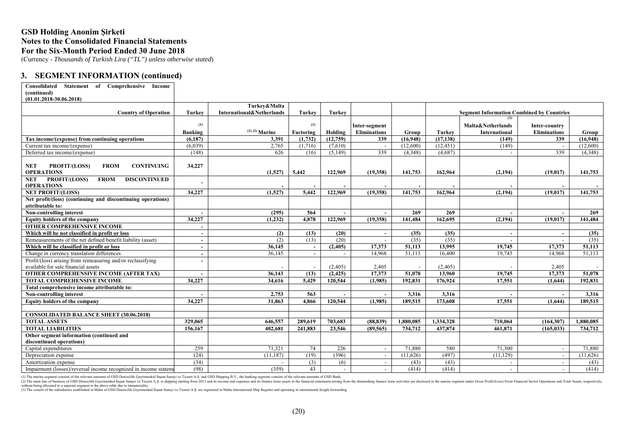(Currency - *Thousands of Turkish Lira ("TL") unless otherwise stated*)

### **3. SEGMENT INFORMATION (continued)**

| Consolidated Statement of Comprehensive Income                     |               |                                      |                  |                          |                          |           |               |                                                  |                          |           |
|--------------------------------------------------------------------|---------------|--------------------------------------|------------------|--------------------------|--------------------------|-----------|---------------|--------------------------------------------------|--------------------------|-----------|
| (continued)                                                        |               |                                      |                  |                          |                          |           |               |                                                  |                          |           |
| $(01.01.2018 - 30.06.2018)$                                        |               |                                      |                  |                          |                          |           |               |                                                  |                          |           |
|                                                                    |               | Turkey&Malta                         |                  |                          |                          |           |               |                                                  |                          |           |
| <b>Country of Operation</b>                                        | <b>Turkey</b> | <b>International&amp;Netherlands</b> | <b>Turkey</b>    | <b>Turkey</b>            |                          |           |               | <b>Segment Information Combined by Countries</b> |                          |           |
|                                                                    |               |                                      |                  |                          |                          |           |               |                                                  |                          |           |
|                                                                    | (1)           |                                      | (1)              |                          | Inter-segment            |           |               | Malta&Netherlands                                | Inter-country            |           |
|                                                                    | Banking       | $(1)$ (2) Marine                     | Factoring        | Holding                  | <b>Eliminations</b>      | Group     | <b>Turkey</b> | International                                    | <b>Eliminations</b>      | Group     |
| Tax income/(expense) from continuing operations                    | (6,187)       | 3,391                                | (1,732)          | (12,759)                 | 339                      | (16,948)  | (17, 138)     | (149)                                            | 339                      | (16,948)  |
| Current tax income/(expense)                                       | (6,039)       | 2,765                                | (1,716)          | (7,610)                  |                          | (12,600)  | (12, 451)     | (149)                                            |                          | (12,600)  |
| Deferred tax income/(expense)                                      | (148)         | 626                                  | (16)             | (5,149)                  | 339                      | (4,348)   | (4,687)       |                                                  | 339                      | (4,348)   |
|                                                                    |               |                                      |                  |                          |                          |           |               |                                                  |                          |           |
| PROFIT/(LOSS)<br><b>CONTINUING</b><br><b>NET</b><br><b>FROM</b>    | 34,227        |                                      |                  |                          |                          |           |               |                                                  |                          |           |
| <b>OPERATIONS</b>                                                  |               | (1,527)                              | 5,442            | 122,969                  | (19,358)                 | 141,753   | 162,964       | (2, 194)                                         | (19, 017)                | 141,753   |
| PROFIT/(LOSS)<br><b>FROM</b><br><b>DISCONTINUED</b><br><b>NET</b>  |               |                                      |                  |                          |                          |           |               |                                                  |                          |           |
| <b>OPERATIONS</b>                                                  |               |                                      |                  |                          |                          |           |               |                                                  |                          |           |
| <b>NET PROFIT/(LOSS)</b>                                           | 34,227        | (1,527)                              | 5.442            | 122,969                  | (19.358)                 | 141,753   | 162.964       | (2, 194)                                         | (19.017)                 | 141,753   |
| Net profit/(loss) (continuing and discontinuing operations)        |               |                                      |                  |                          |                          |           |               |                                                  |                          |           |
| attributable to:                                                   |               |                                      |                  |                          |                          |           |               |                                                  |                          |           |
| Non-controlling interest                                           |               | (295)                                | 564              |                          |                          | 269       | 269           |                                                  |                          | 269       |
| <b>Equity holders of the company</b>                               | 34,227        | (1.232)                              | 4.878            | 122,969                  | (19.358)                 | 141,484   | 162,695       | (2, 194)                                         | (19.017)                 | 141.484   |
| <b>OTHER COMPREHENSIVE INCOME</b>                                  |               |                                      |                  |                          |                          |           |               |                                                  |                          |           |
| Which will be not classified in profit or loss                     | $\sim$        | (2)                                  | (13)             | (20)                     |                          | (35)      | (35)          |                                                  |                          | (35)      |
| Remeasurements of the net defined benefit liability (asset)        | $\sim$        | (2)                                  | (13)             | (20)                     |                          | (35)      | (35)          |                                                  |                          | (35)      |
| Which will be classified in profit or loss                         | $\sim$        | 36,145                               |                  | (2,405)                  | 17,373                   | 51,113    | 13,995        | 19,745                                           | 17,373                   | 51,113    |
| Change in currency translation differences                         | $\sim$        | 36,145                               |                  |                          | 14,968                   | 51,113    | 16,400        | 19,745                                           | 14,968                   | 51,113    |
| Profit/(loss) arising from remeasuring and/or reclassifying        | $\sim$        |                                      |                  |                          |                          |           |               |                                                  |                          |           |
| available for sale financial assets                                |               |                                      |                  | (2,405)                  | 2.405                    |           | (2,405)       |                                                  | 2.405                    |           |
| OTHER COMPREHENSIVE INCOME (AFTER TAX)                             | $\sim$        | 36,143                               | (13)             | (2, 425)                 | 17.373                   | 51,078    | 13,960        | 19,745                                           | 17,373                   | 51,078    |
| <b>TOTAL COMPREHENSIVE INCOME</b>                                  | 34,227        | 34,616                               | 5.429            | 120,544                  | (1,985)                  | 192,831   | 176,924       | 17,551                                           | (1,644)                  | 192,831   |
| Total comprehensive income attributable to:                        |               |                                      |                  |                          |                          |           |               |                                                  |                          |           |
| Non-controlling interest                                           |               | 2,753                                | $\overline{563}$ |                          |                          | 3,316     | 3,316         |                                                  |                          | 3,316     |
| <b>Equity holders of the company</b>                               | 34,227        | 31.863                               | 4.866            | 120,544                  | (1,985)                  | 189,515   | 173,608       | 17,551                                           | (1,644)                  | 189,515   |
|                                                                    |               |                                      |                  |                          |                          |           |               |                                                  |                          |           |
| <b>CONSOLIDATED BALANCE SHEET (30.06.2018)</b>                     |               |                                      |                  |                          |                          |           |               |                                                  |                          |           |
| <b>TOTAL ASSETS</b>                                                | 329,065       | 646,557                              | 289,619          | 703.683                  | (88.839)                 | 1.880.085 | 1,334,328     | 710.064                                          | (164, 307)               | 1,880,085 |
| <b>TOTAL LIABILITIES</b>                                           | 156,167       | 402.681                              | 241,883          | 23,546                   | (89.565)                 | 734,712   | 437,874       | 461.871                                          | (165, 033)               | 734,712   |
| Other segment information (continued and                           |               |                                      |                  |                          |                          |           |               |                                                  |                          |           |
| discontinued operations)                                           |               |                                      |                  |                          |                          |           |               |                                                  |                          |           |
| Capital expenditures                                               | 259           | 71,321                               | 74               | 226                      |                          | 71,880    | 580           | 71,300                                           |                          | 71,880    |
| Depreciation expense                                               | (24)          | (11, 187)                            | (19)             | (396)                    |                          | (11,626)  | (497)         | (11, 129)                                        | $\overline{\phantom{a}}$ | (11,626)  |
| Amortization expense                                               | (34)          | $\overline{\phantom{a}}$             | (3)              | (6)                      | $\overline{\phantom{a}}$ | (43)      | (43)          | $\overline{\phantom{0}}$                         | $\overline{\phantom{a}}$ | (43)      |
| Impairment (losses)/reversal income recognized in income statement | (98)          | (359)                                | 43               | $\overline{\phantom{a}}$ | $\overline{\phantom{a}}$ | (414)     | (414)         |                                                  | $\sim$                   | (414)     |

(1) The marine segment consists of the relevant amounts of GSD Denizcilik Gayrimenkul Insaat Sanayi ve Ticaret A.S. and GSD Shipping B.V., the banking segment consists of the relevant amounts of GSD Bank.<br>(2) The main line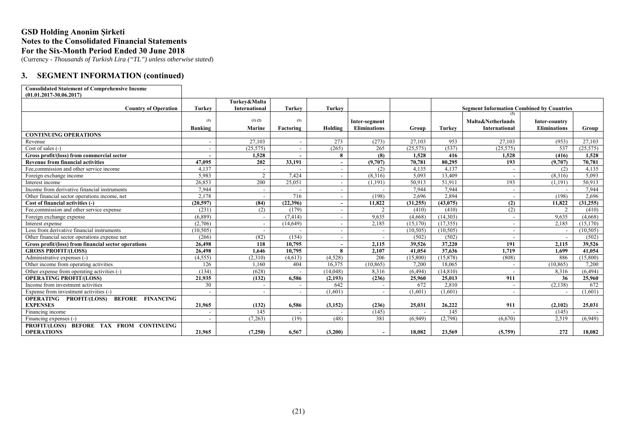(Currency - *Thousands of Turkish Lira ("TL") unless otherwise stated*)

### **3. SEGMENT INFORMATION (continued)**

| <b>Consolidated Statement of Comprehensive Income</b>     |                          |                          |               |                          |                          |           |           |                                                  |                     |           |
|-----------------------------------------------------------|--------------------------|--------------------------|---------------|--------------------------|--------------------------|-----------|-----------|--------------------------------------------------|---------------------|-----------|
| $(01.01.2017 - 30.06.2017)$                               |                          |                          |               |                          |                          |           |           |                                                  |                     |           |
|                                                           |                          | Turkev&Malta             |               |                          |                          |           |           |                                                  |                     |           |
| <b>Country of Operation</b>                               | <b>Turkey</b>            | International            | <b>Turkey</b> | Turkey                   |                          |           |           | <b>Segment Information Combined by Countries</b> |                     |           |
|                                                           |                          |                          |               |                          |                          |           |           | (3)                                              |                     |           |
|                                                           | (1)                      | $(1)$ $(2)$              | (1)           |                          | Inter-segment            |           |           | Malta&Netherlands                                | Inter-country       |           |
|                                                           | Banking                  | Marine                   | Factoring     | Holding                  | <b>Eliminations</b>      | Group     | Turkey    | <b>International</b>                             | <b>Eliminations</b> | Group     |
| <b>CONTINUING OPERATIONS</b>                              |                          |                          |               |                          |                          |           |           |                                                  |                     |           |
| Revenue                                                   | $\sim$                   | 27,103                   |               | 273                      | (273)                    | 27,103    | 953       | 27,103                                           | (953)               | 27,103    |
| Cost of sales (-)                                         | $\sim$                   | (25, 575)                |               | (265)                    | 265                      | (25, 575) | (537)     | (25, 575)                                        | 537                 | (25,575)  |
| Gross profit/(loss) from commercial sector                |                          | 1,528                    |               | 8                        | (8)                      | 1,528     | 416       | 1,528                                            | (416)               | 1,528     |
| <b>Revenue from financial activities</b>                  | 47.095                   | 202                      | 33,191        | $\overline{\phantom{a}}$ | (9,707)                  | 70,781    | 80,295    | 193                                              | (9,707)             | 70,781    |
| Fee.commission and other service income                   | 4,137                    |                          |               |                          | (2)                      | 4,135     | 4,137     |                                                  | (2)                 | 4,135     |
| Foreign exchange income                                   | 5.983                    | 2                        | 7.424         | $\overline{\phantom{a}}$ | (8.316)                  | 5.093     | 13.409    | $\overline{\phantom{a}}$                         | (8.316)             | 5.093     |
| Interest income                                           | 26,853                   | 200                      | 25,051        | $\overline{\phantom{a}}$ | (1,191)                  | 50,913    | 51,911    | 193                                              | (1,191)             | 50,913    |
| Income from derivative financial instruments              | 7.944                    | $\overline{\phantom{a}}$ |               | $\overline{\phantom{a}}$ |                          | 7.944     | 7.944     | $\overline{\phantom{a}}$                         |                     | 7.944     |
| Other financial sector operations income, net             | 2,178                    |                          | 716           | $\overline{\phantom{0}}$ | (198)                    | 2.696     | 2.894     | $\sim$                                           | (198)               | 2.696     |
| Cost of financial activities (-)                          | (20, 597)                | (84)                     | (22,396)      |                          | 11,822                   | (31, 255) | (43, 075) | (2)                                              | 11,822              | (31, 255) |
| Fee, commission and other service expense                 | (231)                    | (2)                      | (179)         |                          | $\mathfrak{D}$           | (410)     | (410)     | (2)                                              |                     | (410)     |
| Foreign exchange expense                                  | (6,889)                  | $\overline{\phantom{a}}$ | (7, 414)      | $\overline{\phantom{0}}$ | 9.635                    | (4,668)   | (14,303)  | $\sim$                                           | 9.635               | (4,668)   |
| Interest expense                                          | (2,706)                  |                          | (14, 649)     |                          | 2,185                    | (15, 170) | (17, 355) | $\sim$                                           | 2,185               | (15, 170) |
| Loss from derivative financial instruments                | (10, 505)                |                          |               |                          | $\overline{\phantom{a}}$ | (10, 505) | (10, 505) | $\overline{\phantom{0}}$                         |                     | (10, 505) |
| Other financial sector operations expense net             | (266)                    | (82)                     | (154)         | $\overline{\phantom{a}}$ | $\overline{\phantom{a}}$ | (502)     | (502)     |                                                  |                     | (502)     |
| Gross profit/(loss) from financial sector operations      | 26.498                   | 118                      | 10.795        | $\overline{\phantom{a}}$ | 2.115                    | 39.526    | 37,220    | 191                                              | 2.115               | 39.526    |
| <b>GROSS PROFIT/(LOSS)</b>                                | 26,498                   | 1.646                    | 10.795        | 8                        | 2.107                    | 41.054    | 37,636    | 1.719                                            | 1.699               | 41.054    |
| Administrative expenses (-)                               | (4, 555)                 | (2,310)                  | (4,613)       | (4,528)                  | 206                      | (15,800)  | (15, 878) | (808)                                            | 886                 | (15,800)  |
| Other income from operating activities                    | 126                      | 1,160                    | 404           | 16,375                   | (10, 865)                | 7,200     | 18,065    | $\sim$                                           | (10, 865)           | 7,200     |
| Other expense from operating activities (-)               | (134)                    | (628)                    |               | (14,048)                 | 8,316                    | (6, 494)  | (14, 810) |                                                  | 8,316               | (6, 494)  |
| <b>OPERATING PROFIT/(LOSS)</b>                            | 21.935                   | (132)                    | 6.586         | (2, 193)                 | (236)                    | 25,960    | 25,013    | 911                                              | 36                  | 25,960    |
| Income from investment activities                         | 30                       | $\overline{\phantom{a}}$ |               | 642                      |                          | 672       | 2,810     | $\sim$                                           | (2,138)             | 672       |
| Expense from investment activities (-)                    |                          |                          |               | (1,601)                  | $\overline{\phantom{a}}$ | (1.601)   | (1.601)   |                                                  |                     | (1,601)   |
| <b>OPERATING PROFIT/(LOSS)</b><br><b>BEFORE FINANCING</b> |                          |                          |               |                          |                          |           |           |                                                  |                     |           |
| <b>EXPENSES</b>                                           | 21,965                   | (132)                    | 6,586         | (3, 152)                 | (236)                    | 25,031    | 26,222    | 911                                              | (2,102)             | 25,031    |
| Financing income                                          | $\overline{\phantom{a}}$ | 145                      |               |                          | (145)                    |           | 145       |                                                  | (145)               |           |
| Financing expenses (-)                                    | $\overline{\phantom{a}}$ | (7,263)                  | (19)          | (48)                     | 381                      | (6,949)   | (2,798)   | (6,670)                                          | 2,519               | (6,949)   |
| PROFIT/(LOSS) BEFORE TAX FROM CONTINUING                  |                          |                          |               |                          |                          |           |           |                                                  |                     |           |
| <b>OPERATIONS</b>                                         | 21.965                   | (7,250)                  | 6.567         | (3,200)                  | $\overline{\phantom{a}}$ | 18.082    | 23.569    | (5,759)                                          | 272                 | 18.082    |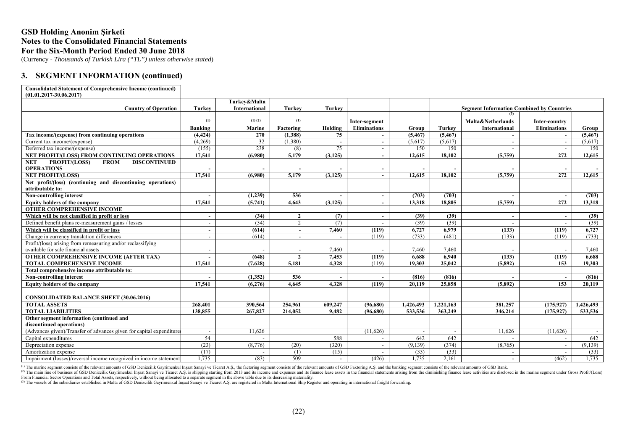(Currency - *Thousands of Turkish Lira ("TL") unless otherwise stated*)

### **3. SEGMENT INFORMATION (continued)**

| <b>Consolidated Statement of Comprehensive Income (continued)</b><br>$(01.01.2017 - 30.06.2017)$ |                          |                      |                |                          |                          |                |           |                                                  |                     |           |
|--------------------------------------------------------------------------------------------------|--------------------------|----------------------|----------------|--------------------------|--------------------------|----------------|-----------|--------------------------------------------------|---------------------|-----------|
|                                                                                                  |                          | Turkev&Malta         |                |                          |                          |                |           |                                                  |                     |           |
| <b>Country of Operation</b>                                                                      | Turkey                   | <b>International</b> | <b>Turkey</b>  | <b>Turkey</b>            |                          |                |           | <b>Segment Information Combined by Countries</b> |                     |           |
|                                                                                                  |                          |                      |                |                          |                          |                |           | (3)                                              |                     |           |
|                                                                                                  | (1)                      | $(1)$ $(2)$          | (1)            |                          | Inter-segment            |                |           | Malta&Netherlands                                | Inter-country       |           |
|                                                                                                  | <b>Banking</b>           | Marine               | Factoring      | Holding                  | <b>Eliminations</b>      | Group          | Turkey    | <b>International</b>                             | <b>Eliminations</b> | Group     |
| Tax income/(expense) from continuing operations                                                  | (4, 424)                 | 270                  | (1,388)        | 75                       |                          | (5, 467)       | (5, 467)  |                                                  |                     | (5, 467)  |
| Current tax income/(expense)                                                                     | (4,269)                  | 32                   | (1,380)        |                          | $\overline{a}$           | (5,617)        | (5,617)   | $\overline{\phantom{a}}$                         |                     | (5,617)   |
| Deferred tax income/(expense)                                                                    | (155)                    | 238                  | (8)            | 75                       | $\overline{\phantom{a}}$ | 150            | 150       |                                                  |                     | 150       |
| NET PROFIT/(LOSS) FROM CONTINUING OPERATIONS                                                     | 17,541                   | (6.980)              | 5,179          | (3, 125)                 | $\blacksquare$           | 12.615         | 18.102    | (5,759)                                          | 272                 | 12,615    |
| PROFIT/(LOSS)<br><b>FROM</b><br><b>DISCONTINUED</b><br><b>NET</b><br><b>OPERATIONS</b>           |                          |                      |                |                          | $\overline{\phantom{a}}$ |                |           |                                                  |                     |           |
| <b>NET PROFIT/(LOSS)</b>                                                                         | 17,541                   | (6.980)              | 5,179          | (3, 125)                 | $\overline{\phantom{a}}$ | 12,615         | 18.102    | (5,759)                                          | 272                 | 12,615    |
| Net profit/(loss) (continuing and discontinuing operations)<br>attributable to:                  |                          |                      |                |                          |                          |                |           |                                                  |                     |           |
| Non-controlling interest                                                                         |                          | (1,239)              | 536            |                          | $\overline{\phantom{a}}$ | (703)          | (703)     |                                                  |                     | (703)     |
| Equity holders of the company                                                                    | 17.541                   | (5,741)              | 4.643          | (3, 125)                 | $\overline{\phantom{a}}$ | 13.318         | 18.805    | (5,759)                                          | 272                 | 13,318    |
| <b>OTHER COMPREHENSIVE INCOME</b>                                                                |                          |                      |                |                          |                          |                |           |                                                  |                     |           |
| Which will be not classified in profit or loss                                                   | $\overline{\phantom{a}}$ | (34)                 | $\overline{2}$ | (7)                      | $\blacksquare$           | (39)           | (39)      | $\overline{\phantom{a}}$                         |                     | (39)      |
| Defined benefit plans re-measurement gains / losses                                              | $\overline{\phantom{a}}$ | (34)                 | 2              | (7)                      | $\overline{a}$           | (39)           | (39)      |                                                  |                     | (39)      |
| Which will be classified in profit or loss                                                       | $\overline{\phantom{a}}$ | (614)                |                | 7.460                    | (119)                    | 6.727          | 6.979     | (133)                                            | (119)               | 6,727     |
| Change in currency translation differences                                                       |                          | (614)                |                |                          | (119)                    | (733)          | (481)     | (133)                                            | (119)               | (733)     |
| Profit/(loss) arising from remeasuring and/or reclassifying                                      |                          |                      |                |                          |                          |                |           |                                                  |                     |           |
| available for sale financial assets                                                              | $\overline{\phantom{0}}$ |                      |                | 7,460                    |                          | 7.460          | 7.460     |                                                  |                     | 7,460     |
| OTHER COMPREHENSIVE INCOME (AFTER TAX)                                                           |                          | (648)                | $\overline{2}$ | 7,453                    | (119)                    | 6.688          | 6.940     | (133)                                            | (119)               | 6,688     |
| <b>TOTAL COMPREHENSIVE INCOME</b>                                                                | 17.541                   | (7.628)              | 5,181          | 4,328                    | (119)                    | 19.303         | 25,042    | (5, 892)                                         | 153                 | 19.303    |
| Total comprehensive income attributable to:                                                      |                          |                      |                |                          |                          |                |           |                                                  |                     |           |
| Non-controlling interest                                                                         |                          | (1,352)              | 536            |                          |                          | (816)          | (816)     |                                                  |                     | (816)     |
| <b>Equity holders of the company</b>                                                             | 17.541                   | (6.276)              | 4.645          | 4.328                    | (119)                    | 20.119         | 25,858    | (5.892)                                          | 153                 | 20.119    |
|                                                                                                  |                          |                      |                |                          |                          |                |           |                                                  |                     |           |
| <b>CONSOLIDATED BALANCE SHEET (30.06.2016)</b>                                                   |                          |                      |                |                          |                          |                |           |                                                  |                     |           |
| <b>TOTAL ASSETS</b>                                                                              | 268,401                  | 390,564              | 254,961        | 609.247                  | (96,680)                 | 1,426,493      | 1,221,163 | 381,257                                          | (175, 927)          | 1,426,493 |
| <b>TOTAL LIABILITIES</b>                                                                         | 138,855                  | 267,827              | 214,052        | 9,482                    | (96,680)                 | 533,536        | 363,249   | 346,214                                          | (175, 927)          | 533,536   |
| Other segment information (continued and<br>discontinued operations)                             |                          |                      |                |                          |                          |                |           |                                                  |                     |           |
| (Advances given)/Transfer of advances given for capital expenditures                             | $\overline{a}$           | 11,626               |                |                          | (11,626)                 | $\overline{a}$ |           | 11,626                                           | (11,626)            | $\sim$    |
| Capital expenditures                                                                             | 54                       |                      |                | 588                      | $\overline{\phantom{a}}$ | 642            | 642       |                                                  |                     | 642       |
| Depreciation expense                                                                             | (23)                     | (8,776)              | (20)           | (320)                    | $\overline{\phantom{a}}$ | (9,139)        | (374)     | (8,765)                                          |                     | (9,139)   |
| Amortization expense                                                                             | (17)                     |                      | (1)            | (15)                     |                          | (33)           | (33)      |                                                  |                     | (33)      |
| Impairment (losses)/reversal income recognized in income statement                               | 1.735                    | (83)                 | 509            | $\overline{\phantom{a}}$ | (426)                    | 1.735          | 2.161     |                                                  | (462)               | 1,735     |

(1) The marine segment consists of the relevant amounts of GSD Denizcilik Gayrimenkul Insaat Sanayi ve Ticaret A.S., the factoring segment consists of the relevant amounts of GSD Faktoring segment consists of the relevant From Financial Sector Operations and Total Assets, respectively, without being allocated to a separate segment in the above table due to its decreasing materiality.

(3) The vessels of the subsidiaries established in Malta of GSD Denizcilik Gayrimenkul İnşaat Sanayi ve Ticaret A.Ş. are registered in Malta International Ship Register and operating in international freight forwarding.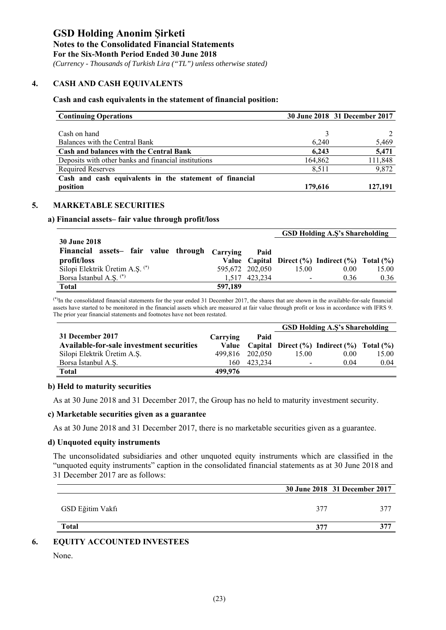*(Currency - Thousands of Turkish Lira ("TL") unless otherwise stated)*

#### **4. CASH AND CASH EQUIVALENTS**

#### **Cash and cash equivalents in the statement of financial position:**

| <b>Continuing Operations</b>                            |         | 30 June 2018 31 December 2017 |
|---------------------------------------------------------|---------|-------------------------------|
|                                                         |         |                               |
| Cash on hand                                            |         |                               |
| Balances with the Central Bank                          | 6.240   | 5,469                         |
| <b>Cash and balances with the Central Bank</b>          | 6.243   | 5,471                         |
| Deposits with other banks and financial institutions    | 164,862 | 111,848                       |
| <b>Required Reserves</b>                                | 8,511   | 9,872                         |
| Cash and cash equivalents in the statement of financial |         |                               |
| position                                                | 179,616 | 127,191                       |

### **5. MARKETABLE SECURITIES**

#### **a) Financial assets– fair value through profit/loss**

|                                               |         |                 |       | <b>GSD Holding A.S's Shareholding</b>                    |       |
|-----------------------------------------------|---------|-----------------|-------|----------------------------------------------------------|-------|
| <b>30 June 2018</b>                           |         |                 |       |                                                          |       |
| Financial assets- fair value through Carrying |         | Paid            |       |                                                          |       |
| profit/loss                                   |         |                 |       | Value Capital Direct $(\%)$ Indirect $(\%)$ Total $(\%)$ |       |
| Silopi Elektrik Üretim A.Ş. (*)               |         | 595,672 202,050 | 15.00 | 0.00                                                     | 15.00 |
| Borsa İstanbul A.Ş. (*)                       |         | 1.517 423.234   |       | 0.36                                                     | 0.36  |
| Total                                         | 597,189 |                 |       |                                                          |       |

(\*)In the consolidated financial statements for the year ended 31 December 2017, the shares that are shown in the available-for-sale financial assets have started to be monitored in the financial assets which are measured at fair value through profit or loss in accordance with IFRS 9. The prior year financial statements and footnotes have not been restated.

|                                          |          |         |       | <b>GSD Holding A.S's Shareholding</b>                       |       |
|------------------------------------------|----------|---------|-------|-------------------------------------------------------------|-------|
| 31 December 2017                         | Carrying | Paid    |       |                                                             |       |
| Available-for-sale investment securities |          |         |       | Value Capital Direct $(\% )$ Indirect $(\% )$ Total $(\% )$ |       |
| Silopi Elektrik Üretim A.Ş.              | 499.816  | 202.050 | 15.00 | 0.00                                                        | 15.00 |
| Borsa İstanbul A.S.                      | 160      | 423.234 |       | 0.04                                                        | 0.04  |
| Total                                    | 499.976  |         |       |                                                             |       |

#### **b) Held to maturity securities**

As at 30 June 2018 and 31 December 2017, the Group has no held to maturity investment security.

#### **c) Marketable securities given as a guarantee**

As at 30 June 2018 and 31 December 2017, there is no marketable securities given as a guarantee.

#### **d) Unquoted equity instruments**

The unconsolidated subsidiaries and other unquoted equity instruments which are classified in the "unquoted equity instruments" caption in the consolidated financial statements as at 30 June 2018 and 31 December 2017 are as follows:

|                  |     | 30 June 2018 31 December 2017 |
|------------------|-----|-------------------------------|
| GSD Eğitim Vakfı | 377 | 775                           |
| <b>Total</b>     | 377 | ゥヮヮ                           |

#### **6. EQUITY ACCOUNTED INVESTEES**

None.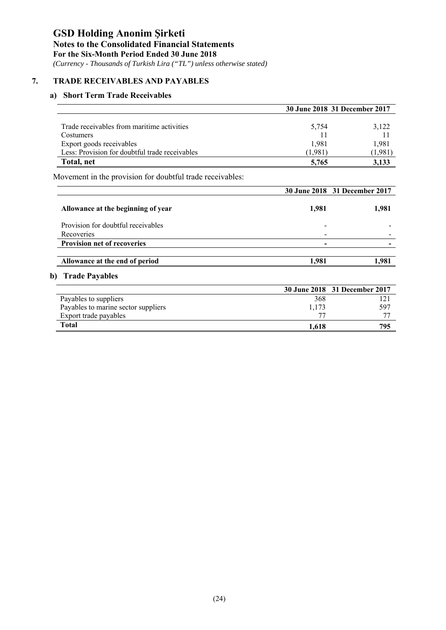# **Notes to the Consolidated Financial Statements**

**For the Six-Month Period Ended 30 June 2018** 

 *(Currency - Thousands of Turkish Lira ("TL") unless otherwise stated)*

### **7. TRADE RECEIVABLES AND PAYABLES**

### **a) Short Term Trade Receivables**

|                                                           |         | 30 June 2018 31 December 2017 |
|-----------------------------------------------------------|---------|-------------------------------|
| Trade receivables from maritime activities                | 5,754   | 3,122                         |
| Costumers                                                 |         |                               |
| Export goods receivables                                  | 1,981   | 1,981                         |
| Less: Provision for doubtful trade receivables            | (1.981) | (1,981)                       |
| Total, net                                                | 5,765   | 3,133                         |
| Movement in the provision for doubtful trade receivables: |         |                               |
|                                                           |         | 30 June 2018 31 December 2017 |
| Allowance at the beginning of year                        | 1.981   | 1.981                         |

Provision for doubtful receivables - -Recoveries - - **Provision net of recoveries**  $\qquad$  -

**Allowance at the end of period** 1,981 1,981

### **b) Trade Payables**

|                                     |       | 30 June 2018 31 December 2017 |
|-------------------------------------|-------|-------------------------------|
| Payables to suppliers               | 368   |                               |
| Payables to marine sector suppliers | 1,173 | 597                           |
| Export trade payables               | $T^*$ |                               |
| Total                               | 1.618 | 795                           |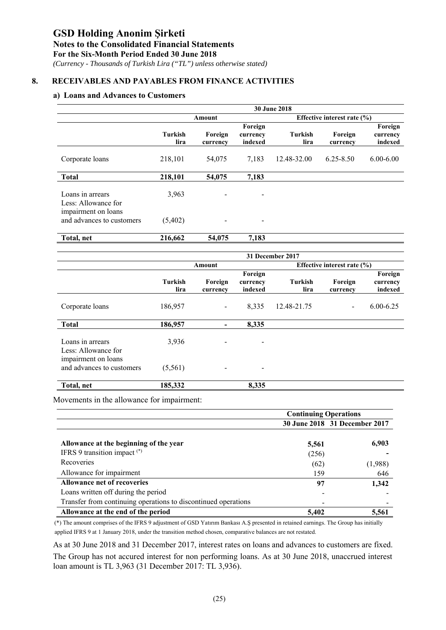### **Notes to the Consolidated Financial Statements**

**For the Six-Month Period Ended 30 June 2018** 

 *(Currency - Thousands of Turkish Lira ("TL") unless otherwise stated)*

### **8. RECEIVABLES AND PAYABLES FROM FINANCE ACTIVITIES**

### **a) Loans and Advances to Customers**

|                                                  | <b>30 June 2018</b> |                              |                                |                                 |                     |                                |  |  |  |
|--------------------------------------------------|---------------------|------------------------------|--------------------------------|---------------------------------|---------------------|--------------------------------|--|--|--|
|                                                  |                     | Amount                       |                                | Effective interest rate $(\% )$ |                     |                                |  |  |  |
|                                                  | Turkish<br>lira     | Foreign<br>currency          | Foreign<br>currency<br>indexed | Turkish<br>lira                 | Foreign<br>currency | Foreign<br>currency<br>indexed |  |  |  |
| Corporate loans                                  | 218,101             | 54,075                       | 7,183                          | 12.48-32.00                     | $6.25 - 8.50$       | $6.00 - 6.00$                  |  |  |  |
| <b>Total</b>                                     | 218,101             | 54,075                       | 7,183                          |                                 |                     |                                |  |  |  |
| Loans in arrears<br>Less: Allowance for          | 3,963               | $\qquad \qquad \blacksquare$ | -                              |                                 |                     |                                |  |  |  |
| impairment on loans<br>and advances to customers | (5,402)             | -                            | $\overline{\phantom{a}}$       |                                 |                     |                                |  |  |  |
| Total, net                                       | 216,662             | 54,075                       | 7,183                          |                                 |                     |                                |  |  |  |

|                                                  |                        | 31 December 2017         |                                |                 |                                 |                                |  |  |  |  |
|--------------------------------------------------|------------------------|--------------------------|--------------------------------|-----------------|---------------------------------|--------------------------------|--|--|--|--|
|                                                  |                        | Amount                   |                                |                 | Effective interest rate $(\% )$ |                                |  |  |  |  |
|                                                  | <b>Turkish</b><br>lira | Foreign<br>currency      | Foreign<br>currency<br>indexed | Turkish<br>lira | Foreign<br>currency             | Foreign<br>currency<br>indexed |  |  |  |  |
| Corporate loans                                  | 186,957                | $\blacksquare$           | 8,335                          | 12.48-21.75     | ۰.                              | $6.00 - 6.25$                  |  |  |  |  |
| <b>Total</b>                                     | 186,957                | $\overline{\phantom{a}}$ | 8,335                          |                 |                                 |                                |  |  |  |  |
| Loans in arrears<br>Less: Allowance for          | 3,936                  | -                        | $\overline{\phantom{a}}$       |                 |                                 |                                |  |  |  |  |
| impairment on loans<br>and advances to customers | (5,561)                | $\overline{\phantom{a}}$ | $\overline{\phantom{a}}$       |                 |                                 |                                |  |  |  |  |
| Total, net                                       | 185,332                |                          | 8,335                          |                 |                                 |                                |  |  |  |  |

Movements in the allowance for impairment:

|                                                                | <b>Continuing Operations</b> |                               |
|----------------------------------------------------------------|------------------------------|-------------------------------|
|                                                                |                              | 30 June 2018 31 December 2017 |
|                                                                |                              |                               |
| Allowance at the beginning of the year                         | 5,561                        | 6,903                         |
| IFRS 9 transition impact $(*)$                                 | (256)                        |                               |
| Recoveries                                                     | (62)                         | (1,988)                       |
| Allowance for impairment                                       | 159                          | 646                           |
| Allowance net of recoveries                                    | 97                           | 1,342                         |
| Loans written off during the period                            |                              |                               |
| Transfer from continuing operations to discontinued operations |                              |                               |
| Allowance at the end of the period                             | 5,402                        | 5,561                         |

(\*) The amount comprises of the IFRS 9 adjustment of GSD Yatırım Bankası A.Ş presented in retained earnings. The Group has initially applied IFRS 9 at 1 January 2018, under the transition method chosen, comparative balances are not restated.

As at 30 June 2018 and 31 December 2017, interest rates on loans and advances to customers are fixed. The Group has not accured interest for non performing loans. As at 30 June 2018, unaccrued interest loan amount is TL 3,963 (31 December 2017: TL 3,936).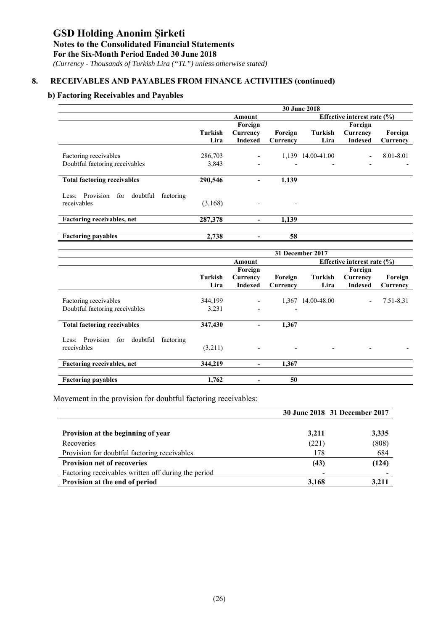# **Notes to the Consolidated Financial Statements**

**For the Six-Month Period Ended 30 June 2018** 

 *(Currency - Thousands of Turkish Lira ("TL") unless otherwise stated)*

# **8. RECEIVABLES AND PAYABLES FROM FINANCE ACTIVITIES (continued)**

### **b) Factoring Receivables and Payables**

|                                                 | 30 June 2018 |                          |                          |                                 |                |           |  |  |
|-------------------------------------------------|--------------|--------------------------|--------------------------|---------------------------------|----------------|-----------|--|--|
|                                                 |              | Amount                   |                          | Effective interest rate $(\% )$ |                |           |  |  |
|                                                 |              | Foreign                  |                          |                                 | Foreign        |           |  |  |
|                                                 | Turkish      | Currency                 | Foreign                  | Turkish                         | Currency       | Foreign   |  |  |
|                                                 | Lira         | <b>Indexed</b>           | Currency                 | Lira                            | <b>Indexed</b> | Currency  |  |  |
|                                                 |              |                          |                          |                                 |                |           |  |  |
| Factoring receivables                           | 286,703      |                          |                          | 1,139 14.00-41.00               |                | 8.01-8.01 |  |  |
| Doubtful factoring receivables                  | 3,843        | $\overline{\phantom{a}}$ | $\overline{\phantom{0}}$ | $\overline{\phantom{a}}$        |                |           |  |  |
|                                                 |              |                          |                          |                                 |                |           |  |  |
| <b>Total factoring receivables</b>              | 290,546      | -                        | 1,139                    |                                 |                |           |  |  |
|                                                 |              |                          |                          |                                 |                |           |  |  |
| Less: Provision<br>doubtful<br>for<br>factoring |              |                          |                          |                                 |                |           |  |  |
| receivables                                     | (3,168)      |                          |                          |                                 |                |           |  |  |
| Factoring receivables, net                      | 287,378      |                          | 1,139                    |                                 |                |           |  |  |
|                                                 |              | ۰                        |                          |                                 |                |           |  |  |
| <b>Factoring payables</b>                       | 2,738        |                          | 58                       |                                 |                |           |  |  |
|                                                 |              |                          |                          |                                 |                |           |  |  |
|                                                 |              |                          |                          | $21$ December $2017$            |                |           |  |  |

|                                                    | 31 December 2017 |                          |                          |             |                                 |           |  |  |
|----------------------------------------------------|------------------|--------------------------|--------------------------|-------------|---------------------------------|-----------|--|--|
|                                                    |                  | Amount                   |                          |             | Effective interest rate $(\% )$ |           |  |  |
|                                                    |                  | Foreign                  |                          |             | Foreign                         |           |  |  |
|                                                    | Turkish          | Currency                 | Foreign                  | Turkish     | Currency                        | Foreign   |  |  |
|                                                    | Lira             | <b>Indexed</b>           | Currency                 | Lira        | <b>Indexed</b>                  | Currency  |  |  |
| Factoring receivables                              | 344,199          | $\overline{\phantom{a}}$ | 1,367                    | 14.00-48.00 |                                 | 7.51-8.31 |  |  |
| Doubtful factoring receivables                     | 3,231            | $\overline{\phantom{a}}$ | $\overline{\phantom{a}}$ |             |                                 |           |  |  |
| <b>Total factoring receivables</b>                 | 347,430          | -                        | 1,367                    |             |                                 |           |  |  |
| Provision<br>for<br>doubtful<br>factoring<br>Less: |                  |                          |                          |             |                                 |           |  |  |
| receivables                                        | (3,211)          | $\overline{\phantom{a}}$ | $\overline{\phantom{a}}$ |             |                                 |           |  |  |
| Factoring receivables, net                         | 344,219          | $\overline{\phantom{a}}$ | 1.367                    |             |                                 |           |  |  |
| <b>Factoring payables</b>                          | 1,762            | ۰                        | 50                       |             |                                 |           |  |  |

Movement in the provision for doubtful factoring receivables:

|                                                     | 30 June 2018 31 December 2017 |       |
|-----------------------------------------------------|-------------------------------|-------|
|                                                     |                               |       |
| Provision at the beginning of year                  | 3,211                         | 3,335 |
| Recoveries                                          | (221)                         | (808) |
| Provision for doubtful factoring receivables        | 178                           | 684   |
| <b>Provision net of recoveries</b>                  | (43)                          | (124) |
| Factoring receivables written off during the period |                               |       |
| Provision at the end of period                      | 3,168                         | 3.211 |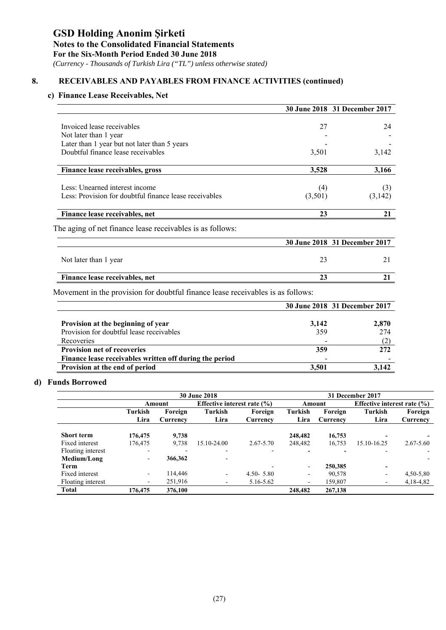# **Notes to the Consolidated Financial Statements**

**For the Six-Month Period Ended 30 June 2018** 

 *(Currency - Thousands of Turkish Lira ("TL") unless otherwise stated)*

# **8. RECEIVABLES AND PAYABLES FROM FINANCE ACTIVITIES (continued)**

### **c) Finance Lease Receivables, Net**

|                                                           | 30 June 2018 31 December 2017 |         |
|-----------------------------------------------------------|-------------------------------|---------|
| Invoiced lease receivables                                | 27                            | 24      |
| Not later than 1 year                                     |                               |         |
| Later than 1 year but not later than 5 years              |                               |         |
| Doubtful finance lease receivables                        | 3,501                         | 3,142   |
| Finance lease receivables, gross                          | 3,528                         | 3,166   |
| Less: Unearned interest income                            | (4)                           | (3)     |
| Less: Provision for doubtful finance lease receivables    | (3,501)                       | (3,142) |
| Finance lease receivables, net                            | 23                            | 21      |
| The aging of net finance lease receivables is as follows: |                               |         |
|                                                           | 30 June 2018 31 December 2017 |         |
| Not later than 1 year                                     | 23                            | 21      |
| Finance lease receivables, net                            | 23                            | 21      |

|                                                         |       | 30 June 2018 31 December 2017 |
|---------------------------------------------------------|-------|-------------------------------|
|                                                         |       |                               |
| Provision at the beginning of year                      | 3,142 | 2.870                         |
| Provision for doubtful lease receivables                | 359   | 274                           |
| Recoveries                                              |       |                               |
| <b>Provision net of recoveries</b>                      | 359   | 272                           |
| Finance lease receivables written off during the period |       |                               |
| Provision at the end of period                          | 3.501 | 3.142                         |

### **d) Funds Borrowed**

|                   | <b>30 June 2018</b>      |                     |                                    |                     |                                           | 31 December 2017    |                          |                     |  |
|-------------------|--------------------------|---------------------|------------------------------------|---------------------|-------------------------------------------|---------------------|--------------------------|---------------------|--|
|                   |                          | Amount              | <b>Effective interest rate (%)</b> |                     | Effective interest rate $(\% )$<br>Amount |                     |                          |                     |  |
|                   | Turkish<br>Lira          | Foreign<br>Currency | Turkish<br>Lira                    | Foreign<br>Currency | <b>Turkish</b><br>Lira                    | Foreign<br>Currency | <b>Turkish</b><br>Lira   | Foreign<br>Currency |  |
| <b>Short term</b> | 176,475                  | 9.738               |                                    |                     | 248,482                                   | 16,753              | $\overline{\phantom{0}}$ |                     |  |
| Fixed interest    | 176,475                  | 9,738               | 15.10-24.00                        | $2.67 - 5.70$       | 248,482                                   | 16,753              | 15.10-16.25              | $2.67 - 5.60$       |  |
| Floating interest | $\overline{\phantom{0}}$ |                     | $\overline{\phantom{0}}$           |                     |                                           |                     | $\overline{\phantom{a}}$ |                     |  |
| Medium/Long       | ۰                        | 366,362             |                                    |                     |                                           |                     |                          |                     |  |
| Term              |                          |                     |                                    |                     | $\overline{\phantom{a}}$                  | 250,385             | $\overline{\phantom{a}}$ |                     |  |
| Fixed interest    | $\overline{\phantom{a}}$ | 114,446             | $\overline{\phantom{0}}$           | $4.50 - 5.80$       | $\overline{\phantom{a}}$                  | 90,578              | $\overline{\phantom{a}}$ | 4,50-5,80           |  |
| Floating interest | $\overline{\phantom{a}}$ | 251.916             | ٠                                  | 5.16-5.62           | $\overline{\phantom{a}}$                  | 159,807             | $\blacksquare$           | 4,18-4,82           |  |
| <b>Total</b>      | 176.475                  | 376,100             |                                    |                     | 248,482                                   | 267,138             |                          |                     |  |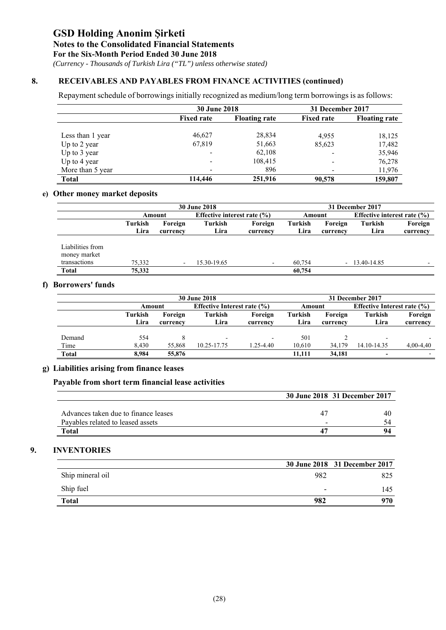*(Currency - Thousands of Turkish Lira ("TL") unless otherwise stated)*

### **8. RECEIVABLES AND PAYABLES FROM FINANCE ACTIVITIES (continued)**

Repayment schedule of borrowings initially recognized as medium/long term borrowings is as follows:

|                  | <b>30 June 2018</b> |                      | 31 December 2017         |                      |  |
|------------------|---------------------|----------------------|--------------------------|----------------------|--|
|                  | <b>Fixed rate</b>   | <b>Floating rate</b> | <b>Fixed rate</b>        | <b>Floating rate</b> |  |
| Less than 1 year | 46,627              | 28,834               | 4.955                    | 18,125               |  |
| Up to 2 year     | 67,819              | 51,663               | 85,623                   | 17,482               |  |
| Up to 3 year     |                     | 62,108               |                          | 35,946               |  |
| Up to 4 year     | -                   | 108,415              | $\overline{\phantom{0}}$ | 76,278               |  |
| More than 5 year |                     | 896                  | -                        | 11,976               |  |
| <b>Total</b>     | 114,446             | 251,916              | 90,578                   | 159,807              |  |

### **e) Other money market deposits**

|                  | <b>30 June 2018</b> |                          |             |                                 | 31 December 2017 |          |                |                                 |  |
|------------------|---------------------|--------------------------|-------------|---------------------------------|------------------|----------|----------------|---------------------------------|--|
|                  |                     | Amount                   |             | Effective interest rate $(\% )$ |                  | Amount   |                | Effective interest rate $(\% )$ |  |
|                  | Turkish             | Foreign                  | Turkish     | Foreign                         | Turkish          | Foreign  | Turkish        | Foreign                         |  |
|                  | Lira                | currency                 | Lira        | currency                        | Lira             | currency | Lira           | currency                        |  |
|                  |                     |                          |             |                                 |                  |          |                |                                 |  |
| Liabilities from |                     |                          |             |                                 |                  |          |                |                                 |  |
| money market     |                     |                          |             |                                 |                  |          |                |                                 |  |
| transactions     | 75.332              | $\overline{\phantom{a}}$ | 15.30-19.65 | $\overline{\phantom{a}}$        | 60.754           |          | $-13.40-14.85$ | -                               |  |
| <b>Total</b>     | 75,332              |                          |             |                                 | 60,754           |          |                |                                 |  |

### **f) Borrowers' funds**

|              |         | <b>30 June 2018</b> |             |                                 |                |          | 31 December 2017         |                                    |  |  |
|--------------|---------|---------------------|-------------|---------------------------------|----------------|----------|--------------------------|------------------------------------|--|--|
|              |         | Amount              |             | Effective Interest rate $(\% )$ |                | Amount   |                          | <b>Effective Interest rate (%)</b> |  |  |
|              | Turkish | Foreign             | Turkish     | Foreign                         | <b>Turkish</b> | Foreign  | Turkish                  | Foreign                            |  |  |
|              | Lira    | currency            | Lira        | currency                        | Lira           | currency | Lira                     | currency                           |  |  |
|              |         |                     |             |                                 |                |          |                          |                                    |  |  |
| Demand       | 554     |                     |             |                                 | 501            |          | $\overline{\phantom{a}}$ |                                    |  |  |
| Time         | 8.430   | 55,868              | 10.25-17.75 | $1.25 - 4.40$                   | 10.610         | 34,179   | 14.10-14.35              | $4,00-4,40$                        |  |  |
| <b>Total</b> | 8.984   | 55,876              |             |                                 | 11.111         | 34.181   | $\blacksquare$           |                                    |  |  |

### **g) Liabilities arising from finance leases**

### **Payable from short term financial lease activities**

|                                      |   | 30 June 2018 31 December 2017 |
|--------------------------------------|---|-------------------------------|
|                                      |   |                               |
| Advances taken due to finance leases |   | 40                            |
| Payables related to leased assets    | - |                               |
| Total                                |   |                               |

### **9. INVENTORIES**

|                  |     | 30 June 2018 31 December 2017 |
|------------------|-----|-------------------------------|
| Ship mineral oil | 982 | 825                           |
| Ship fuel        | -   | 145                           |
| <b>Total</b>     | 982 | 970                           |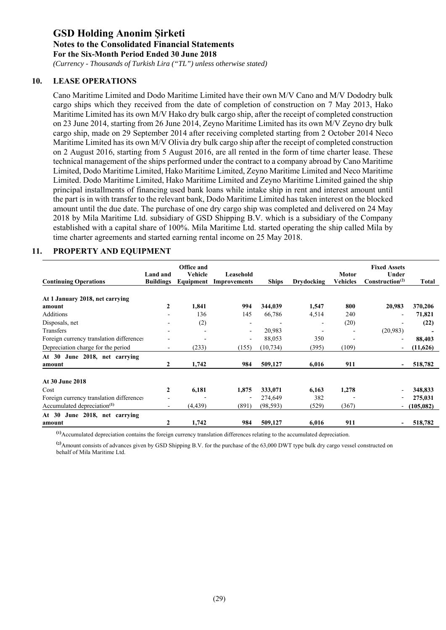*(Currency - Thousands of Turkish Lira ("TL") unless otherwise stated)*

### **10. LEASE OPERATIONS**

Cano Maritime Limited and Dodo Maritime Limited have their own M/V Cano and M/V Dododry bulk cargo ships which they received from the date of completion of construction on 7 May 2013, Hako Maritime Limited has its own M/V Hako dry bulk cargo ship, after the receipt of completed construction on 23 June 2014, starting from 26 June 2014, Zeyno Maritime Limited has its own M/V Zeyno dry bulk cargo ship, made on 29 September 2014 after receiving completed starting from 2 October 2014 Neco Maritime Limited has its own M/V Olivia dry bulk cargo ship after the receipt of completed construction on 2 August 2016, starting from 5 August 2016, are all rented in the form of time charter lease. These technical management of the ships performed under the contract to a company abroad by Cano Maritime Limited, Dodo Maritime Limited, Hako Maritime Limited, Zeyno Maritime Limited and Neco Maritime Limited. Dodo Maritime Limited, Hako Maritime Limited and Zeyno Maritime Limited gained the ship principal installments of financing used bank loans while intake ship in rent and interest amount until the part is in with transfer to the relevant bank, Dodo Maritime Limited has taken interest on the blocked amount until the due date. The purchase of one dry cargo ship was completed and delivered on 24 May 2018 by Mila Maritime Ltd. subsidiary of GSD Shipping B.V. which is a subsidiary of the Company established with a capital share of 100%. Mila Maritime Ltd. started operating the ship called Mila by time charter agreements and started earning rental income on 25 May 2018.

#### **Continuing Operations Land and Buildings Office and Vehicle Equipment Leasehold Improvements Ships Drydocking Motor Vehicles Fixed Assets Under Construction(2) Total At 1 January 2018, net carrying amount 2 1,841 994 344,039 1,547 800 20,983 370,206**  Additions - 136 145 66,786 4,514 240 - **71,821**  Disposals, net - (2) - - - (20) - **(22)**  Transfers - - - 20,983 - - (20,983) **-**  Foreign currency translation differences - - - 88,053 350 - - **88,403**  Depreciation charge for the period - (233) (155) (10,734) (395) (109) - **(11,626) At 30 June 2018, net carrying amount 2 1,742 984 509,127 6,016 911 - 518,782 At 30 June 2018**  Cost **2 6,181 1,875 333,071 6,163 1,278** - **348,833**  Foreign currency translation differences - - 274,649 382 - 275,031<br>Accumulated depreciation<sup>(1)</sup> - (4.439) (891) (98.593) (529) (367) - (105.082) Accumulated depreciation<sup>(1)</sup> - (4,439) (891) (98,593) (529) (367) - (105,082) **At 30 June 2018, net carrying amount 2 1,742 984 509,127 6,016 911 - 518,782**

#### **11. PROPERTY AND EQUIPMENT**

**(1)** Accumulated depreciation contains the foreign currency translation differences relating to the accumulated depreciation.

**(2)** Amount consists of advances given by GSD Shipping B.V. for the purchase of the 63,000 DWT type bulk dry cargo vessel constructed on behalf of Mila Maritime Ltd.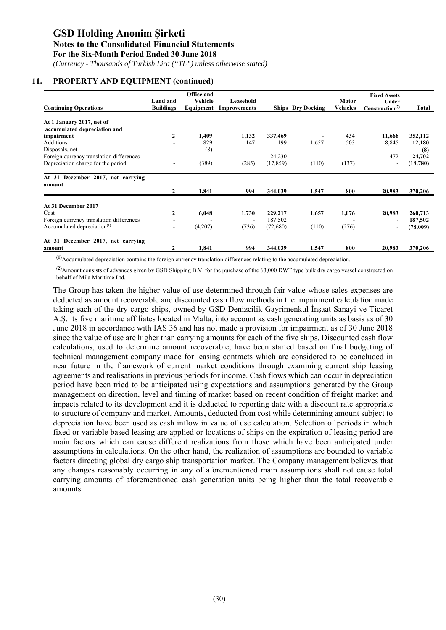*(Currency - Thousands of Turkish Lira ("TL") unless otherwise stated)*

### **11. PROPERTY AND EQUIPMENT (continued)**

| <b>Continuing Operations</b>             | Land and<br><b>Buildings</b> | Office and<br>Vehicle<br>Equipment | Leasehold<br><b>Improvements</b> |           | <b>Ships</b> Dry Docking | <b>Motor</b><br><b>Vehicles</b> | <b>Fixed Assets</b><br>Under<br>Construction <sup>(2)</sup> | Total    |
|------------------------------------------|------------------------------|------------------------------------|----------------------------------|-----------|--------------------------|---------------------------------|-------------------------------------------------------------|----------|
| At 1 January 2017, net of                |                              |                                    |                                  |           |                          |                                 |                                                             |          |
| accumulated depreciation and             |                              |                                    |                                  |           |                          |                                 |                                                             |          |
| impairment                               | 2                            | 1,409                              | 1,132                            | 337,469   |                          | 434                             | 11,666                                                      | 352,112  |
| Additions                                |                              | 829                                | 147                              | 199       | 1,657                    | 503                             | 8,845                                                       | 12,180   |
| Disposals, net                           |                              | (8)                                | ۰                                | -         |                          |                                 |                                                             | (8)      |
| Foreign currency translation differences |                              |                                    | $\sim$                           | 24,230    |                          |                                 | 472                                                         | 24,702   |
| Depreciation charge for the period       |                              | (389)                              | (285)                            | (17, 859) | (110)                    | (137)                           | $\overline{\phantom{a}}$                                    | (18,780) |
| At 31 December 2017, net carrying        |                              |                                    |                                  |           |                          |                                 |                                                             |          |
| amount                                   |                              |                                    |                                  |           |                          |                                 |                                                             |          |
|                                          | $\mathbf{2}$                 | 1,841                              | 994                              | 344,039   | 1,547                    | 800                             | 20,983                                                      | 370,206  |
| At 31 December 2017                      |                              |                                    |                                  |           |                          |                                 |                                                             |          |
| Cost                                     | 2                            | 6,048                              | 1,730                            | 229,217   | 1,657                    | 1,076                           | 20,983                                                      | 260,713  |
| Foreign currency translation differences |                              |                                    | $\overline{\phantom{a}}$         | 187,502   |                          |                                 |                                                             | 187,502  |
| Accumulated depreciation <sup>(1)</sup>  | ٠.                           | (4,207)                            | (736)                            | (72,680)  | (110)                    | (276)                           |                                                             | (78,009) |
| At 31 December 2017, net carrying        |                              |                                    |                                  |           |                          |                                 |                                                             |          |
| amount                                   |                              | 1,841                              | 994                              | 344,039   | 1,547                    | 800                             | 20,983                                                      | 370,206  |

**(1)**Accumulated depreciation contains the foreign currency translation differences relating to the accumulated depreciation.

**(2)**Amount consists of advances given by GSD Shipping B.V. for the purchase of the 63,000 DWT type bulk dry cargo vessel constructed on behalf of Mila Maritime Ltd.

The Group has taken the higher value of use determined through fair value whose sales expenses are deducted as amount recoverable and discounted cash flow methods in the impairment calculation made taking each of the dry cargo ships, owned by GSD Denizcilik Gayrimenkul İnşaat Sanayi ve Ticaret A.Ş. its five maritime affiliates located in Malta, into account as cash generating units as basis as of 30 June 2018 in accordance with IAS 36 and has not made a provision for impairment as of 30 June 2018 since the value of use are higher than carrying amounts for each of the five ships. Discounted cash flow calculations, used to determine amount recoverable, have been started based on final budgeting of technical management company made for leasing contracts which are considered to be concluded in near future in the framework of current market conditions through examining current ship leasing agreements and realisations in previous periods for income. Cash flows which can occur in depreciation period have been tried to be anticipated using expectations and assumptions generated by the Group management on direction, level and timing of market based on recent condition of freight market and impacts related to its development and it is deducted to reporting date with a discount rate appropriate to structure of company and market. Amounts, deducted from cost while determining amount subject to depreciation have been used as cash inflow in value of use calculation. Selection of periods in which fixed or variable based leasing are applied or locations of ships on the expiration of leasing period are main factors which can cause different realizations from those which have been anticipated under assumptions in calculations. On the other hand, the realization of assumptions are bounded to variable factors directing global dry cargo ship transportation market. The Company management believes that any changes reasonably occurring in any of aforementioned main assumptions shall not cause total carrying amounts of aforementioned cash generation units being higher than the total recoverable amounts.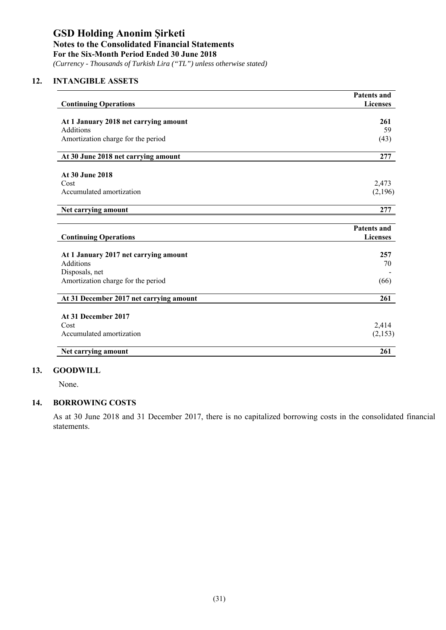*(Currency - Thousands of Turkish Lira ("TL") unless otherwise stated)*

### **12. INTANGIBLE ASSETS**

| <b>Continuing Operations</b>            | <b>Patents and</b><br><b>Licenses</b> |
|-----------------------------------------|---------------------------------------|
|                                         |                                       |
| At 1 January 2018 net carrying amount   | 261                                   |
| Additions                               | 59                                    |
| Amortization charge for the period      | (43)                                  |
| At 30 June 2018 net carrying amount     | 277                                   |
| At 30 June 2018                         |                                       |
| Cost                                    | 2,473                                 |
| Accumulated amortization                | (2,196)                               |
| Net carrying amount                     | 277                                   |
|                                         |                                       |
|                                         | <b>Patents and</b>                    |
| <b>Continuing Operations</b>            | <b>Licenses</b>                       |
| At 1 January 2017 net carrying amount   | 257                                   |
| <b>Additions</b>                        | 70                                    |
| Disposals, net                          |                                       |
| Amortization charge for the period      | (66)                                  |
| At 31 December 2017 net carrying amount | 261                                   |
|                                         |                                       |
| At 31 December 2017                     |                                       |
| Cost                                    | 2,414                                 |
| Accumulated amortization                | (2,153)                               |
| Net carrying amount                     | 261                                   |

#### **13. GOODWILL**

None.

### **14. BORROWING COSTS**

As at 30 June 2018 and 31 December 2017, there is no capitalized borrowing costs in the consolidated financial statements.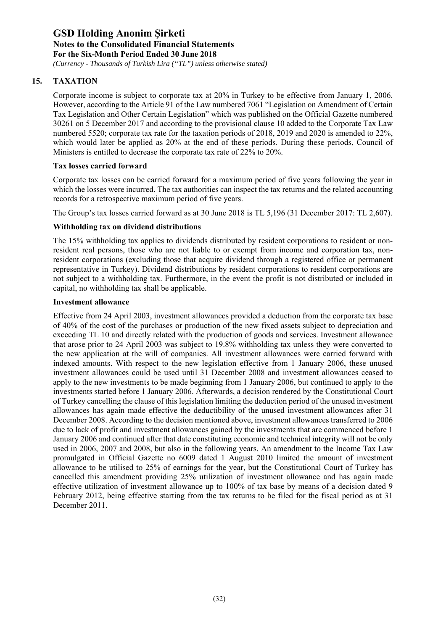*(Currency - Thousands of Turkish Lira ("TL") unless otherwise stated)*

## **15. TAXATION**

Corporate income is subject to corporate tax at 20% in Turkey to be effective from January 1, 2006. However, according to the Article 91 of the Law numbered 7061 "Legislation on Amendment of Certain Tax Legislation and Other Certain Legislation" which was published on the Official Gazette numbered 30261 on 5 December 2017 and according to the provisional clause 10 added to the Corporate Tax Law numbered 5520; corporate tax rate for the taxation periods of 2018, 2019 and 2020 is amended to 22%, which would later be applied as 20% at the end of these periods. During these periods, Council of Ministers is entitled to decrease the corporate tax rate of 22% to 20%.

### **Tax losses carried forward**

Corporate tax losses can be carried forward for a maximum period of five years following the year in which the losses were incurred. The tax authorities can inspect the tax returns and the related accounting records for a retrospective maximum period of five years.

The Group's tax losses carried forward as at 30 June 2018 is TL 5,196 (31 December 2017: TL 2,607).

### **Withholding tax on dividend distributions**

The 15% withholding tax applies to dividends distributed by resident corporations to resident or nonresident real persons, those who are not liable to or exempt from income and corporation tax, nonresident corporations (excluding those that acquire dividend through a registered office or permanent representative in Turkey). Dividend distributions by resident corporations to resident corporations are not subject to a withholding tax. Furthermore, in the event the profit is not distributed or included in capital, no withholding tax shall be applicable.

#### **Investment allowance**

Effective from 24 April 2003, investment allowances provided a deduction from the corporate tax base of 40% of the cost of the purchases or production of the new fixed assets subject to depreciation and exceeding TL 10 and directly related with the production of goods and services. Investment allowance that arose prior to 24 April 2003 was subject to 19.8% withholding tax unless they were converted to the new application at the will of companies. All investment allowances were carried forward with indexed amounts. With respect to the new legislation effective from 1 January 2006, these unused investment allowances could be used until 31 December 2008 and investment allowances ceased to apply to the new investments to be made beginning from 1 January 2006, but continued to apply to the investments started before 1 January 2006. Afterwards, a decision rendered by the Constitutional Court of Turkey cancelling the clause of this legislation limiting the deduction period of the unused investment allowances has again made effective the deductibility of the unused investment allowances after 31 December 2008. According to the decision mentioned above, investment allowances transferred to 2006 due to lack of profit and investment allowances gained by the investments that are commenced before 1 January 2006 and continued after that date constituting economic and technical integrity will not be only used in 2006, 2007 and 2008, but also in the following years. An amendment to the Income Tax Law promulgated in Official Gazette no 6009 dated 1 August 2010 limited the amount of investment allowance to be utilised to 25% of earnings for the year, but the Constitutional Court of Turkey has cancelled this amendment providing 25% utilization of investment allowance and has again made effective utilization of investment allowance up to 100% of tax base by means of a decision dated 9 February 2012, being effective starting from the tax returns to be filed for the fiscal period as at 31 December 2011.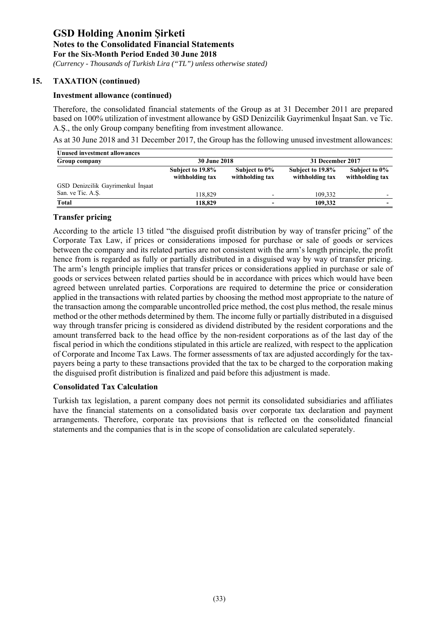*(Currency - Thousands of Turkish Lira ("TL") unless otherwise stated)*

### **15. TAXATION (continued)**

#### **Investment allowance (continued)**

Therefore, the consolidated financial statements of the Group as at 31 December 2011 are prepared based on 100% utilization of investment allowance by GSD Denizcilik Gayrimenkul İnşaat San. ve Tic. A.Ş., the only Group company benefiting from investment allowance.

As at 30 June 2018 and 31 December 2017, the Group has the following unused investment allowances:

| Unused investment allowances      |                                     |                                  |                                     |                                  |  |
|-----------------------------------|-------------------------------------|----------------------------------|-------------------------------------|----------------------------------|--|
| Group company                     | <b>30 June 2018</b>                 |                                  | 31 December 2017                    |                                  |  |
|                                   | Subject to 19.8%<br>withholding tax | Subject to 0%<br>withholding tax | Subject to 19.8%<br>withholding tax | Subject to 0%<br>withholding tax |  |
| GSD Denizcilik Gayrimenkul İnşaat |                                     |                                  |                                     |                                  |  |
| San. ve Tic. A.S.                 | 118.829                             |                                  | 109.332                             | $\overline{\phantom{0}}$         |  |
| Total                             | 118,829                             |                                  | 109.332                             | $\overline{\phantom{0}}$         |  |

#### **Transfer pricing**

According to the article 13 titled "the disguised profit distribution by way of transfer pricing" of the Corporate Tax Law, if prices or considerations imposed for purchase or sale of goods or services between the company and its related parties are not consistent with the arm's length principle, the profit hence from is regarded as fully or partially distributed in a disguised way by way of transfer pricing. The arm's length principle implies that transfer prices or considerations applied in purchase or sale of goods or services between related parties should be in accordance with prices which would have been agreed between unrelated parties. Corporations are required to determine the price or consideration applied in the transactions with related parties by choosing the method most appropriate to the nature of the transaction among the comparable uncontrolled price method, the cost plus method, the resale minus method or the other methods determined by them. The income fully or partially distributed in a disguised way through transfer pricing is considered as dividend distributed by the resident corporations and the amount transferred back to the head office by the non-resident corporations as of the last day of the fiscal period in which the conditions stipulated in this article are realized, with respect to the application of Corporate and Income Tax Laws. The former assessments of tax are adjusted accordingly for the taxpayers being a party to these transactions provided that the tax to be charged to the corporation making the disguised profit distribution is finalized and paid before this adjustment is made.

#### **Consolidated Tax Calculation**

Turkish tax legislation, a parent company does not permit its consolidated subsidiaries and affiliates have the financial statements on a consolidated basis over corporate tax declaration and payment arrangements. Therefore, corporate tax provisions that is reflected on the consolidated financial statements and the companies that is in the scope of consolidation are calculated seperately.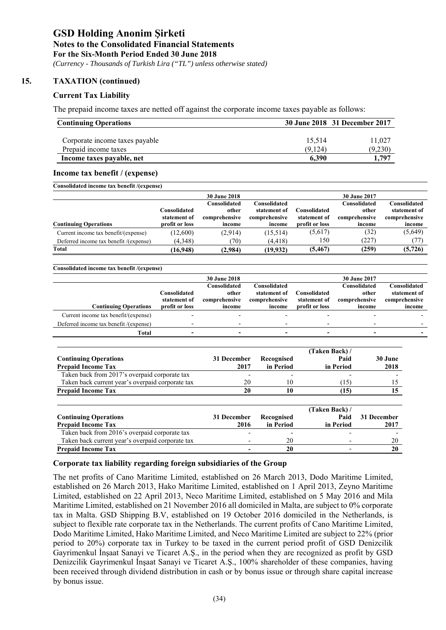*(Currency - Thousands of Turkish Lira ("TL") unless otherwise stated)*

### **15. TAXATION (continued)**

### **Current Tax Liability**

The prepaid income taxes are netted off against the corporate income taxes payable as follows:

| <b>Continuing Operations</b>   | 30 June 2018 31 December 2017 |         |  |  |
|--------------------------------|-------------------------------|---------|--|--|
| Corporate income taxes payable | 15.514                        | 11.027  |  |  |
| Prepaid income taxes           | (9.124)                       | (9,230) |  |  |
| Income taxes payable, net      | 6.390                         | 1.797   |  |  |

#### **Income tax benefit / (expense)**

| Consolidated income tax benefit /(expense) |                                |                         |                         |                                |                         |                         |
|--------------------------------------------|--------------------------------|-------------------------|-------------------------|--------------------------------|-------------------------|-------------------------|
|                                            |                                | <b>30 June 2018</b>     |                         |                                | 30 June 2017            |                         |
|                                            |                                | Consolidated            | Consolidated            |                                | Consolidated            | Consolidated            |
|                                            | Consolidated                   | other                   | statement of            | Consolidated                   | other                   | statement of            |
| <b>Continuing Operations</b>               | statement of<br>profit or loss | comprehensive<br>income | comprehensive<br>income | statement of<br>profit or loss | comprehensive<br>income | comprehensive<br>income |
|                                            |                                |                         |                         |                                |                         |                         |
| Current income tax benefit/(expense)       | (12,600)                       | (2,914)                 | (15,514)                | (5,617)                        | (32)                    | (5,649)                 |
| Deferred income tax benefit /(expense)     | (4,348)                        | (70)                    | (4, 418)                | 150                            | (227)                   | (77)                    |
| Total                                      | (16,948)                       | (2,984)                 | (19,932)                | (5, 467)                       | (259)                   | (5, 726)                |

| Consolidated income tax benefit /(expense) |                |                          |               |                |                          |               |
|--------------------------------------------|----------------|--------------------------|---------------|----------------|--------------------------|---------------|
|                                            |                | <b>30 June 2018</b>      |               |                | <b>30 June 2017</b>      |               |
|                                            |                | Consolidated             | Consolidated  |                | Consolidated             | Consolidated  |
|                                            | Consolidated   | other                    | statement of  | Consolidated   | other                    | statement of  |
|                                            | statement of   | comprehensive            | comprehensive | statement of   | comprehensive            | comprehensive |
| <b>Continuing Operations</b>               | profit or loss | income                   | income        | profit or loss | income                   | income        |
| Current income tax benefit/(expense)       |                |                          |               |                |                          |               |
| Deferred income tax benefit /(expense)     |                | $\overline{\phantom{0}}$ |               |                | $\overline{\phantom{0}}$ |               |
| Total                                      |                | $\blacksquare$           |               |                | $\overline{\phantom{a}}$ |               |
|                                            |                |                          |               |                |                          |               |

|                                                           |                     |                         | (Taken Back) /    |                 |
|-----------------------------------------------------------|---------------------|-------------------------|-------------------|-----------------|
| <b>Continuing Operations</b><br><b>Prepaid Income Tax</b> | 31 December<br>2017 | Recognised<br>in Period | Paid<br>in Period | 30 June<br>2018 |
| Taken back from 2017's overpaid corporate tax             |                     | ۰                       |                   |                 |
| Taken back current year's overpaid corporate tax          | 20                  | 10                      | (15)              |                 |
| <b>Prepaid Income Tax</b>                                 | 20                  |                         | (15)              |                 |

|                                                  |             |            | (Taken Back) / |             |
|--------------------------------------------------|-------------|------------|----------------|-------------|
| <b>Continuing Operations</b>                     | 31 December | Recognised | Paid           | 31 December |
| <b>Prepaid Income Tax</b>                        | 2016        | in Period  | in Period      | 2017        |
| Taken back from 2016's overpaid corporate tax    |             |            |                |             |
| Taken back current year's overpaid corporate tax | -           | 20         |                | 20          |
| <b>Prepaid Income Tax</b>                        |             | 20         |                |             |

### **Corporate tax liability regarding foreign subsidiaries of the Group**

The net profits of Cano Maritime Limited, established on 26 March 2013, Dodo Maritime Limited, established on 26 March 2013, Hako Maritime Limited, established on 1 April 2013, Zeyno Maritime Limited, established on 22 April 2013, Neco Maritime Limited, established on 5 May 2016 and Mila Maritime Limited, established on 21 November 2016 all domiciled in Malta, are subject to 0% corporate tax in Malta. GSD Shipping B.V, established on 19 October 2016 domiciled in the Netherlands, is subject to flexible rate corporate tax in the Netherlands. The current profits of Cano Maritime Limited, Dodo Maritime Limited, Hako Maritime Limited, and Neco Maritime Limited are subject to 22% (prior period to 20%) corporate tax in Turkey to be taxed in the current period profit of GSD Denizcilik Gayrimenkul İnşaat Sanayi ve Ticaret A.Ş., in the period when they are recognized as profit by GSD Denizcilik Gayrimenkul İnşaat Sanayi ve Ticaret A.Ş., 100% shareholder of these companies, having been received through dividend distribution in cash or by bonus issue or through share capital increase by bonus issue.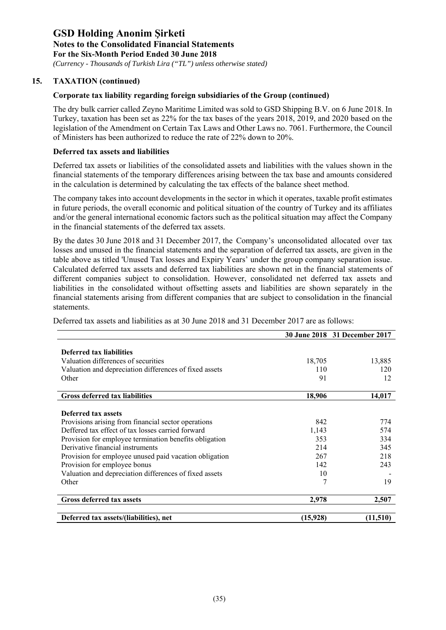*(Currency - Thousands of Turkish Lira ("TL") unless otherwise stated)*

### **15. TAXATION (continued)**

### **Corporate tax liability regarding foreign subsidiaries of the Group (continued)**

The dry bulk carrier called Zeyno Maritime Limited was sold to GSD Shipping B.V. on 6 June 2018. In Turkey, taxation has been set as 22% for the tax bases of the years 2018, 2019, and 2020 based on the legislation of the Amendment on Certain Tax Laws and Other Laws no. 7061. Furthermore, the Council of Ministers has been authorized to reduce the rate of 22% down to 20%.

### **Deferred tax assets and liabilities**

Deferred tax assets or liabilities of the consolidated assets and liabilities with the values shown in the financial statements of the temporary differences arising between the tax base and amounts considered in the calculation is determined by calculating the tax effects of the balance sheet method.

The company takes into account developments in the sector in which it operates, taxable profit estimates in future periods, the overall economic and political situation of the country of Turkey and its affiliates and/or the general international economic factors such as the political situation may affect the Company in the financial statements of the deferred tax assets.

By the dates 30 June 2018 and 31 December 2017, the Company's unconsolidated allocated over tax losses and unused in the financial statements and the separation of deferred tax assets, are given in the table above as titled 'Unused Tax losses and Expiry Years' under the group company separation issue. Calculated deferred tax assets and deferred tax liabilities are shown net in the financial statements of different companies subject to consolidation. However, consolidated net deferred tax assets and liabilities in the consolidated without offsetting assets and liabilities are shown separately in the financial statements arising from different companies that are subject to consolidation in the financial statements.

Deferred tax assets and liabilities as at 30 June 2018 and 31 December 2017 are as follows:

|                                                        |          | 30 June 2018 31 December 2017 |
|--------------------------------------------------------|----------|-------------------------------|
|                                                        |          |                               |
| <b>Deferred tax liabilities</b>                        |          |                               |
| Valuation differences of securities                    | 18,705   | 13,885                        |
| Valuation and depreciation differences of fixed assets | 110      | 120                           |
| Other                                                  | 91       | 12                            |
| <b>Gross deferred tax liabilities</b>                  | 18,906   | 14,017                        |
|                                                        |          |                               |
| Deferred tax assets                                    |          |                               |
| Provisions arising from financial sector operations    | 842      | 774                           |
| Deffered tax effect of tax losses carried forward      | 1,143    | 574                           |
| Provision for employee termination benefits obligation | 353      | 334                           |
| Derivative financial instruments                       | 214      | 345                           |
| Provision for employee unused paid vacation obligation | 267      | 218                           |
| Provision for employee bonus                           | 142      | 243                           |
| Valuation and depreciation differences of fixed assets | 10       |                               |
| Other                                                  | 7        | 19                            |
| <b>Gross deferred tax assets</b>                       | 2,978    | 2,507                         |
|                                                        |          |                               |
| Deferred tax assets/(liabilities), net                 | (15,928) | (11,510)                      |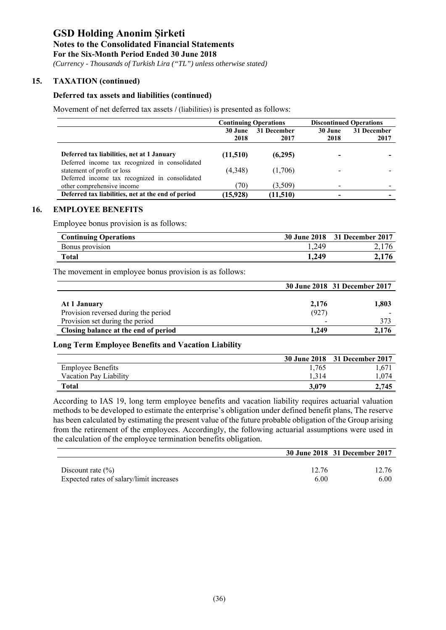*(Currency - Thousands of Turkish Lira ("TL") unless otherwise stated)*

### **15. TAXATION (continued)**

#### **Deferred tax assets and liabilities (continued)**

Movement of net deferred tax assets **/** (liabilities) is presented as follows:

|                                                                               |                        | <b>Continuing Operations</b> | <b>Discontinued Operations</b> |             |  |
|-------------------------------------------------------------------------------|------------------------|------------------------------|--------------------------------|-------------|--|
|                                                                               | 31 December<br>30 June |                              | 30 June                        | 31 December |  |
|                                                                               | 2018                   | 2017                         | 2018                           | 2017        |  |
| Deferred tax liabilities, net at 1 January                                    | (11,510)               | (6,295)                      |                                |             |  |
| Deferred income tax recognized in consolidated<br>statement of profit or loss | (4,348)                | (1,706)                      |                                |             |  |
| Deferred income tax recognized in consolidated                                |                        |                              |                                |             |  |
| other comprehensive income                                                    | (70)                   | (3,509)                      |                                |             |  |
| Deferred tax liabilities, net at the end of period                            | (15,928)               | (11,510)                     |                                |             |  |

#### **16. EMPLOYEE BENEFITS**

Employee bonus provision is as follows:

| <b>Continuing Operations</b> |       | 30 June 2018 31 December 2017 |
|------------------------------|-------|-------------------------------|
| Bonus provision              | 1,249 |                               |
| Total                        | 1,249 |                               |

The movement in employee bonus provision is as follows:

|                                      |       | 30 June 2018 31 December 2017 |
|--------------------------------------|-------|-------------------------------|
|                                      |       |                               |
| At 1 January                         | 2,176 | 1,803                         |
| Provision reversed during the period | (927) |                               |
| Provision set during the period      | ۰     | 373                           |
| Closing balance at the end of period | 1.249 | 2.176                         |

### **Long Term Employee Benefits and Vacation Liability**

|                          |       | 30 June 2018 31 December 2017 |
|--------------------------|-------|-------------------------------|
| <b>Employee Benefits</b> | 1.765 | 1.671                         |
| Vacation Pay Liability   |       | .074                          |
| Total                    | 3.079 | 2.745                         |

According to IAS 19, long term employee benefits and vacation liability requires actuarial valuation methods to be developed to estimate the enterprise's obligation under defined benefit plans, The reserve has been calculated by estimating the present value of the future probable obligation of the Group arising from the retirement of the employees. Accordingly, the following actuarial assumptions were used in the calculation of the employee termination benefits obligation.

|                                          |       | 30 June 2018 31 December 2017 |
|------------------------------------------|-------|-------------------------------|
|                                          |       |                               |
| Discount rate $(\% )$                    | 12.76 | 12.76                         |
| Expected rates of salary/limit increases | 6.00  | 6.00                          |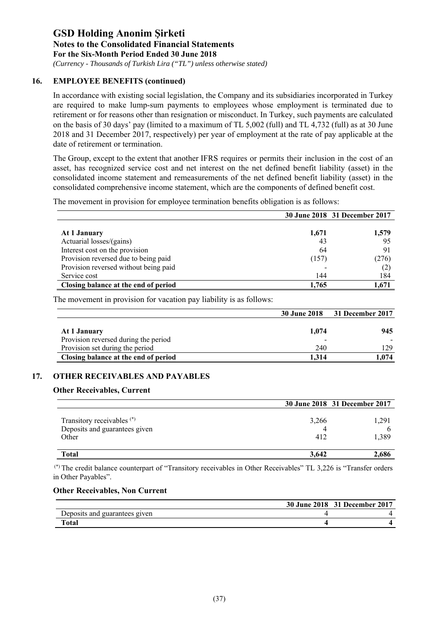*(Currency - Thousands of Turkish Lira ("TL") unless otherwise stated)*

### **16. EMPLOYEE BENEFITS (continued)**

In accordance with existing social legislation, the Company and its subsidiaries incorporated in Turkey are required to make lump-sum payments to employees whose employment is terminated due to retirement or for reasons other than resignation or misconduct. In Turkey, such payments are calculated on the basis of 30 days' pay (limited to a maximum of TL 5,002 (full) and TL 4,732 (full) as at 30 June 2018 and 31 December 2017, respectively) per year of employment at the rate of pay applicable at the date of retirement or termination.

The Group, except to the extent that another IFRS requires or permits their inclusion in the cost of an asset, has recognized service cost and net interest on the net defined benefit liability (asset) in the consolidated income statement and remeasurements of the net defined benefit liability (asset) in the consolidated comprehensive income statement, which are the components of defined benefit cost.

The movement in provision for employee termination benefits obligation is as follows:

|                                       |       | 30 June 2018 31 December 2017 |
|---------------------------------------|-------|-------------------------------|
|                                       |       |                               |
| At 1 January                          | 1,671 | 1,579                         |
| Actuarial losses/(gains)              | 43    | 95                            |
| Interest cost on the provision        | 64    | 91                            |
| Provision reversed due to being paid  | (157) | (276)                         |
| Provision reversed without being paid |       | (2)                           |
| Service cost                          | 144   | 184                           |
| Closing balance at the end of period  | 1,765 | 1.671                         |

The movement in provision for vacation pay liability is as follows:

|                                      | <b>30 June 2018</b> | 31 December 2017 |
|--------------------------------------|---------------------|------------------|
| At 1 January                         | 1.074               | 945              |
| Provision reversed during the period | -                   |                  |
| Provision set during the period      | 240                 | 129              |
| Closing balance at the end of period | 1.314               | l.074            |

### **17. OTHER RECEIVABLES AND PAYABLES**

### **Other Receivables, Current**

|                                                                                 |              | 30 June 2018 31 December 2017 |
|---------------------------------------------------------------------------------|--------------|-------------------------------|
| Transitory receivables <sup>(*)</sup><br>Deposits and guarantees given<br>Other | 3,266<br>412 | 1,291<br>h<br>1,389           |
| Total                                                                           | 3,642        | 2,686                         |

 (\*) The credit balance counterpart of "Transitory receivables in Other Receivables" TL 3,226 is "Transfer orders in Other Payables".

#### **Other Receivables, Non Current**

|                               | 30 June 2018 31 December 2017 |
|-------------------------------|-------------------------------|
| Deposits and guarantees given |                               |
| Total                         |                               |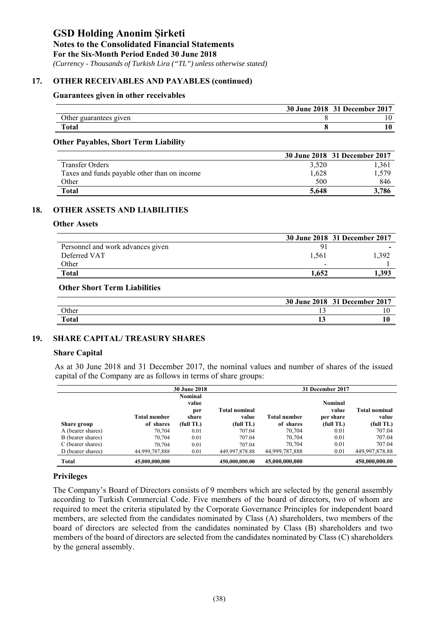**Notes to the Consolidated Financial Statements** 

**For the Six-Month Period Ended 30 June 2018** 

 *(Currency - Thousands of Turkish Lira ("TL") unless otherwise stated)*

### **17. OTHER RECEIVABLES AND PAYABLES (continued)**

### **Guarantees given in other receivables**

|                        | 30 June 2018 31 December 2017 |
|------------------------|-------------------------------|
| Other guarantees given |                               |
| <b>Total</b>           |                               |

### **Other Payables, Short Term Liability**

|                                              |       | 30 June 2018 31 December 2017 |
|----------------------------------------------|-------|-------------------------------|
| <b>Transfer Orders</b>                       | 3,520 | 1,361                         |
| Taxes and funds payable other than on income | 1,628 | .,579                         |
| Other                                        | 500   | 846                           |
| Total                                        | 5.648 | 3.786                         |

### **18. OTHER ASSETS AND LIABILITIES**

#### **Other Assets**

|                                   |       | 30 June 2018 31 December 2017 |
|-----------------------------------|-------|-------------------------------|
| Personnel and work advances given |       |                               |
| Deferred VAT                      | 1.561 | 1.392                         |
| Other                             | -     |                               |
| <b>Total</b>                      | 1.652 | 1,393                         |

#### **Other Short Term Liabilities**

|              |    | 30 June 2018 31 December 2017 |
|--------------|----|-------------------------------|
| Other        |    |                               |
| <b>Total</b> | ⊥୰ |                               |

### **19. SHARE CAPITAL/ TREASURY SHARES**

#### **Share Capital**

As at 30 June 2018 and 31 December 2017, the nominal values and number of shares of the issued capital of the Company are as follows in terms of share groups:

|                   |                | <b>30 June 2018</b> |                      |                | 31 December 2017 |                |  |
|-------------------|----------------|---------------------|----------------------|----------------|------------------|----------------|--|
|                   |                | Nominal             |                      |                |                  |                |  |
|                   |                | value               |                      |                | Nominal          |                |  |
|                   |                | per                 | <b>Total nominal</b> |                | value            | Total nominal  |  |
|                   | Total number   | share               | value                | Total number   | per share        | value          |  |
| Share group       | of shares      | (full TL)           | (full TL)            | of shares      | (full TL)        | (full TL)      |  |
| A (bearer shares) | 70,704         | 0.01                | 707.04               | 70,704         | 0.01             | 707.04         |  |
| B (bearer shares) | 70,704         | 0.01                | 707.04               | 70,704         | 0.01             | 707.04         |  |
| C (bearer shares) | 70,704         | 0.01                | 707.04               | 70,704         | 0.01             | 707.04         |  |
| D (bearer shares) | 44,999,787,888 | 0.01                | 449,997,878.88       | 44,999,787,888 | 0.01             | 449,997,878.88 |  |
| <b>Total</b>      | 45,000,000,000 |                     | 450,000,000.00       | 45,000,000,000 |                  | 450,000,000.00 |  |

### **Privileges**

The Company's Board of Directors consists of 9 members which are selected by the general assembly according to Turkish Commercial Code. Five members of the board of directors, two of whom are required to meet the criteria stipulated by the Corporate Governance Principles for independent board members, are selected from the candidates nominated by Class (A) shareholders, two members of the board of directors are selected from the candidates nominated by Class (B) shareholders and two members of the board of directors are selected from the candidates nominated by Class (C) shareholders by the general assembly.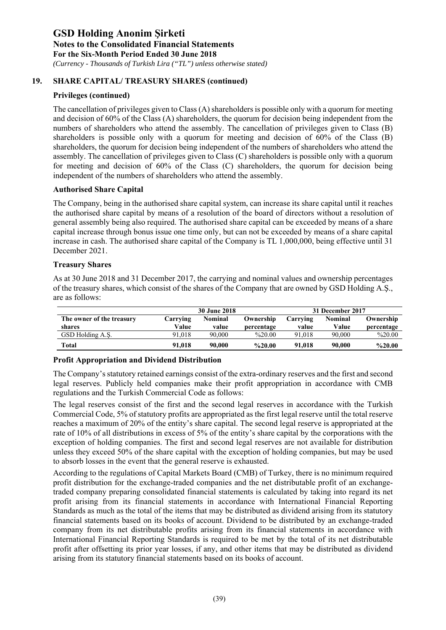*(Currency - Thousands of Turkish Lira ("TL") unless otherwise stated)*

### **19. SHARE CAPITAL/ TREASURY SHARES (continued)**

### **Privileges (continued)**

The cancellation of privileges given to Class (A) shareholders is possible only with a quorum for meeting and decision of 60% of the Class (A) shareholders, the quorum for decision being independent from the numbers of shareholders who attend the assembly. The cancellation of privileges given to Class (B) shareholders is possible only with a quorum for meeting and decision of 60% of the Class (B) shareholders, the quorum for decision being independent of the numbers of shareholders who attend the assembly. The cancellation of privileges given to Class (C) shareholders is possible only with a quorum for meeting and decision of 60% of the Class (C) shareholders, the quorum for decision being independent of the numbers of shareholders who attend the assembly.

#### **Authorised Share Capital**

The Company, being in the authorised share capital system, can increase its share capital until it reaches the authorised share capital by means of a resolution of the board of directors without a resolution of general assembly being also required. The authorised share capital can be exceeded by means of a share capital increase through bonus issue one time only, but can not be exceeded by means of a share capital increase in cash. The authorised share capital of the Company is TL 1,000,000, being effective until 31 December 2021.

#### **Treasury Shares**

As at 30 June 2018 and 31 December 2017, the carrying and nominal values and ownership percentages of the treasury shares, which consist of the shares of the Company that are owned by GSD Holding A.Ş., are as follows:

|                           | <b>30 June 2018</b> |         |                    |          | 31 December 2017 |            |
|---------------------------|---------------------|---------|--------------------|----------|------------------|------------|
| The owner of the treasury | Carrving            | Nominal | Ownership          | Carrving | <b>Nominal</b>   | Ownership  |
| shares                    | Value               | value   | percentage         | value    | Value            | percentage |
| GSD Holding A.S.          | 91.018              | 90.000  | $\frac{9}{6}20.00$ | 91,018   | 90,000           | %20.00     |
| Total                     | 91,018              | 90.000  | $\%20.00$          | 91,018   | 90,000           | %20.00     |

### **Profit Appropriation and Dividend Distribution**

The Company's statutory retained earnings consist of the extra-ordinary reserves and the first and second legal reserves. Publicly held companies make their profit appropriation in accordance with CMB regulations and the Turkish Commercial Code as follows:

The legal reserves consist of the first and the second legal reserves in accordance with the Turkish Commercial Code, 5% of statutory profits are appropriated as the first legal reserve until the total reserve reaches a maximum of 20% of the entity's share capital. The second legal reserve is appropriated at the rate of 10% of all distributions in excess of 5% of the entity's share capital by the corporations with the exception of holding companies. The first and second legal reserves are not available for distribution unless they exceed 50% of the share capital with the exception of holding companies, but may be used to absorb losses in the event that the general reserve is exhausted.

According to the regulations of Capital Markets Board (CMB) of Turkey, there is no minimum required profit distribution for the exchange-traded companies and the net distributable profit of an exchangetraded company preparing consolidated financial statements is calculated by taking into regard its net profit arising from its financial statements in accordance with International Financial Reporting Standards as much as the total of the items that may be distributed as dividend arising from its statutory financial statements based on its books of account. Dividend to be distributed by an exchange-traded company from its net distributable profits arising from its financial statements in accordance with International Financial Reporting Standards is required to be met by the total of its net distributable profit after offsetting its prior year losses, if any, and other items that may be distributed as dividend arising from its statutory financial statements based on its books of account.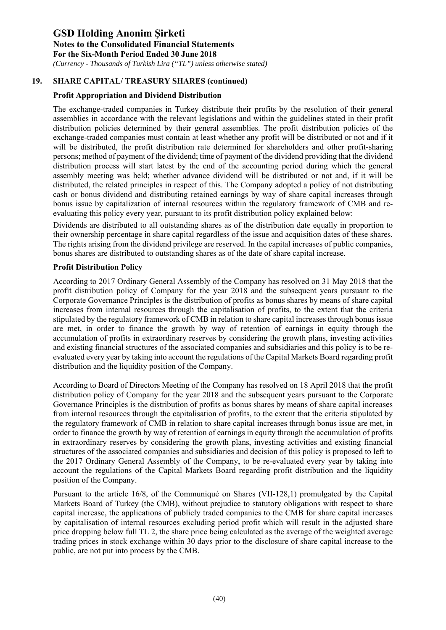*(Currency - Thousands of Turkish Lira ("TL") unless otherwise stated)*

### **19. SHARE CAPITAL/ TREASURY SHARES (continued)**

### **Profit Appropriation and Dividend Distribution**

The exchange-traded companies in Turkey distribute their profits by the resolution of their general assemblies in accordance with the relevant legislations and within the guidelines stated in their profit distribution policies determined by their general assemblies. The profit distribution policies of the exchange-traded companies must contain at least whether any profit will be distributed or not and if it will be distributed, the profit distribution rate determined for shareholders and other profit-sharing persons; method of payment of the dividend; time of payment of the dividend providing that the dividend distribution process will start latest by the end of the accounting period during which the general assembly meeting was held; whether advance dividend will be distributed or not and, if it will be distributed, the related principles in respect of this. The Company adopted a policy of not distributing cash or bonus dividend and distributing retained earnings by way of share capital increases through bonus issue by capitalization of internal resources within the regulatory framework of CMB and reevaluating this policy every year, pursuant to its profit distribution policy explained below:

Dividends are distributed to all outstanding shares as of the distribution date equally in proportion to their ownership percentage in share capital regardless of the issue and acquisition dates of these shares, The rights arising from the dividend privilege are reserved. In the capital increases of public companies, bonus shares are distributed to outstanding shares as of the date of share capital increase.

### **Profit Distribution Policy**

According to 2017 Ordinary General Assembly of the Company has resolved on 31 May 2018 that the profit distribution policy of Company for the year 2018 and the subsequent years pursuant to the Corporate Governance Principles is the distribution of profits as bonus shares by means of share capital increases from internal resources through the capitalisation of profits, to the extent that the criteria stipulated by the regulatory framework of CMB in relation to share capital increases through bonus issue are met, in order to finance the growth by way of retention of earnings in equity through the accumulation of profits in extraordinary reserves by considering the growth plans, investing activities and existing financial structures of the associated companies and subsidiaries and this policy is to be reevaluated every year by taking into account the regulations of the Capital Markets Board regarding profit distribution and the liquidity position of the Company.

According to Board of Directors Meeting of the Company has resolved on 18 April 2018 that the profit distribution policy of Company for the year 2018 and the subsequent years pursuant to the Corporate Governance Principles is the distribution of profits as bonus shares by means of share capital increases from internal resources through the capitalisation of profits, to the extent that the criteria stipulated by the regulatory framework of CMB in relation to share capital increases through bonus issue are met, in order to finance the growth by way of retention of earnings in equity through the accumulation of profits in extraordinary reserves by considering the growth plans, investing activities and existing financial structures of the associated companies and subsidiaries and decision of this policy is proposed to left to the 2017 Ordinary General Assembly of the Company, to be re-evaluated every year by taking into account the regulations of the Capital Markets Board regarding profit distribution and the liquidity position of the Company.

Pursuant to the article 16/8, of the Communiqué on Shares (VII-128,1) promulgated by the Capital Markets Board of Turkey (the CMB), without prejudice to statutory obligations with respect to share capital increase, the applications of publicly traded companies to the CMB for share capital increases by capitalisation of internal resources excluding period profit which will result in the adjusted share price dropping below full TL 2, the share price being calculated as the average of the weighted average trading prices in stock exchange within 30 days prior to the disclosure of share capital increase to the public, are not put into process by the CMB.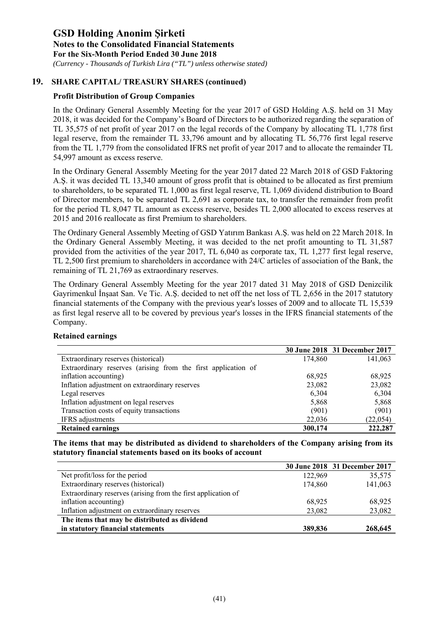*(Currency - Thousands of Turkish Lira ("TL") unless otherwise stated)*

### **19. SHARE CAPITAL/ TREASURY SHARES (continued)**

### **Profit Distribution of Group Companies**

In the Ordinary General Assembly Meeting for the year 2017 of GSD Holding A.Ş. held on 31 May 2018, it was decided for the Company's Board of Directors to be authorized regarding the separation of TL 35,575 of net profit of year 2017 on the legal records of the Company by allocating TL 1,778 first legal reserve, from the remainder TL 33,796 amount and by allocating TL 56,776 first legal reserve from the TL 1,779 from the consolidated IFRS net profit of year 2017 and to allocate the remainder TL 54,997 amount as excess reserve.

In the Ordinary General Assembly Meeting for the year 2017 dated 22 March 2018 of GSD Faktoring A.Ş. it was decided TL 13,340 amount of gross profit that is obtained to be allocated as first premium to shareholders, to be separated TL 1,000 as first legal reserve, TL 1,069 dividend distribution to Board of Director members, to be separated TL 2,691 as corporate tax, to transfer the remainder from profit for the period TL 8,047 TL amount as excess reserve, besides TL 2,000 allocated to excess reserves at 2015 and 2016 reallocate as first Premium to shareholders.

The Ordinary General Assembly Meeting of GSD Yatırım Bankası A.Ş. was held on 22 March 2018. In the Ordinary General Assembly Meeting, it was decided to the net profit amounting to TL 31,587 provided from the activities of the year 2017, TL 6,040 as corporate tax, TL 1,277 first legal reserve, TL 2,500 first premium to shareholders in accordance with 24/C articles of association of the Bank, the remaining of TL 21,769 as extraordinary reserves.

The Ordinary General Assembly Meeting for the year 2017 dated 31 May 2018 of GSD Denizcilik Gayrimenkul İnşaat San. Ve Tic. A.Ş. decided to net off the net loss of TL 2,656 in the 2017 statutory financial statements of the Company with the previous year's losses of 2009 and to allocate TL 15,539 as first legal reserve all to be covered by previous year's losses in the IFRS financial statements of the Company.

|                                                               |         | 30 June 2018 31 December 2017 |
|---------------------------------------------------------------|---------|-------------------------------|
| Extraordinary reserves (historical)                           | 174,860 | 141,063                       |
| Extraordinary reserves (arising from the first application of |         |                               |
| inflation accounting)                                         | 68,925  | 68,925                        |
| Inflation adjustment on extraordinary reserves                | 23,082  | 23,082                        |
| Legal reserves                                                | 6,304   | 6,304                         |
| Inflation adjustment on legal reserves                        | 5,868   | 5,868                         |
| Transaction costs of equity transactions                      | (901)   | (901)                         |
| IFRS adjustments                                              | 22,036  | (22, 054)                     |
| <b>Retained earnings</b>                                      | 300,174 | 222,287                       |

### **Retained earnings**

**The items that may be distributed as dividend to shareholders of the Company arising from its statutory financial statements based on its books of account** 

|                                                               |         | 30 June 2018 31 December 2017 |
|---------------------------------------------------------------|---------|-------------------------------|
| Net profit/loss for the period                                | 122,969 | 35,575                        |
| Extraordinary reserves (historical)                           | 174,860 | 141,063                       |
| Extraordinary reserves (arising from the first application of |         |                               |
| inflation accounting)                                         | 68.925  | 68,925                        |
| Inflation adjustment on extraordinary reserves                | 23,082  | 23,082                        |
| The items that may be distributed as dividend                 |         |                               |
| in statutory financial statements                             | 389,836 | 268,645                       |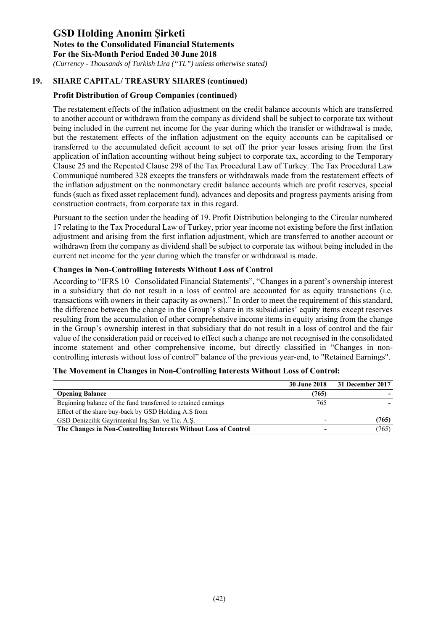*(Currency - Thousands of Turkish Lira ("TL") unless otherwise stated)*

## **19. SHARE CAPITAL/ TREASURY SHARES (continued)**

### **Profit Distribution of Group Companies (continued)**

The restatement effects of the inflation adjustment on the credit balance accounts which are transferred to another account or withdrawn from the company as dividend shall be subject to corporate tax without being included in the current net income for the year during which the transfer or withdrawal is made, but the restatement effects of the inflation adjustment on the equity accounts can be capitalised or transferred to the accumulated deficit account to set off the prior year losses arising from the first application of inflation accounting without being subject to corporate tax, according to the Temporary Clause 25 and the Repeated Clause 298 of the Tax Procedural Law of Turkey. The Tax Procedural Law Communiqué numbered 328 excepts the transfers or withdrawals made from the restatement effects of the inflation adjustment on the nonmonetary credit balance accounts which are profit reserves, special funds (such as fixed asset replacement fund), advances and deposits and progress payments arising from construction contracts, from corporate tax in this regard.

Pursuant to the section under the heading of 19. Profit Distribution belonging to the Circular numbered 17 relating to the Tax Procedural Law of Turkey, prior year income not existing before the first inflation adjustment and arising from the first inflation adjustment, which are transferred to another account or withdrawn from the company as dividend shall be subject to corporate tax without being included in the current net income for the year during which the transfer or withdrawal is made.

### **Changes in Non-Controlling Interests Without Loss of Control**

According to "IFRS 10 –Consolidated Financial Statements", "Changes in a parent's ownership interest in a subsidiary that do not result in a loss of control are accounted for as equity transactions (i.e. transactions with owners in their capacity as owners)." In order to meet the requirement of this standard, the difference between the change in the Group's share in its subsidiaries' equity items except reserves resulting from the accumulation of other comprehensive income items in equity arising from the change in the Group's ownership interest in that subsidiary that do not result in a loss of control and the fair value of the consideration paid or received to effect such a change are not recognised in the consolidated income statement and other comprehensive income, but directly classified in "Changes in noncontrolling interests without loss of control" balance of the previous year-end, to "Retained Earnings".

|                                                                  | 30 June 2018 | 31 December 2017 |
|------------------------------------------------------------------|--------------|------------------|
| <b>Opening Balance</b>                                           | (765)        |                  |
| Beginning balance of the fund transferred to retained earnings   | 765          |                  |
| Effect of the share buy-back by GSD Holding A.S from             |              |                  |
| GSD Denizcilik Gayrimenkul Ins.San. ve Tic. A.S.                 |              | (765)            |
| The Changes in Non-Controlling Interests Without Loss of Control |              | (765)            |

#### **The Movement in Changes in Non-Controlling Interests Without Loss of Control:**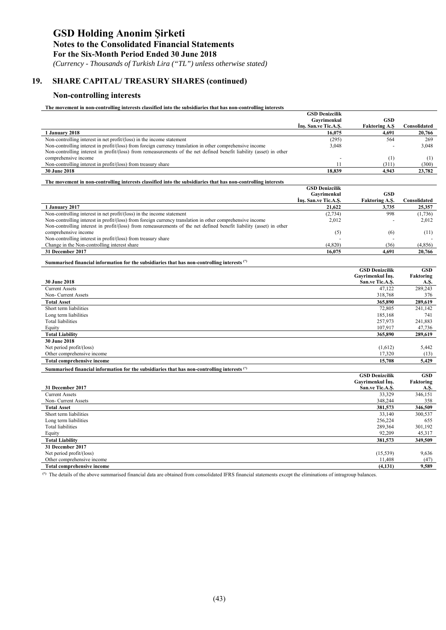*(Currency - Thousands of Turkish Lira ("TL") unless otherwise stated)*

# **19. SHARE CAPITAL/ TREASURY SHARES (continued)**

#### **Non-controlling interests**

**The movement in non-controlling interests classified into the subsidiaries that has non-controlling interests** 

| Ins. San.ve Tic.A.S.<br><b>Faktoring A.Ş</b><br>Consolidated<br>1 January 2018<br>16.075<br>4.691<br>20.766<br>Non-controlling interest in net profit/(loss) in the income statement<br>(295)<br>564<br>269<br>Non-controlling interest in profit/(loss) from foreign currency translation in other comprehensive income<br>3,048<br>3,048<br>Non-controlling interest in profit/(loss) from remeasurements of the net defined benefit liability (asset) in other<br>comprehensive income<br>(1)<br>(1)<br>Non-controlling interest in profit/(loss) from treasury share<br>11<br>(300)<br>(311)<br>30 June 2018<br>18,839<br>4,943<br>23,782<br>The movement in non-controlling interests classified into the subsidiaries that has non-controlling interests<br><b>GSD Denizcilik</b><br>Gavrimenkul<br><b>GSD</b><br>Ins. San.ve Tic.A.S.<br><b>Faktoring A.S.</b><br>Consolidated<br>1 January 2017<br>21,622<br>3,735<br>25,357<br>998<br>Non-controlling interest in net profit/(loss) in the income statement<br>(2, 734)<br>(1,736)<br>Non-controlling interest in profit/(loss) from foreign currency translation in other comprehensive income<br>2,012<br>2,012<br>Non-controlling interest in profit/(loss) from remeasurements of the net defined benefit liability (asset) in other<br>comprehensive income<br>(5)<br>(6)<br>(11)<br>Non-controlling interest in profit/(loss) from treasury share<br>(4,820)<br>Change in the Non-controlling interest share<br>(36)<br>(4, 856)<br>31 December 2017<br>16,075<br>4,691<br>20,766<br>Summarised financial information for the subsidiaries that has non-controlling interests (*)<br><b>GSD Denizcilik</b><br><b>GSD</b><br>Gavrimenkul Ins.<br>Faktoring<br>30 June 2018<br>San.ve Tic.A.S.<br>A.S.<br><b>Current Assets</b><br>47.122<br>289,243<br>Non- Current Assets<br>318,768<br>376<br><b>Total Asset</b><br>365,890<br>289,619<br>Short term liabilities<br>72,805<br>241,142<br>Long term liabilities<br>185,168<br>741<br><b>Total liabilities</b><br>257,973<br>241,883<br>107,917<br>47,736<br>Equity<br><b>Total Liability</b><br>365,890<br>289,619<br>30 June 2018<br>Net period profit/(loss)<br>(1,612)<br>5,442<br>Other comprehensive income<br>17,320<br>(13)<br>15,708<br><b>Total comprehensive income</b><br>5,429<br>Summarised financial information for the subsidiaries that has non-controlling interests (*)<br><b>GSD Denizcilik</b><br><b>GSD</b><br>Gayrimenkul Ins.<br>Faktoring<br>31 December 2017<br>San.ve Tic.A.S.<br>A.S.<br>346,151<br><b>Current Assets</b><br>33,329<br>348,244<br>Non- Current Assets<br>358<br>381,573<br><b>Total Asset</b><br>346,509<br>Short term liabilities<br>33,140<br>300,537<br>256,224<br>Long term liabilities<br>655<br><b>Total liabilities</b><br>289,364<br>301.192<br>92,209<br>Equity<br>45,317<br><b>Total Liability</b><br>381,573<br>349,509<br>31 December 2017<br>Net period profit/(loss)<br>(15, 539)<br>9.636<br>Other comprehensive income<br>11,408<br>(47)<br><b>Total comprehensive income</b><br>(4, 131)<br>9.589<br><sup>(*)</sup> The details of the above summarised financial data are obtained from consolidated IFRS financial statements except the eliminations of intragroup balances. | <b>GSD Denizcilik</b><br>Gavrimenkul | GSD |  |
|-------------------------------------------------------------------------------------------------------------------------------------------------------------------------------------------------------------------------------------------------------------------------------------------------------------------------------------------------------------------------------------------------------------------------------------------------------------------------------------------------------------------------------------------------------------------------------------------------------------------------------------------------------------------------------------------------------------------------------------------------------------------------------------------------------------------------------------------------------------------------------------------------------------------------------------------------------------------------------------------------------------------------------------------------------------------------------------------------------------------------------------------------------------------------------------------------------------------------------------------------------------------------------------------------------------------------------------------------------------------------------------------------------------------------------------------------------------------------------------------------------------------------------------------------------------------------------------------------------------------------------------------------------------------------------------------------------------------------------------------------------------------------------------------------------------------------------------------------------------------------------------------------------------------------------------------------------------------------------------------------------------------------------------------------------------------------------------------------------------------------------------------------------------------------------------------------------------------------------------------------------------------------------------------------------------------------------------------------------------------------------------------------------------------------------------------------------------------------------------------------------------------------------------------------------------------------------------------------------------------------------------------------------------------------------------------------------------------------------------------------------------------------------------------------------------------------------------------------------------------------------------------------------------------------------------------------------------------------------------------------------------------------------------------------------------------------------------------------------------------------------------------------------------------------------------------------------------------------------------------------------------|--------------------------------------|-----|--|
|                                                                                                                                                                                                                                                                                                                                                                                                                                                                                                                                                                                                                                                                                                                                                                                                                                                                                                                                                                                                                                                                                                                                                                                                                                                                                                                                                                                                                                                                                                                                                                                                                                                                                                                                                                                                                                                                                                                                                                                                                                                                                                                                                                                                                                                                                                                                                                                                                                                                                                                                                                                                                                                                                                                                                                                                                                                                                                                                                                                                                                                                                                                                                                                                                                                             |                                      |     |  |
|                                                                                                                                                                                                                                                                                                                                                                                                                                                                                                                                                                                                                                                                                                                                                                                                                                                                                                                                                                                                                                                                                                                                                                                                                                                                                                                                                                                                                                                                                                                                                                                                                                                                                                                                                                                                                                                                                                                                                                                                                                                                                                                                                                                                                                                                                                                                                                                                                                                                                                                                                                                                                                                                                                                                                                                                                                                                                                                                                                                                                                                                                                                                                                                                                                                             |                                      |     |  |
|                                                                                                                                                                                                                                                                                                                                                                                                                                                                                                                                                                                                                                                                                                                                                                                                                                                                                                                                                                                                                                                                                                                                                                                                                                                                                                                                                                                                                                                                                                                                                                                                                                                                                                                                                                                                                                                                                                                                                                                                                                                                                                                                                                                                                                                                                                                                                                                                                                                                                                                                                                                                                                                                                                                                                                                                                                                                                                                                                                                                                                                                                                                                                                                                                                                             |                                      |     |  |
|                                                                                                                                                                                                                                                                                                                                                                                                                                                                                                                                                                                                                                                                                                                                                                                                                                                                                                                                                                                                                                                                                                                                                                                                                                                                                                                                                                                                                                                                                                                                                                                                                                                                                                                                                                                                                                                                                                                                                                                                                                                                                                                                                                                                                                                                                                                                                                                                                                                                                                                                                                                                                                                                                                                                                                                                                                                                                                                                                                                                                                                                                                                                                                                                                                                             |                                      |     |  |
|                                                                                                                                                                                                                                                                                                                                                                                                                                                                                                                                                                                                                                                                                                                                                                                                                                                                                                                                                                                                                                                                                                                                                                                                                                                                                                                                                                                                                                                                                                                                                                                                                                                                                                                                                                                                                                                                                                                                                                                                                                                                                                                                                                                                                                                                                                                                                                                                                                                                                                                                                                                                                                                                                                                                                                                                                                                                                                                                                                                                                                                                                                                                                                                                                                                             |                                      |     |  |
|                                                                                                                                                                                                                                                                                                                                                                                                                                                                                                                                                                                                                                                                                                                                                                                                                                                                                                                                                                                                                                                                                                                                                                                                                                                                                                                                                                                                                                                                                                                                                                                                                                                                                                                                                                                                                                                                                                                                                                                                                                                                                                                                                                                                                                                                                                                                                                                                                                                                                                                                                                                                                                                                                                                                                                                                                                                                                                                                                                                                                                                                                                                                                                                                                                                             |                                      |     |  |
|                                                                                                                                                                                                                                                                                                                                                                                                                                                                                                                                                                                                                                                                                                                                                                                                                                                                                                                                                                                                                                                                                                                                                                                                                                                                                                                                                                                                                                                                                                                                                                                                                                                                                                                                                                                                                                                                                                                                                                                                                                                                                                                                                                                                                                                                                                                                                                                                                                                                                                                                                                                                                                                                                                                                                                                                                                                                                                                                                                                                                                                                                                                                                                                                                                                             |                                      |     |  |
|                                                                                                                                                                                                                                                                                                                                                                                                                                                                                                                                                                                                                                                                                                                                                                                                                                                                                                                                                                                                                                                                                                                                                                                                                                                                                                                                                                                                                                                                                                                                                                                                                                                                                                                                                                                                                                                                                                                                                                                                                                                                                                                                                                                                                                                                                                                                                                                                                                                                                                                                                                                                                                                                                                                                                                                                                                                                                                                                                                                                                                                                                                                                                                                                                                                             |                                      |     |  |
|                                                                                                                                                                                                                                                                                                                                                                                                                                                                                                                                                                                                                                                                                                                                                                                                                                                                                                                                                                                                                                                                                                                                                                                                                                                                                                                                                                                                                                                                                                                                                                                                                                                                                                                                                                                                                                                                                                                                                                                                                                                                                                                                                                                                                                                                                                                                                                                                                                                                                                                                                                                                                                                                                                                                                                                                                                                                                                                                                                                                                                                                                                                                                                                                                                                             |                                      |     |  |
|                                                                                                                                                                                                                                                                                                                                                                                                                                                                                                                                                                                                                                                                                                                                                                                                                                                                                                                                                                                                                                                                                                                                                                                                                                                                                                                                                                                                                                                                                                                                                                                                                                                                                                                                                                                                                                                                                                                                                                                                                                                                                                                                                                                                                                                                                                                                                                                                                                                                                                                                                                                                                                                                                                                                                                                                                                                                                                                                                                                                                                                                                                                                                                                                                                                             |                                      |     |  |
|                                                                                                                                                                                                                                                                                                                                                                                                                                                                                                                                                                                                                                                                                                                                                                                                                                                                                                                                                                                                                                                                                                                                                                                                                                                                                                                                                                                                                                                                                                                                                                                                                                                                                                                                                                                                                                                                                                                                                                                                                                                                                                                                                                                                                                                                                                                                                                                                                                                                                                                                                                                                                                                                                                                                                                                                                                                                                                                                                                                                                                                                                                                                                                                                                                                             |                                      |     |  |
|                                                                                                                                                                                                                                                                                                                                                                                                                                                                                                                                                                                                                                                                                                                                                                                                                                                                                                                                                                                                                                                                                                                                                                                                                                                                                                                                                                                                                                                                                                                                                                                                                                                                                                                                                                                                                                                                                                                                                                                                                                                                                                                                                                                                                                                                                                                                                                                                                                                                                                                                                                                                                                                                                                                                                                                                                                                                                                                                                                                                                                                                                                                                                                                                                                                             |                                      |     |  |
|                                                                                                                                                                                                                                                                                                                                                                                                                                                                                                                                                                                                                                                                                                                                                                                                                                                                                                                                                                                                                                                                                                                                                                                                                                                                                                                                                                                                                                                                                                                                                                                                                                                                                                                                                                                                                                                                                                                                                                                                                                                                                                                                                                                                                                                                                                                                                                                                                                                                                                                                                                                                                                                                                                                                                                                                                                                                                                                                                                                                                                                                                                                                                                                                                                                             |                                      |     |  |
|                                                                                                                                                                                                                                                                                                                                                                                                                                                                                                                                                                                                                                                                                                                                                                                                                                                                                                                                                                                                                                                                                                                                                                                                                                                                                                                                                                                                                                                                                                                                                                                                                                                                                                                                                                                                                                                                                                                                                                                                                                                                                                                                                                                                                                                                                                                                                                                                                                                                                                                                                                                                                                                                                                                                                                                                                                                                                                                                                                                                                                                                                                                                                                                                                                                             |                                      |     |  |
|                                                                                                                                                                                                                                                                                                                                                                                                                                                                                                                                                                                                                                                                                                                                                                                                                                                                                                                                                                                                                                                                                                                                                                                                                                                                                                                                                                                                                                                                                                                                                                                                                                                                                                                                                                                                                                                                                                                                                                                                                                                                                                                                                                                                                                                                                                                                                                                                                                                                                                                                                                                                                                                                                                                                                                                                                                                                                                                                                                                                                                                                                                                                                                                                                                                             |                                      |     |  |
|                                                                                                                                                                                                                                                                                                                                                                                                                                                                                                                                                                                                                                                                                                                                                                                                                                                                                                                                                                                                                                                                                                                                                                                                                                                                                                                                                                                                                                                                                                                                                                                                                                                                                                                                                                                                                                                                                                                                                                                                                                                                                                                                                                                                                                                                                                                                                                                                                                                                                                                                                                                                                                                                                                                                                                                                                                                                                                                                                                                                                                                                                                                                                                                                                                                             |                                      |     |  |
|                                                                                                                                                                                                                                                                                                                                                                                                                                                                                                                                                                                                                                                                                                                                                                                                                                                                                                                                                                                                                                                                                                                                                                                                                                                                                                                                                                                                                                                                                                                                                                                                                                                                                                                                                                                                                                                                                                                                                                                                                                                                                                                                                                                                                                                                                                                                                                                                                                                                                                                                                                                                                                                                                                                                                                                                                                                                                                                                                                                                                                                                                                                                                                                                                                                             |                                      |     |  |
|                                                                                                                                                                                                                                                                                                                                                                                                                                                                                                                                                                                                                                                                                                                                                                                                                                                                                                                                                                                                                                                                                                                                                                                                                                                                                                                                                                                                                                                                                                                                                                                                                                                                                                                                                                                                                                                                                                                                                                                                                                                                                                                                                                                                                                                                                                                                                                                                                                                                                                                                                                                                                                                                                                                                                                                                                                                                                                                                                                                                                                                                                                                                                                                                                                                             |                                      |     |  |
|                                                                                                                                                                                                                                                                                                                                                                                                                                                                                                                                                                                                                                                                                                                                                                                                                                                                                                                                                                                                                                                                                                                                                                                                                                                                                                                                                                                                                                                                                                                                                                                                                                                                                                                                                                                                                                                                                                                                                                                                                                                                                                                                                                                                                                                                                                                                                                                                                                                                                                                                                                                                                                                                                                                                                                                                                                                                                                                                                                                                                                                                                                                                                                                                                                                             |                                      |     |  |
|                                                                                                                                                                                                                                                                                                                                                                                                                                                                                                                                                                                                                                                                                                                                                                                                                                                                                                                                                                                                                                                                                                                                                                                                                                                                                                                                                                                                                                                                                                                                                                                                                                                                                                                                                                                                                                                                                                                                                                                                                                                                                                                                                                                                                                                                                                                                                                                                                                                                                                                                                                                                                                                                                                                                                                                                                                                                                                                                                                                                                                                                                                                                                                                                                                                             |                                      |     |  |
|                                                                                                                                                                                                                                                                                                                                                                                                                                                                                                                                                                                                                                                                                                                                                                                                                                                                                                                                                                                                                                                                                                                                                                                                                                                                                                                                                                                                                                                                                                                                                                                                                                                                                                                                                                                                                                                                                                                                                                                                                                                                                                                                                                                                                                                                                                                                                                                                                                                                                                                                                                                                                                                                                                                                                                                                                                                                                                                                                                                                                                                                                                                                                                                                                                                             |                                      |     |  |
|                                                                                                                                                                                                                                                                                                                                                                                                                                                                                                                                                                                                                                                                                                                                                                                                                                                                                                                                                                                                                                                                                                                                                                                                                                                                                                                                                                                                                                                                                                                                                                                                                                                                                                                                                                                                                                                                                                                                                                                                                                                                                                                                                                                                                                                                                                                                                                                                                                                                                                                                                                                                                                                                                                                                                                                                                                                                                                                                                                                                                                                                                                                                                                                                                                                             |                                      |     |  |
|                                                                                                                                                                                                                                                                                                                                                                                                                                                                                                                                                                                                                                                                                                                                                                                                                                                                                                                                                                                                                                                                                                                                                                                                                                                                                                                                                                                                                                                                                                                                                                                                                                                                                                                                                                                                                                                                                                                                                                                                                                                                                                                                                                                                                                                                                                                                                                                                                                                                                                                                                                                                                                                                                                                                                                                                                                                                                                                                                                                                                                                                                                                                                                                                                                                             |                                      |     |  |
|                                                                                                                                                                                                                                                                                                                                                                                                                                                                                                                                                                                                                                                                                                                                                                                                                                                                                                                                                                                                                                                                                                                                                                                                                                                                                                                                                                                                                                                                                                                                                                                                                                                                                                                                                                                                                                                                                                                                                                                                                                                                                                                                                                                                                                                                                                                                                                                                                                                                                                                                                                                                                                                                                                                                                                                                                                                                                                                                                                                                                                                                                                                                                                                                                                                             |                                      |     |  |
|                                                                                                                                                                                                                                                                                                                                                                                                                                                                                                                                                                                                                                                                                                                                                                                                                                                                                                                                                                                                                                                                                                                                                                                                                                                                                                                                                                                                                                                                                                                                                                                                                                                                                                                                                                                                                                                                                                                                                                                                                                                                                                                                                                                                                                                                                                                                                                                                                                                                                                                                                                                                                                                                                                                                                                                                                                                                                                                                                                                                                                                                                                                                                                                                                                                             |                                      |     |  |
|                                                                                                                                                                                                                                                                                                                                                                                                                                                                                                                                                                                                                                                                                                                                                                                                                                                                                                                                                                                                                                                                                                                                                                                                                                                                                                                                                                                                                                                                                                                                                                                                                                                                                                                                                                                                                                                                                                                                                                                                                                                                                                                                                                                                                                                                                                                                                                                                                                                                                                                                                                                                                                                                                                                                                                                                                                                                                                                                                                                                                                                                                                                                                                                                                                                             |                                      |     |  |
|                                                                                                                                                                                                                                                                                                                                                                                                                                                                                                                                                                                                                                                                                                                                                                                                                                                                                                                                                                                                                                                                                                                                                                                                                                                                                                                                                                                                                                                                                                                                                                                                                                                                                                                                                                                                                                                                                                                                                                                                                                                                                                                                                                                                                                                                                                                                                                                                                                                                                                                                                                                                                                                                                                                                                                                                                                                                                                                                                                                                                                                                                                                                                                                                                                                             |                                      |     |  |
|                                                                                                                                                                                                                                                                                                                                                                                                                                                                                                                                                                                                                                                                                                                                                                                                                                                                                                                                                                                                                                                                                                                                                                                                                                                                                                                                                                                                                                                                                                                                                                                                                                                                                                                                                                                                                                                                                                                                                                                                                                                                                                                                                                                                                                                                                                                                                                                                                                                                                                                                                                                                                                                                                                                                                                                                                                                                                                                                                                                                                                                                                                                                                                                                                                                             |                                      |     |  |
|                                                                                                                                                                                                                                                                                                                                                                                                                                                                                                                                                                                                                                                                                                                                                                                                                                                                                                                                                                                                                                                                                                                                                                                                                                                                                                                                                                                                                                                                                                                                                                                                                                                                                                                                                                                                                                                                                                                                                                                                                                                                                                                                                                                                                                                                                                                                                                                                                                                                                                                                                                                                                                                                                                                                                                                                                                                                                                                                                                                                                                                                                                                                                                                                                                                             |                                      |     |  |
|                                                                                                                                                                                                                                                                                                                                                                                                                                                                                                                                                                                                                                                                                                                                                                                                                                                                                                                                                                                                                                                                                                                                                                                                                                                                                                                                                                                                                                                                                                                                                                                                                                                                                                                                                                                                                                                                                                                                                                                                                                                                                                                                                                                                                                                                                                                                                                                                                                                                                                                                                                                                                                                                                                                                                                                                                                                                                                                                                                                                                                                                                                                                                                                                                                                             |                                      |     |  |
|                                                                                                                                                                                                                                                                                                                                                                                                                                                                                                                                                                                                                                                                                                                                                                                                                                                                                                                                                                                                                                                                                                                                                                                                                                                                                                                                                                                                                                                                                                                                                                                                                                                                                                                                                                                                                                                                                                                                                                                                                                                                                                                                                                                                                                                                                                                                                                                                                                                                                                                                                                                                                                                                                                                                                                                                                                                                                                                                                                                                                                                                                                                                                                                                                                                             |                                      |     |  |
|                                                                                                                                                                                                                                                                                                                                                                                                                                                                                                                                                                                                                                                                                                                                                                                                                                                                                                                                                                                                                                                                                                                                                                                                                                                                                                                                                                                                                                                                                                                                                                                                                                                                                                                                                                                                                                                                                                                                                                                                                                                                                                                                                                                                                                                                                                                                                                                                                                                                                                                                                                                                                                                                                                                                                                                                                                                                                                                                                                                                                                                                                                                                                                                                                                                             |                                      |     |  |
|                                                                                                                                                                                                                                                                                                                                                                                                                                                                                                                                                                                                                                                                                                                                                                                                                                                                                                                                                                                                                                                                                                                                                                                                                                                                                                                                                                                                                                                                                                                                                                                                                                                                                                                                                                                                                                                                                                                                                                                                                                                                                                                                                                                                                                                                                                                                                                                                                                                                                                                                                                                                                                                                                                                                                                                                                                                                                                                                                                                                                                                                                                                                                                                                                                                             |                                      |     |  |
|                                                                                                                                                                                                                                                                                                                                                                                                                                                                                                                                                                                                                                                                                                                                                                                                                                                                                                                                                                                                                                                                                                                                                                                                                                                                                                                                                                                                                                                                                                                                                                                                                                                                                                                                                                                                                                                                                                                                                                                                                                                                                                                                                                                                                                                                                                                                                                                                                                                                                                                                                                                                                                                                                                                                                                                                                                                                                                                                                                                                                                                                                                                                                                                                                                                             |                                      |     |  |
|                                                                                                                                                                                                                                                                                                                                                                                                                                                                                                                                                                                                                                                                                                                                                                                                                                                                                                                                                                                                                                                                                                                                                                                                                                                                                                                                                                                                                                                                                                                                                                                                                                                                                                                                                                                                                                                                                                                                                                                                                                                                                                                                                                                                                                                                                                                                                                                                                                                                                                                                                                                                                                                                                                                                                                                                                                                                                                                                                                                                                                                                                                                                                                                                                                                             |                                      |     |  |
|                                                                                                                                                                                                                                                                                                                                                                                                                                                                                                                                                                                                                                                                                                                                                                                                                                                                                                                                                                                                                                                                                                                                                                                                                                                                                                                                                                                                                                                                                                                                                                                                                                                                                                                                                                                                                                                                                                                                                                                                                                                                                                                                                                                                                                                                                                                                                                                                                                                                                                                                                                                                                                                                                                                                                                                                                                                                                                                                                                                                                                                                                                                                                                                                                                                             |                                      |     |  |
|                                                                                                                                                                                                                                                                                                                                                                                                                                                                                                                                                                                                                                                                                                                                                                                                                                                                                                                                                                                                                                                                                                                                                                                                                                                                                                                                                                                                                                                                                                                                                                                                                                                                                                                                                                                                                                                                                                                                                                                                                                                                                                                                                                                                                                                                                                                                                                                                                                                                                                                                                                                                                                                                                                                                                                                                                                                                                                                                                                                                                                                                                                                                                                                                                                                             |                                      |     |  |
|                                                                                                                                                                                                                                                                                                                                                                                                                                                                                                                                                                                                                                                                                                                                                                                                                                                                                                                                                                                                                                                                                                                                                                                                                                                                                                                                                                                                                                                                                                                                                                                                                                                                                                                                                                                                                                                                                                                                                                                                                                                                                                                                                                                                                                                                                                                                                                                                                                                                                                                                                                                                                                                                                                                                                                                                                                                                                                                                                                                                                                                                                                                                                                                                                                                             |                                      |     |  |
|                                                                                                                                                                                                                                                                                                                                                                                                                                                                                                                                                                                                                                                                                                                                                                                                                                                                                                                                                                                                                                                                                                                                                                                                                                                                                                                                                                                                                                                                                                                                                                                                                                                                                                                                                                                                                                                                                                                                                                                                                                                                                                                                                                                                                                                                                                                                                                                                                                                                                                                                                                                                                                                                                                                                                                                                                                                                                                                                                                                                                                                                                                                                                                                                                                                             |                                      |     |  |
|                                                                                                                                                                                                                                                                                                                                                                                                                                                                                                                                                                                                                                                                                                                                                                                                                                                                                                                                                                                                                                                                                                                                                                                                                                                                                                                                                                                                                                                                                                                                                                                                                                                                                                                                                                                                                                                                                                                                                                                                                                                                                                                                                                                                                                                                                                                                                                                                                                                                                                                                                                                                                                                                                                                                                                                                                                                                                                                                                                                                                                                                                                                                                                                                                                                             |                                      |     |  |
|                                                                                                                                                                                                                                                                                                                                                                                                                                                                                                                                                                                                                                                                                                                                                                                                                                                                                                                                                                                                                                                                                                                                                                                                                                                                                                                                                                                                                                                                                                                                                                                                                                                                                                                                                                                                                                                                                                                                                                                                                                                                                                                                                                                                                                                                                                                                                                                                                                                                                                                                                                                                                                                                                                                                                                                                                                                                                                                                                                                                                                                                                                                                                                                                                                                             |                                      |     |  |
|                                                                                                                                                                                                                                                                                                                                                                                                                                                                                                                                                                                                                                                                                                                                                                                                                                                                                                                                                                                                                                                                                                                                                                                                                                                                                                                                                                                                                                                                                                                                                                                                                                                                                                                                                                                                                                                                                                                                                                                                                                                                                                                                                                                                                                                                                                                                                                                                                                                                                                                                                                                                                                                                                                                                                                                                                                                                                                                                                                                                                                                                                                                                                                                                                                                             |                                      |     |  |
|                                                                                                                                                                                                                                                                                                                                                                                                                                                                                                                                                                                                                                                                                                                                                                                                                                                                                                                                                                                                                                                                                                                                                                                                                                                                                                                                                                                                                                                                                                                                                                                                                                                                                                                                                                                                                                                                                                                                                                                                                                                                                                                                                                                                                                                                                                                                                                                                                                                                                                                                                                                                                                                                                                                                                                                                                                                                                                                                                                                                                                                                                                                                                                                                                                                             |                                      |     |  |
|                                                                                                                                                                                                                                                                                                                                                                                                                                                                                                                                                                                                                                                                                                                                                                                                                                                                                                                                                                                                                                                                                                                                                                                                                                                                                                                                                                                                                                                                                                                                                                                                                                                                                                                                                                                                                                                                                                                                                                                                                                                                                                                                                                                                                                                                                                                                                                                                                                                                                                                                                                                                                                                                                                                                                                                                                                                                                                                                                                                                                                                                                                                                                                                                                                                             |                                      |     |  |
|                                                                                                                                                                                                                                                                                                                                                                                                                                                                                                                                                                                                                                                                                                                                                                                                                                                                                                                                                                                                                                                                                                                                                                                                                                                                                                                                                                                                                                                                                                                                                                                                                                                                                                                                                                                                                                                                                                                                                                                                                                                                                                                                                                                                                                                                                                                                                                                                                                                                                                                                                                                                                                                                                                                                                                                                                                                                                                                                                                                                                                                                                                                                                                                                                                                             |                                      |     |  |
|                                                                                                                                                                                                                                                                                                                                                                                                                                                                                                                                                                                                                                                                                                                                                                                                                                                                                                                                                                                                                                                                                                                                                                                                                                                                                                                                                                                                                                                                                                                                                                                                                                                                                                                                                                                                                                                                                                                                                                                                                                                                                                                                                                                                                                                                                                                                                                                                                                                                                                                                                                                                                                                                                                                                                                                                                                                                                                                                                                                                                                                                                                                                                                                                                                                             |                                      |     |  |
|                                                                                                                                                                                                                                                                                                                                                                                                                                                                                                                                                                                                                                                                                                                                                                                                                                                                                                                                                                                                                                                                                                                                                                                                                                                                                                                                                                                                                                                                                                                                                                                                                                                                                                                                                                                                                                                                                                                                                                                                                                                                                                                                                                                                                                                                                                                                                                                                                                                                                                                                                                                                                                                                                                                                                                                                                                                                                                                                                                                                                                                                                                                                                                                                                                                             |                                      |     |  |
|                                                                                                                                                                                                                                                                                                                                                                                                                                                                                                                                                                                                                                                                                                                                                                                                                                                                                                                                                                                                                                                                                                                                                                                                                                                                                                                                                                                                                                                                                                                                                                                                                                                                                                                                                                                                                                                                                                                                                                                                                                                                                                                                                                                                                                                                                                                                                                                                                                                                                                                                                                                                                                                                                                                                                                                                                                                                                                                                                                                                                                                                                                                                                                                                                                                             |                                      |     |  |
|                                                                                                                                                                                                                                                                                                                                                                                                                                                                                                                                                                                                                                                                                                                                                                                                                                                                                                                                                                                                                                                                                                                                                                                                                                                                                                                                                                                                                                                                                                                                                                                                                                                                                                                                                                                                                                                                                                                                                                                                                                                                                                                                                                                                                                                                                                                                                                                                                                                                                                                                                                                                                                                                                                                                                                                                                                                                                                                                                                                                                                                                                                                                                                                                                                                             |                                      |     |  |
|                                                                                                                                                                                                                                                                                                                                                                                                                                                                                                                                                                                                                                                                                                                                                                                                                                                                                                                                                                                                                                                                                                                                                                                                                                                                                                                                                                                                                                                                                                                                                                                                                                                                                                                                                                                                                                                                                                                                                                                                                                                                                                                                                                                                                                                                                                                                                                                                                                                                                                                                                                                                                                                                                                                                                                                                                                                                                                                                                                                                                                                                                                                                                                                                                                                             |                                      |     |  |
|                                                                                                                                                                                                                                                                                                                                                                                                                                                                                                                                                                                                                                                                                                                                                                                                                                                                                                                                                                                                                                                                                                                                                                                                                                                                                                                                                                                                                                                                                                                                                                                                                                                                                                                                                                                                                                                                                                                                                                                                                                                                                                                                                                                                                                                                                                                                                                                                                                                                                                                                                                                                                                                                                                                                                                                                                                                                                                                                                                                                                                                                                                                                                                                                                                                             |                                      |     |  |
|                                                                                                                                                                                                                                                                                                                                                                                                                                                                                                                                                                                                                                                                                                                                                                                                                                                                                                                                                                                                                                                                                                                                                                                                                                                                                                                                                                                                                                                                                                                                                                                                                                                                                                                                                                                                                                                                                                                                                                                                                                                                                                                                                                                                                                                                                                                                                                                                                                                                                                                                                                                                                                                                                                                                                                                                                                                                                                                                                                                                                                                                                                                                                                                                                                                             |                                      |     |  |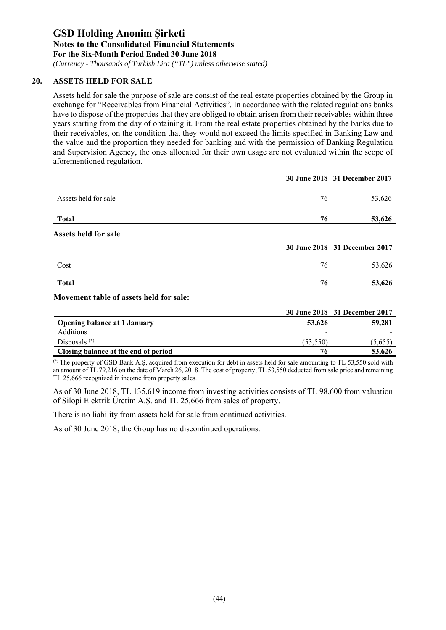*(Currency - Thousands of Turkish Lira ("TL") unless otherwise stated)*

### **20. ASSETS HELD FOR SALE**

Assets held for sale the purpose of sale are consist of the real estate properties obtained by the Group in exchange for "Receivables from Financial Activities". In accordance with the related regulations banks have to dispose of the properties that they are obliged to obtain arisen from their receivables within three years starting from the day of obtaining it. From the real estate properties obtained by the banks due to their receivables, on the condition that they would not exceed the limits specified in Banking Law and the value and the proportion they needed for banking and with the permission of Banking Regulation and Supervision Agency, the ones allocated for their own usage are not evaluated within the scope of aforementioned regulation.

|                             |    | 30 June 2018 31 December 2017 |
|-----------------------------|----|-------------------------------|
| Assets held for sale        | 76 | 53,626                        |
| <b>Total</b>                | 76 | 53,626                        |
| <b>Assets held for sale</b> |    |                               |
|                             |    | 30 June 2018 31 December 2017 |
| Cost                        | 76 | 53,626                        |
| <b>Total</b>                | 76 | 53,626                        |

#### **Movement table of assets held for sale:**

|                                      |                          | 30 June 2018 31 December 2017 |
|--------------------------------------|--------------------------|-------------------------------|
| <b>Opening balance at 1 January</b>  | 53,626                   | 59,281                        |
| <b>Additions</b>                     | $\overline{\phantom{a}}$ |                               |
| Disposals $(*)$                      | (53.550)                 | (5,655)                       |
| Closing balance at the end of period | 76                       | 53,626                        |

(\*) The property of GSD Bank A.Ş, acquired from execution for debt in assets held for sale amounting to TL 53,550 sold with an amount of TL 79,216 on the date of March 26, 2018. The cost of property, TL 53,550 deducted from sale price and remaining TL 25,666 recognized in income from property sales.

As of 30 June 2018, TL 135,619 income from investing activities consists of TL 98,600 from valuation of Silopi Elektrik Üretim A.Ş. and TL 25,666 from sales of property.

There is no liability from assets held for sale from continued activities.

As of 30 June 2018, the Group has no discontinued operations.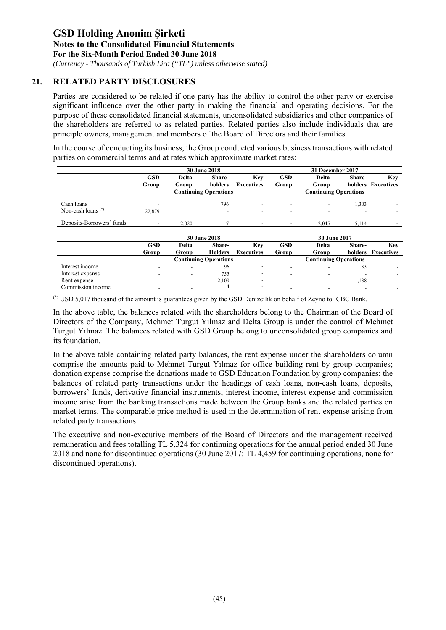*(Currency - Thousands of Turkish Lira ("TL") unless otherwise stated)*

### **21. RELATED PARTY DISCLOSURES**

Parties are considered to be related if one party has the ability to control the other party or exercise significant influence over the other party in making the financial and operating decisions. For the purpose of these consolidated financial statements, unconsolidated subsidiaries and other companies of the shareholders are referred to as related parties. Related parties also include individuals that are principle owners, management and members of the Board of Directors and their families.

In the course of conducting its business, the Group conducted various business transactions with related parties on commercial terms and at rates which approximate market rates:

|                           |            |       | <b>30 June 2018</b>          |                          |                          | 31 December 2017             |         |                          |
|---------------------------|------------|-------|------------------------------|--------------------------|--------------------------|------------------------------|---------|--------------------------|
|                           | <b>GSD</b> | Delta | Share-                       | Key                      | <b>GSD</b>               | Delta                        | Share-  | Key                      |
|                           | Group      | Group | holders                      | <b>Executives</b>        | Group                    | Group                        |         | holders Executives       |
|                           |            |       | <b>Continuing Operations</b> |                          |                          | <b>Continuing Operations</b> |         |                          |
| Cash loans                |            |       | 796                          | $\overline{\phantom{a}}$ | $\overline{\phantom{a}}$ | $\overline{a}$               | 1,303   | $\overline{\phantom{a}}$ |
| Non-cash loans $(*)$      | 22,879     |       | $\overline{\phantom{0}}$     | $\overline{\phantom{a}}$ |                          |                              |         | ۰                        |
| Deposits-Borrowers' funds |            | 2.020 |                              | $\overline{\phantom{a}}$ | $\overline{\phantom{a}}$ | 2.045                        | 5,114   |                          |
|                           |            |       | <b>30 June 2018</b>          |                          |                          | 30 June 2017                 |         |                          |
|                           | <b>GSD</b> | Delta | Share-                       | Key                      | <b>GSD</b>               | Delta                        | Share-  | Key                      |
|                           | Group      | Group | <b>Holders</b>               | <b>Executives</b>        | Group                    | Group                        | holders | Executives               |
|                           |            |       | <b>Continuing Operations</b> |                          |                          | <b>Continuing Operations</b> |         |                          |

|                   | www | www | -----------                  | - L'Attuuves             | www | www                          | повога | - EACCHUVG |
|-------------------|-----|-----|------------------------------|--------------------------|-----|------------------------------|--------|------------|
|                   |     |     | <b>Continuing Operations</b> |                          |     | <b>Continuing Operations</b> |        |            |
| Interest income   |     |     | 96                           |                          |     |                              | J      |            |
| Interest expense  |     |     | 755                          | $\overline{\phantom{0}}$ |     |                              |        |            |
| Rent expense      |     |     | 2,109                        |                          |     |                              | 1,138  |            |
| Commission income |     |     |                              | $\overline{\phantom{a}}$ |     |                              |        |            |

(\*) USD 5,017 thousand of the amount is guarantees given by the GSD Denizcilik on behalf of Zeyno to ICBC Bank.

In the above table, the balances related with the shareholders belong to the Chairman of the Board of Directors of the Company, Mehmet Turgut Yılmaz and Delta Group is under the control of Mehmet Turgut Yılmaz. The balances related with GSD Group belong to unconsolidated group companies and its foundation.

In the above table containing related party balances, the rent expense under the shareholders column comprise the amounts paid to Mehmet Turgut Yılmaz for office building rent by group companies; donation expense comprise the donations made to GSD Education Foundation by group companies; the balances of related party transactions under the headings of cash loans, non-cash loans, deposits, borrowers' funds, derivative financial instruments, interest income, interest expense and commission income arise from the banking transactions made between the Group banks and the related parties on market terms. The comparable price method is used in the determination of rent expense arising from related party transactions.

The executive and non-executive members of the Board of Directors and the management received remuneration and fees totalling TL 5,324 for continuing operations for the annual period ended 30 June 2018 and none for discontinued operations (30 June 2017: TL 4,459 for continuing operations, none for discontinued operations).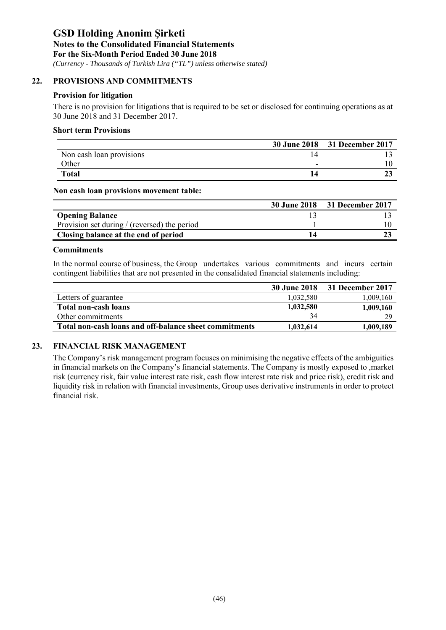*(Currency - Thousands of Turkish Lira ("TL") unless otherwise stated)*

### **22. PROVISIONS AND COMMITMENTS**

### **Provision for litigation**

There is no provision for litigations that is required to be set or disclosed for continuing operations as at 30 June 2018 and 31 December 2017.

#### **Short term Provisions**

|                          |   | 30 June 2018 31 December 2017 |
|--------------------------|---|-------------------------------|
| Non cash loan provisions |   |                               |
| Other                    | - |                               |
| <b>Total</b>             |   |                               |

**Non cash loan provisions movement table:** 

|                                              | 30 June 2018 31 December 2017 |
|----------------------------------------------|-------------------------------|
| <b>Opening Balance</b>                       |                               |
| Provision set during / (reversed) the period |                               |
| Closing balance at the end of period         |                               |

#### **Commitments**

In the normal course of business, the Group undertakes various commitments and incurs certain contingent liabilities that are not presented in the consalidated financial statements including:

|                                                        | 30 June 2018 | 31 December 2017 |
|--------------------------------------------------------|--------------|------------------|
| Letters of guarantee                                   | 1,032,580    | 1,009,160        |
| <b>Total non-cash loans</b>                            | 1,032,580    | 1,009,160        |
| Other commitments                                      | 34           | 29               |
| Total non-cash loans and off-balance sheet commitments | 1,032,614    | 1,009,189        |

### **23. FINANCIAL RISK MANAGEMENT**

The Company's risk management program focuses on minimising the negative effects of the ambiguities in financial markets on the Company's financial statements. The Company is mostly exposed to ,market risk (currency risk, fair value interest rate risk, cash flow interest rate risk and price risk), credit risk and liquidity risk in relation with financial investments, Group uses derivative instruments in order to protect financial risk.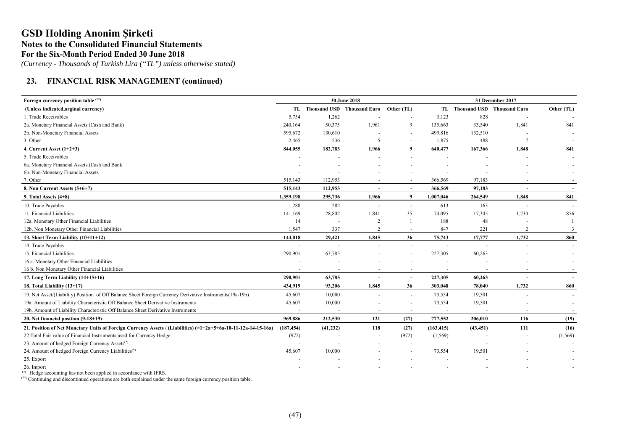*(Currency - Thousands of Turkish Lira ("TL") unless otherwise stated)*

### **23. FINANCIAL RISK MANAGEMENT (continued)**

| Foreign currency position table (**)                                                                             | 30 June 2018 |                          |                                          |                          |            |                               | 31 December 2017         |            |  |
|------------------------------------------------------------------------------------------------------------------|--------------|--------------------------|------------------------------------------|--------------------------|------------|-------------------------------|--------------------------|------------|--|
| (Unless indicated, orginal currency)                                                                             |              |                          | TL Thousand USD Thousand Euro Other (TL) |                          |            | TL Thousand USD Thousand Euro |                          | Other (TL) |  |
| 1. Trade Receivables                                                                                             | 5,754        | 1,262                    |                                          | $\overline{\phantom{a}}$ | 3,123      | 828                           |                          |            |  |
| 2a. Monetary Financial Assets (Cash and Bank)                                                                    | 240,164      | 50,375                   | 1,961                                    | 9                        | 135,663    | 33,540                        | 1,841                    | 841        |  |
| 2b. Non-Monetary Financial Assets                                                                                | 595,672      | 130,610                  |                                          | $\overline{a}$           | 499,816    | 132,510                       |                          |            |  |
| 3. Other                                                                                                         | 2,465        | 536                      | 5                                        | $\sim$                   | 1,875      | 488                           |                          |            |  |
| 4. Current Asset $(1+2+3)$                                                                                       | 844,055      | 182,783                  | 1,966                                    | 9                        | 640,477    | 167,366                       | 1,848                    | 841        |  |
| 5. Trade Receivables                                                                                             |              |                          |                                          |                          |            |                               |                          |            |  |
| 6a. Monetary Financial Assets (Cash and Bank                                                                     |              |                          |                                          |                          |            |                               |                          |            |  |
| 6b. Non-Monetary Financial Assets                                                                                |              |                          |                                          |                          |            |                               |                          |            |  |
| 7. Other                                                                                                         | 515,143      | 112,953                  |                                          |                          | 366,569    | 97,183                        |                          |            |  |
| 8. Non Current Assets (5+6+7)                                                                                    | 515,143      | 112,953                  | $\overline{\phantom{a}}$                 | $\overline{\phantom{a}}$ | 366,569    | 97,183                        | $\overline{\phantom{a}}$ | $\sim$     |  |
| 9. Total Assets $(4+8)$                                                                                          | 1,359,198    | 295,736                  | 1,966                                    | 9                        | 1,007,046  | 264,549                       | 1,848                    | 841        |  |
| 10. Trade Payables                                                                                               | 1,288        | 282                      |                                          | $\overline{\phantom{a}}$ | 613        | 163                           |                          |            |  |
| 11. Financial Liabilities                                                                                        | 141,169      | 28,802                   | 1,841                                    | 35                       | 74,095     | 17,345                        | 1,730                    | 856        |  |
| 12a. Monetary Other Financial Liabilities                                                                        | 14           | $\overline{\phantom{a}}$ | $\overline{2}$                           | $\mathbf{1}$             | 188        | 48                            |                          |            |  |
| 12b. Non Monetary Other Financial Liabilities                                                                    | 1,547        | 337                      | $\overline{2}$                           | $\sim$                   | 847        | 221                           | 2                        | 3          |  |
| 13. Short Term Liability (10+11+12)                                                                              | 144,018      | 29,421                   | 1,845                                    | 36                       | 75,743     | 17,777                        | 1,732                    | 860        |  |
| 14. Trade Payables                                                                                               |              |                          |                                          | $\sim$                   |            |                               |                          |            |  |
| 15. Financial Liabilities                                                                                        | 290,901      | 63,785                   |                                          |                          | 227,305    | 60,263                        |                          |            |  |
| 16 a. Monetary Other Financial Liabilities                                                                       |              |                          |                                          |                          |            |                               |                          |            |  |
| 16 b. Non Monetary Other Financial Liabilities                                                                   |              |                          |                                          |                          |            |                               |                          |            |  |
| 17. Long Term Liability (14+15+16)                                                                               | 290,901      | 63,785                   |                                          | $\overline{\phantom{a}}$ | 227,305    | 60,263                        |                          |            |  |
| 18. Total Liability (13+17)                                                                                      | 434,919      | 93,206                   | 1,845                                    | 36                       | 303,048    | 78,040                        | 1,732                    | 860        |  |
| 19. Net Asset/(Liability) Position of Off Balance Sheet Foreign Currency Derivative Instruments(19a-19b)         | 45,607       | 10,000                   | $\sim$                                   | $\blacksquare$           | 73,554     | 19,501                        |                          |            |  |
| 19a. Amount of Liability Characteristic Off Balance Sheet Derivative Instruments                                 | 45,607       | 10,000                   |                                          | $\blacksquare$           | 73,554     | 19,501                        |                          |            |  |
| 19b. Amount of Liability Characteristic Off Balance Sheet Derivative Instruments                                 |              |                          |                                          | $\overline{\phantom{a}}$ |            |                               |                          |            |  |
| 20. Net financial position (9-18+19)                                                                             | 969,886      | 212,530                  | 121                                      | (27)                     | 777,552    | 206,010                       | 116                      | (19)       |  |
| 21. Position of Net Monetary Units of Foreign Currency Assets / (Liabilities) $(=1+2a+5+6a-10-11-12a-14-15-16a)$ | (187, 454)   | (41, 232)                | 118                                      | (27)                     | (163, 415) | (43, 451)                     | 111                      | (16)       |  |
| 22. Total Fair value of Financial Instruments used for Currency Hedge                                            | (972)        |                          |                                          | (972)                    | (1, 569)   |                               |                          | (1, 569)   |  |
| 23. Amount of hedged Foreign Currency Assets <sup>(*)</sup>                                                      |              |                          |                                          |                          |            |                               |                          |            |  |
| 24. Amount of hedged Foreign Currency Liabilities <sup>(*)</sup>                                                 | 45,607       | 10,000                   |                                          |                          | 73,554     | 19,501                        |                          |            |  |
| 25. Export                                                                                                       |              |                          |                                          |                          |            |                               |                          |            |  |
| 26. Import                                                                                                       |              |                          |                                          |                          |            |                               |                          |            |  |
| $(*)$ TT. 1.                                                                                                     |              |                          |                                          |                          |            |                               |                          |            |  |

Hedge accounting has not been applied in accordance with IFRS.

(\*\*) Continuing and discontinued operations are both explained under the same foreign currency position table.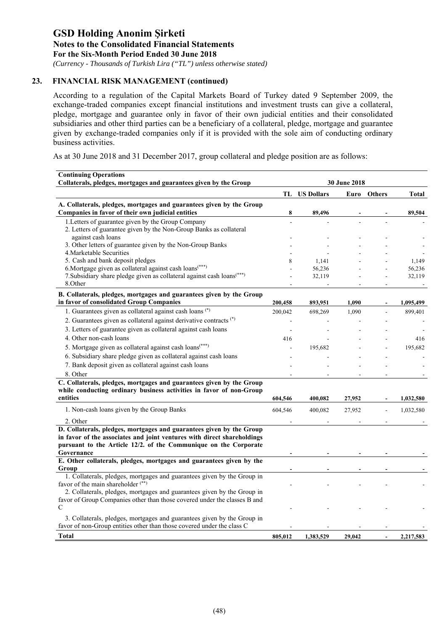*(Currency - Thousands of Turkish Lira ("TL") unless otherwise stated)*

### **23. FINANCIAL RISK MANAGEMENT (continued)**

According to a regulation of the Capital Markets Board of Turkey dated 9 September 2009, the exchange-traded companies except financial institutions and investment trusts can give a collateral, pledge, mortgage and guarantee only in favor of their own judicial entities and their consolidated subsidiaries and other third parties can be a beneficiary of a collateral, pledge, mortgage and guarantee given by exchange-traded companies only if it is provided with the sole aim of conducting ordinary business activities.

As at 30 June 2018 and 31 December 2017, group collateral and pledge position are as follows:

| <b>Continuing Operations</b><br>Collaterals, pledges, mortgages and guarantees given by the Group                                                                                                                                 | 30 June 2018 |                      |        |                |              |  |  |
|-----------------------------------------------------------------------------------------------------------------------------------------------------------------------------------------------------------------------------------|--------------|----------------------|--------|----------------|--------------|--|--|
|                                                                                                                                                                                                                                   |              | <b>TL</b> US Dollars | Euro   | <b>Others</b>  | <b>Total</b> |  |  |
| A. Collaterals, pledges, mortgages and guarantees given by the Group<br>Companies in favor of their own judicial entities                                                                                                         | 8            | 89,496               |        |                | 89,504       |  |  |
| 1. Letters of guarantee given by the Group Company<br>2. Letters of guarantee given by the Non-Group Banks as collateral                                                                                                          |              |                      |        |                |              |  |  |
| against cash loans<br>3. Other letters of guarantee given by the Non-Group Banks                                                                                                                                                  |              |                      |        |                |              |  |  |
| 4. Marketable Securities                                                                                                                                                                                                          |              |                      |        |                |              |  |  |
| 5. Cash and bank deposit pledges                                                                                                                                                                                                  | 8            | 1,141                |        |                | 1,149        |  |  |
| 6. Mortgage given as collateral against cash loans <sup>(***)</sup>                                                                                                                                                               |              | 56,236               |        |                | 56,236       |  |  |
| 7. Subsidiary share pledge given as collateral against cash loans <sup>(***)</sup>                                                                                                                                                |              | 32,119               |        |                | 32,119       |  |  |
| 8.Other                                                                                                                                                                                                                           |              |                      |        |                |              |  |  |
| B. Collaterals, pledges, mortgages and guarantees given by the Group<br>in favor of consolidated Group Companies                                                                                                                  | 200,458      | 893,951              | 1,090  |                | 1,095,499    |  |  |
| 1. Guarantees given as collateral against cash loans (*)                                                                                                                                                                          | 200,042      | 698,269              | 1,090  |                | 899,401      |  |  |
| 2. Guarantees given as collateral against derivative contracts (*)                                                                                                                                                                |              |                      |        |                |              |  |  |
|                                                                                                                                                                                                                                   |              |                      |        |                |              |  |  |
| 3. Letters of guarantee given as collateral against cash loans                                                                                                                                                                    | ÷            |                      |        |                |              |  |  |
| 4. Other non-cash loans                                                                                                                                                                                                           | 416          |                      |        |                | 416          |  |  |
| 5. Mortgage given as collateral against cash loans <sup>(***)</sup>                                                                                                                                                               |              | 195,682              |        |                | 195,682      |  |  |
| 6. Subsidiary share pledge given as collateral against cash loans                                                                                                                                                                 |              |                      |        |                |              |  |  |
| 7. Bank deposit given as collateral against cash loans                                                                                                                                                                            |              |                      |        |                |              |  |  |
| 8. Other                                                                                                                                                                                                                          |              |                      |        |                |              |  |  |
| C. Collaterals, pledges, mortgages and guarantees given by the Group<br>while conducting ordinary business activities in favor of non-Group                                                                                       |              |                      |        |                |              |  |  |
| entities                                                                                                                                                                                                                          | 604,546      | 400,082              | 27,952 |                | 1,032,580    |  |  |
| 1. Non-cash loans given by the Group Banks                                                                                                                                                                                        | 604,546      | 400,082              | 27,952 |                | 1,032,580    |  |  |
| 2. Other                                                                                                                                                                                                                          |              |                      |        |                |              |  |  |
| D. Collaterals, pledges, mortgages and guarantees given by the Group<br>in favor of the associates and joint ventures with direct shareholdings<br>pursuant to the Article 12/2. of the Communique on the Corporate<br>Governance |              |                      |        |                |              |  |  |
| E. Other collaterals, pledges, mortgages and guarantees given by the                                                                                                                                                              |              |                      |        |                |              |  |  |
| Group                                                                                                                                                                                                                             |              |                      |        |                |              |  |  |
| 1. Collaterals, pledges, mortgages and guarantees given by the Group in                                                                                                                                                           |              |                      |        |                |              |  |  |
| favor of the main shareholder <sup>(**)</sup>                                                                                                                                                                                     |              |                      |        |                |              |  |  |
| 2. Collaterals, pledges, mortgages and guarantees given by the Group in                                                                                                                                                           |              |                      |        |                |              |  |  |
| favor of Group Companies other than those covered under the classes B and<br>$\mathcal{C}$                                                                                                                                        |              |                      |        |                |              |  |  |
|                                                                                                                                                                                                                                   |              |                      |        |                |              |  |  |
| 3. Collaterals, pledges, mortgages and guarantees given by the Group in                                                                                                                                                           |              |                      |        |                |              |  |  |
| favor of non-Group entities other than those covered under the class C                                                                                                                                                            |              |                      |        |                |              |  |  |
| <b>Total</b>                                                                                                                                                                                                                      | 805,012      | 1,383,529            | 29,042 | $\overline{a}$ | 2,217,583    |  |  |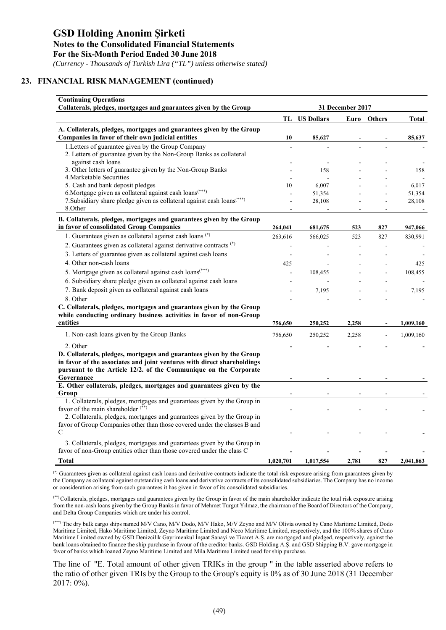*(Currency - Thousands of Turkish Lira ("TL") unless otherwise stated)*

### **23. FINANCIAL RISK MANAGEMENT (continued)**

| <b>Continuing Operations</b><br>Collaterals, pledges, mortgages and guarantees given by the Group                                                                                                                                 | 31 December 2017 |                      |       |             |                 |  |  |
|-----------------------------------------------------------------------------------------------------------------------------------------------------------------------------------------------------------------------------------|------------------|----------------------|-------|-------------|-----------------|--|--|
|                                                                                                                                                                                                                                   |                  | <b>TL</b> US Dollars |       | Euro Others | <b>Total</b>    |  |  |
| A. Collaterals, pledges, mortgages and guarantees given by the Group<br>Companies in favor of their own judicial entities                                                                                                         | 10               | 85,627               |       |             | 85,637          |  |  |
| 1. Letters of guarantee given by the Group Company<br>2. Letters of guarantee given by the Non-Group Banks as collateral                                                                                                          | L.               |                      |       |             |                 |  |  |
| against cash loans<br>3. Other letters of guarantee given by the Non-Group Banks<br>4. Marketable Securities                                                                                                                      |                  | 158                  |       |             | 158             |  |  |
| 5. Cash and bank deposit pledges<br>6. Mortgage given as collateral against cash loans <sup>(***)</sup>                                                                                                                           | 10               | 6,007<br>51,354      |       |             | 6,017<br>51,354 |  |  |
| 7. Subsidiary share pledge given as collateral against cash loans <sup>(***)</sup><br>8.Other                                                                                                                                     |                  | 28,108               |       |             | 28,108          |  |  |
| B. Collaterals, pledges, mortgages and guarantees given by the Group<br>in favor of consolidated Group Companies                                                                                                                  | 264,041          | 681,675              | 523   | 827         | 947,066         |  |  |
| 1. Guarantees given as collateral against cash loans (*)                                                                                                                                                                          | 263,616          | 566,025              | 523   | 827         | 830,991         |  |  |
| 2. Guarantees given as collateral against derivative contracts (*)                                                                                                                                                                | ÷,               |                      |       |             |                 |  |  |
| 3. Letters of guarantee given as collateral against cash loans                                                                                                                                                                    |                  |                      |       |             |                 |  |  |
| 4. Other non-cash loans                                                                                                                                                                                                           | 425              |                      |       |             | 425             |  |  |
| 5. Mortgage given as collateral against cash loans(***)                                                                                                                                                                           |                  | 108,455              |       |             | 108,455         |  |  |
| 6. Subsidiary share pledge given as collateral against cash loans                                                                                                                                                                 |                  |                      |       |             |                 |  |  |
| 7. Bank deposit given as collateral against cash loans<br>8. Other                                                                                                                                                                |                  | 7,195                |       |             | 7,195           |  |  |
| C. Collaterals, pledges, mortgages and guarantees given by the Group<br>while conducting ordinary business activities in favor of non-Group<br>entities                                                                           | 756,650          | 250,252              | 2,258 |             | 1,009,160       |  |  |
| 1. Non-cash loans given by the Group Banks                                                                                                                                                                                        | 756,650          | 250,252              | 2,258 |             | 1,009,160       |  |  |
| 2. Other                                                                                                                                                                                                                          |                  |                      |       |             |                 |  |  |
| D. Collaterals, pledges, mortgages and guarantees given by the Group<br>in favor of the associates and joint ventures with direct shareholdings<br>pursuant to the Article 12/2. of the Communique on the Corporate<br>Governance |                  |                      |       |             |                 |  |  |
| E. Other collaterals, pledges, mortgages and guarantees given by the                                                                                                                                                              |                  |                      |       |             |                 |  |  |
| Group                                                                                                                                                                                                                             |                  |                      |       |             |                 |  |  |
| 1. Collaterals, pledges, mortgages and guarantees given by the Group in<br>favor of the main shareholder <sup>(**)</sup>                                                                                                          |                  |                      |       |             |                 |  |  |
| 2. Collaterals, pledges, mortgages and guarantees given by the Group in<br>favor of Group Companies other than those covered under the classes B and<br>$\mathcal{C}$                                                             |                  |                      |       |             |                 |  |  |
|                                                                                                                                                                                                                                   |                  |                      |       |             |                 |  |  |
| 3. Collaterals, pledges, mortgages and guarantees given by the Group in<br>favor of non-Group entities other than those covered under the class C                                                                                 |                  |                      |       |             |                 |  |  |
| <b>Total</b>                                                                                                                                                                                                                      | 1,020,701        | 1,017,554            | 2,781 | 827         | 2,041,863       |  |  |

(\*) Guarantees given as collateral against cash loans and derivative contracts indicate the total risk exposure arising from guarantees given by the Company as collateral against outstanding cash loans and derivative contracts of its consolidated subsidiaries. The Company has no income or consideration arising from such guarantees it has given in favor of its consolidated subsidiaries.

(\*\*) Collaterals, pledges, mortgages and guarantees given by the Group in favor of the main shareholder indicate the total risk exposure arising from the non-cash loans given by the Group Banks in favor of Mehmet Turgut Yılmaz, the chairman of the Board of Directors of the Company, and Delta Group Companies which are under his control.

(\*\*\*) The dry bulk cargo ships named M/V Cano, M/V Dodo, M/V Hako, M/V Zeyno and M/V Olivia owned by Cano Maritime Limited, Dodo Maritime Limited, Hako Maritime Limited, Zeyno Maritime Limited and Neco Maritime Limited, respectively, and the 100% shares of Cano Maritime Limited owned by GSD Denizcilik Gayrimenkul İnşaat Sanayi ve Ticaret A.Ş. are mortgaged and pledged, respectively, against the bank loans obtained to finance the ship purchase in favour of the creditor banks. GSD Holding A.Ş. and GSD Shipping B.V. gave mortgage in favor of banks which loaned Zeyno Maritime Limited and Mila Maritime Limited used for ship purchase.

The line of "E. Total amount of other given TRIKs in the group " in the table asserted above refers to the ratio of other given TRIs by the Group to the Group's equity is 0% as of 30 June 2018 (31 December 2017: 0%).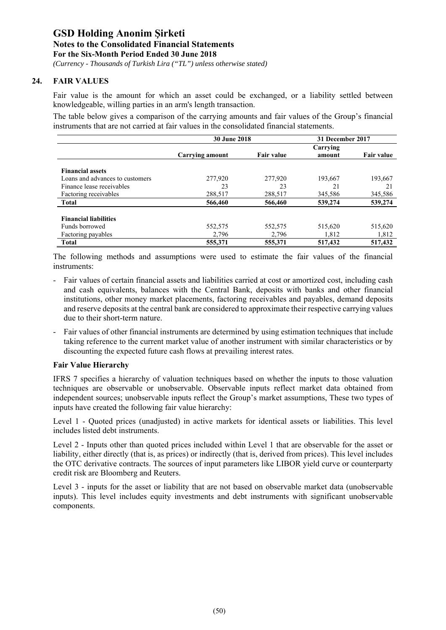*(Currency - Thousands of Turkish Lira ("TL") unless otherwise stated)*

### **24. FAIR VALUES**

Fair value is the amount for which an asset could be exchanged, or a liability settled between knowledgeable, willing parties in an arm's length transaction.

The table below gives a comparison of the carrying amounts and fair values of the Group's financial instruments that are not carried at fair values in the consolidated financial statements.

|                                 | <b>30 June 2018</b> |                   | 31 December 2017 |                   |
|---------------------------------|---------------------|-------------------|------------------|-------------------|
|                                 |                     |                   | Carrying         |                   |
|                                 | Carrying amount     | <b>Fair value</b> | amount           | <b>Fair value</b> |
|                                 |                     |                   |                  |                   |
| <b>Financial assets</b>         |                     |                   |                  |                   |
| Loans and advances to customers | 277,920             | 277,920           | 193,667          | 193,667           |
| Finance lease receivables       | 23                  | 23                | 21               | 21                |
| Factoring receivables           | 288,517             | 288,517           | 345,586          | 345,586           |
| <b>Total</b>                    | 566,460             | 566,460           | 539,274          | 539,274           |
|                                 |                     |                   |                  |                   |
| <b>Financial liabilities</b>    |                     |                   |                  |                   |
| Funds borrowed                  | 552,575             | 552,575           | 515,620          | 515,620           |
| Factoring payables              | 2,796               | 2,796             | 1,812            | 1,812             |
| <b>Total</b>                    | 555,371             | 555,371           | 517,432          | 517,432           |

The following methods and assumptions were used to estimate the fair values of the financial instruments:

- Fair values of certain financial assets and liabilities carried at cost or amortized cost, including cash and cash equivalents, balances with the Central Bank, deposits with banks and other financial institutions, other money market placements, factoring receivables and payables, demand deposits and reserve deposits at the central bank are considered to approximate their respective carrying values due to their short-term nature.
- Fair values of other financial instruments are determined by using estimation techniques that include taking reference to the current market value of another instrument with similar characteristics or by discounting the expected future cash flows at prevailing interest rates.

### **Fair Value Hierarchy**

IFRS 7 specifies a hierarchy of valuation techniques based on whether the inputs to those valuation techniques are observable or unobservable. Observable inputs reflect market data obtained from independent sources; unobservable inputs reflect the Group's market assumptions, These two types of inputs have created the following fair value hierarchy:

Level 1 - Quoted prices (unadjusted) in active markets for identical assets or liabilities. This level includes listed debt instruments.

Level 2 - Inputs other than quoted prices included within Level 1 that are observable for the asset or liability, either directly (that is, as prices) or indirectly (that is, derived from prices). This level includes the OTC derivative contracts. The sources of input parameters like LIBOR yield curve or counterparty credit risk are Bloomberg and Reuters.

Level 3 - inputs for the asset or liability that are not based on observable market data (unobservable inputs). This level includes equity investments and debt instruments with significant unobservable components.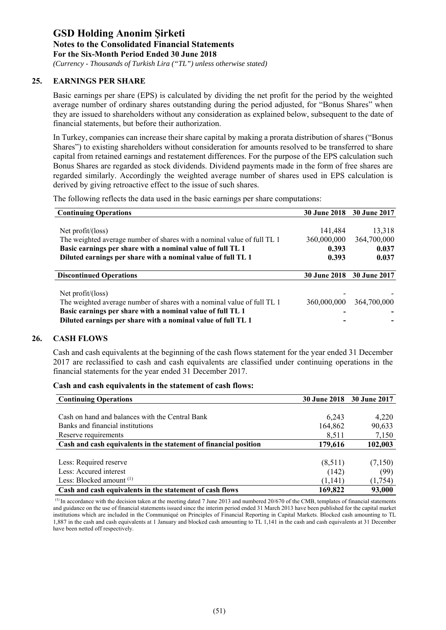*(Currency - Thousands of Turkish Lira ("TL") unless otherwise stated)*

### **25. EARNINGS PER SHARE**

Basic earnings per share (EPS) is calculated by dividing the net profit for the period by the weighted average number of ordinary shares outstanding during the period adjusted, for "Bonus Shares" when they are issued to shareholders without any consideration as explained below, subsequent to the date of financial statements, but before their authorization.

In Turkey, companies can increase their share capital by making a prorata distribution of shares ("Bonus Shares") to existing shareholders without consideration for amounts resolved to be transferred to share capital from retained earnings and restatement differences. For the purpose of the EPS calculation such Bonus Shares are regarded as stock dividends. Dividend payments made in the form of free shares are regarded similarly. Accordingly the weighted average number of shares used in EPS calculation is derived by giving retroactive effect to the issue of such shares.

The following reflects the data used in the basic earnings per share computations:

| <b>Continuing Operations</b>                                            |                     | 30 June 2018 30 June 2017 |
|-------------------------------------------------------------------------|---------------------|---------------------------|
|                                                                         |                     |                           |
| Net $profit/(\text{loss})$                                              | 141,484             | 13,318                    |
| The weighted average number of shares with a nominal value of full TL 1 | 360,000,000         | 364,700,000               |
| Basic earnings per share with a nominal value of full TL 1              | 0.393               | 0.037                     |
| Diluted earnings per share with a nominal value of full TL 1            | 0.393               | 0.037                     |
| <b>Discontinued Operations</b>                                          | <b>30 June 2018</b> | 30 June 2017              |
| Net $profit/(\text{loss})$                                              |                     |                           |
| The weighted average number of shares with a nominal value of full TL 1 | 360,000,000         | 364,700,000               |
| Basic earnings per share with a nominal value of full TL 1              |                     |                           |
| Diluted earnings per share with a nominal value of full TL 1            |                     |                           |

### **26. CASH FLOWS**

Cash and cash equivalents at the beginning of the cash flows statement for the year ended 31 December 2017 are reclassified to cash and cash equivalents are classified under continuing operations in the financial statements for the year ended 31 December 2017.

#### **Cash and cash equivalents in the statement of cash flows:**

| <b>Continuing Operations</b>                                     |         | 30 June 2018 30 June 2017 |
|------------------------------------------------------------------|---------|---------------------------|
|                                                                  |         |                           |
| Cash on hand and balances with the Central Bank                  | 6,243   | 4,220                     |
| Banks and financial institutions                                 | 164,862 | 90,633                    |
| Reserve requirements                                             | 8,511   | 7,150                     |
| Cash and cash equivalents in the statement of financial position | 179,616 | 102,003                   |
|                                                                  |         |                           |
| Less: Required reserve                                           | (8,511) | (7,150)                   |
| Less: Accured interest                                           | (142)   | (99)                      |
| Less: Blocked amount $(1)$                                       | (1,141) | (1,754)                   |
| Cash and cash equivalents in the statement of cash flows         | 169,822 | 93,000                    |

 (1) In accordance with the decision taken at the meeting dated 7 June 2013 and numbered 20/670 of the CMB, templates of financial statements and guidance on the use of financial statements issued since the interim period ended 31 March 2013 have been published for the capital market institutions which are included in the Communiqué on Principles of Financial Reporting in Capital Markets. Blocked cash amounting to TL 1,887 in the cash and cash equivalents at 1 January and blocked cash amounting to TL 1,141 in the cash and cash equivalents at 31 December have been netted off respectively.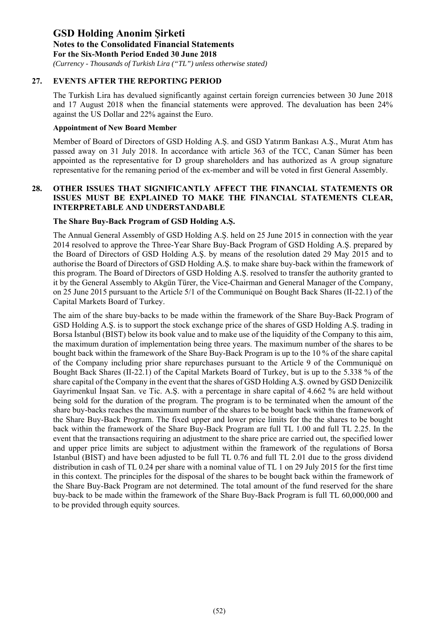*(Currency - Thousands of Turkish Lira ("TL") unless otherwise stated)*

### **27. EVENTS AFTER THE REPORTING PERIOD**

The Turkish Lira has devalued significantly against certain foreign currencies between 30 June 2018 and 17 August 2018 when the financial statements were approved. The devaluation has been 24% against the US Dollar and 22% against the Euro.

#### **Appointment of New Board Member**

Member of Board of Directors of GSD Holding A.Ş. and GSD Yatırım Bankası A.Ş., Murat Atım has passed away on 31 July 2018. In accordance with article 363 of the TCC, Canan Sümer has been appointed as the representative for D group shareholders and has authorized as A group signature representative for the remaning period of the ex-member and will be voted in first General Assembly.

### **28. OTHER ISSUES THAT SIGNIFICANTLY AFFECT THE FINANCIAL STATEMENTS OR ISSUES MUST BE EXPLAINED TO MAKE THE FINANCIAL STATEMENTS CLEAR, INTERPRETABLE AND UNDERSTANDABLE**

### **The Share Buy-Back Program of GSD Holding A.Ş.**

The Annual General Assembly of GSD Holding A.Ş. held on 25 June 2015 in connection with the year 2014 resolved to approve the Three-Year Share Buy-Back Program of GSD Holding A.Ş. prepared by the Board of Directors of GSD Holding A.Ş. by means of the resolution dated 29 May 2015 and to authorise the Board of Directors of GSD Holding A.Ş. to make share buy-back within the framework of this program. The Board of Directors of GSD Holding A.Ş. resolved to transfer the authority granted to it by the General Assembly to Akgün Türer, the Vice-Chairman and General Manager of the Company, on 25 June 2015 pursuant to the Article 5/1 of the Communiqué on Bought Back Shares (II-22.1) of the Capital Markets Board of Turkey.

The aim of the share buy-backs to be made within the framework of the Share Buy-Back Program of GSD Holding A.Ş. is to support the stock exchange price of the shares of GSD Holding A.Ş. trading in Borsa İstanbul (BIST) below its book value and to make use of the liquidity of the Company to this aim, the maximum duration of implementation being three years. The maximum number of the shares to be bought back within the framework of the Share Buy-Back Program is up to the 10 % of the share capital of the Company including prior share repurchases pursuant to the Article 9 of the Communiqué on Bought Back Shares (II-22.1) of the Capital Markets Board of Turkey, but is up to the 5.338 % of the share capital of the Company in the event that the shares of GSD Holding A.Ş. owned by GSD Denizcilik Gayrimenkul İnşaat San. ve Tic. A.Ş. with a percentage in share capital of 4.662 % are held without being sold for the duration of the program. The program is to be terminated when the amount of the share buy-backs reaches the maximum number of the shares to be bought back within the framework of the Share Buy-Back Program. The fixed upper and lower price limits for the the shares to be bought back within the framework of the Share Buy-Back Program are full TL 1.00 and full TL 2.25. In the event that the transactions requiring an adjustment to the share price are carried out, the specified lower and upper price limits are subject to adjustment within the framework of the regulations of Borsa Istanbul (BIST) and have been adjusted to be full TL 0.76 and full TL 2.01 due to the gross dividend distribution in cash of TL 0.24 per share with a nominal value of TL 1 on 29 July 2015 for the first time in this context. The principles for the disposal of the shares to be bought back within the framework of the Share Buy-Back Program are not determined. The total amount of the fund reserved for the share buy-back to be made within the framework of the Share Buy-Back Program is full TL 60,000,000 and to be provided through equity sources.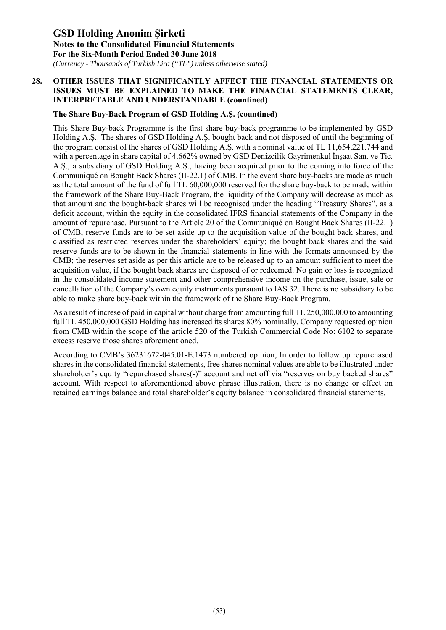*(Currency - Thousands of Turkish Lira ("TL") unless otherwise stated)*

### **28. OTHER ISSUES THAT SIGNIFICANTLY AFFECT THE FINANCIAL STATEMENTS OR ISSUES MUST BE EXPLAINED TO MAKE THE FINANCIAL STATEMENTS CLEAR, INTERPRETABLE AND UNDERSTANDABLE (countined)**

### **The Share Buy-Back Program of GSD Holding A.Ş. (countined)**

This Share Buy-back Programme is the first share buy-back programme to be implemented by GSD Holding A.Ş.. The shares of GSD Holding A.Ş. bought back and not disposed of until the beginning of the program consist of the shares of GSD Holding A.Ş. with a nominal value of TL 11,654,221.744 and with a percentage in share capital of 4.662% owned by GSD Denizcilik Gayrimenkul İnşaat San. ve Tic. A.Ş., a subsidiary of GSD Holding A.Ş., having been acquired prior to the coming into force of the Communiqué on Bought Back Shares (II-22.1) of CMB. In the event share buy-backs are made as much as the total amount of the fund of full TL 60,000,000 reserved for the share buy-back to be made within the framework of the Share Buy-Back Program, the liquidity of the Company will decrease as much as that amount and the bought-back shares will be recognised under the heading "Treasury Shares", as a deficit account, within the equity in the consolidated IFRS financial statements of the Company in the amount of repurchase. Pursuant to the Article 20 of the Communiqué on Bought Back Shares (II-22.1) of CMB, reserve funds are to be set aside up to the acquisition value of the bought back shares, and classified as restricted reserves under the shareholders' equity; the bought back shares and the said reserve funds are to be shown in the financial statements in line with the formats announced by the CMB; the reserves set aside as per this article are to be released up to an amount sufficient to meet the acquisition value, if the bought back shares are disposed of or redeemed. No gain or loss is recognized in the consolidated income statement and other comprehensive income on the purchase, issue, sale or cancellation of the Company's own equity instruments pursuant to IAS 32. There is no subsidiary to be able to make share buy-back within the framework of the Share Buy-Back Program.

As a result of increse of paid in capital without charge from amounting full TL 250,000,000 to amounting full TL 450,000,000 GSD Holding has increased its shares 80% nominally. Company requested opinion from CMB within the scope of the article 520 of the Turkish Commercial Code No: 6102 to separate excess reserve those shares aforementioned.

According to CMB's 36231672-045.01-E.1473 numbered opinion, In order to follow up repurchased shares in the consolidated financial statements, free shares nominal values are able to be illustrated under shareholder's equity "repurchased shares(-)" account and net off via "reserves on buy backed shares" account. With respect to aforementioned above phrase illustration, there is no change or effect on retained earnings balance and total shareholder's equity balance in consolidated financial statements.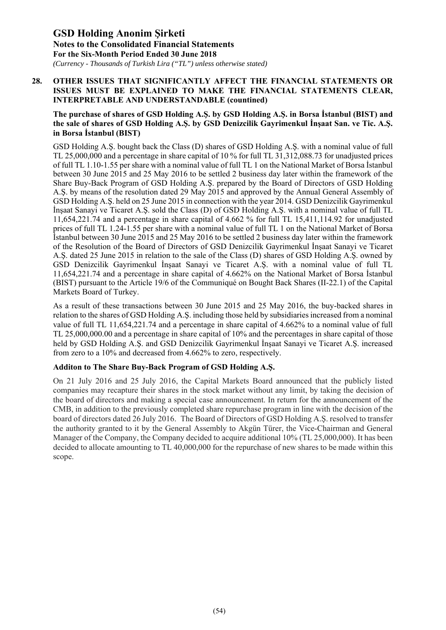*(Currency - Thousands of Turkish Lira ("TL") unless otherwise stated)*

### **28. OTHER ISSUES THAT SIGNIFICANTLY AFFECT THE FINANCIAL STATEMENTS OR ISSUES MUST BE EXPLAINED TO MAKE THE FINANCIAL STATEMENTS CLEAR, INTERPRETABLE AND UNDERSTANDABLE (countined)**

### **The purchase of shares of GSD Holding A.Ş. by GSD Holding A.Ş. in Borsa İstanbul (BIST) and the sale of shares of GSD Holding A.Ş. by GSD Denizcilik Gayrimenkul İnşaat San. ve Tic. A.Ş. in Borsa İstanbul (BIST)**

GSD Holding A.Ş. bought back the Class (D) shares of GSD Holding A.Ş. with a nominal value of full TL 25,000,000 and a percentage in share capital of 10 % for full TL 31,312,088.73 for unadjusted prices of full TL 1.10-1.55 per share with a nominal value of full TL 1 on the National Market of Borsa İstanbul between 30 June 2015 and 25 May 2016 to be settled 2 business day later within the framework of the Share Buy-Back Program of GSD Holding A.Ş. prepared by the Board of Directors of GSD Holding A.Ş. by means of the resolution dated 29 May 2015 and approved by the Annual General Assembly of GSD Holding A.Ş. held on 25 June 2015 in connection with the year 2014. GSD Denizcilik Gayrimenkul İnşaat Sanayi ve Ticaret A.Ş. sold the Class (D) of GSD Holding A.Ş. with a nominal value of full TL 11,654,221.74 and a percentage in share capital of 4.662 % for full TL 15,411,114.92 for unadjusted prices of full TL 1.24-1.55 per share with a nominal value of full TL 1 on the National Market of Borsa İstanbul between 30 June 2015 and 25 May 2016 to be settled 2 business day later within the framework of the Resolution of the Board of Directors of GSD Denizcilik Gayrimenkul İnşaat Sanayi ve Ticaret A.Ş. dated 25 June 2015 in relation to the sale of the Class (D) shares of GSD Holding A.Ş. owned by GSD Denizcilik Gayrimenkul İnşaat Sanayi ve Ticaret A.Ş. with a nominal value of full TL 11,654,221.74 and a percentage in share capital of 4.662% on the National Market of Borsa İstanbul (BIST) pursuant to the Article 19/6 of the Communiqué on Bought Back Shares (II-22.1) of the Capital Markets Board of Turkey.

As a result of these transactions between 30 June 2015 and 25 May 2016, the buy-backed shares in relation to the shares of GSD Holding A.Ş. including those held by subsidiaries increased from a nominal value of full TL 11,654,221.74 and a percentage in share capital of 4.662% to a nominal value of full TL 25,000,000.00 and a percentage in share capital of 10% and the percentages in share capital of those held by GSD Holding A.Ş. and GSD Denizcilik Gayrimenkul İnşaat Sanayi ve Ticaret A.Ş. increased from zero to a 10% and decreased from 4.662% to zero, respectively.

### **Additon to The Share Buy-Back Program of GSD Holding A.Ş.**

On 21 July 2016 and 25 July 2016, the Capital Markets Board announced that the publicly listed companies may recapture their shares in the stock market without any limit, by taking the decision of the board of directors and making a special case announcement. In return for the announcement of the CMB, in addition to the previously completed share repurchase program in line with the decision of the board of directors dated 26 July 2016. The Board of Directors of GSD Holding A.Ş. resolved to transfer the authority granted to it by the General Assembly to Akgün Türer, the Vice-Chairman and General Manager of the Company, the Company decided to acquire additional 10% (TL 25,000,000). It has been decided to allocate amounting to TL 40,000,000 for the repurchase of new shares to be made within this scope.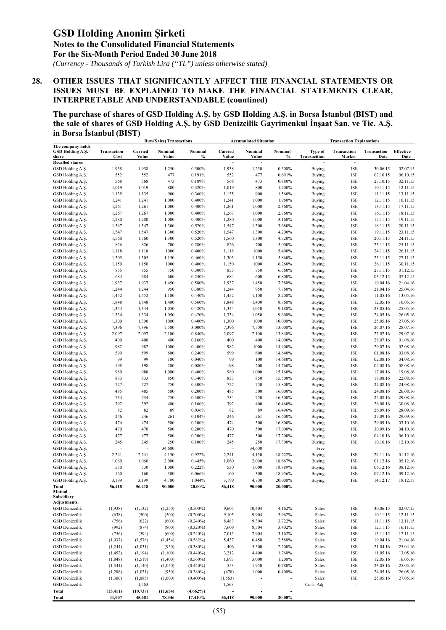*(Currency - Thousands of Turkish Lira ("TL") unless otherwise stated)*

### **28. OTHER ISSUES THAT SIGNIFICANTLY AFFECT THE FINANCIAL STATEMENTS OR ISSUES MUST BE EXPLAINED TO MAKE THE FINANCIAL STATEMENTS CLEAR, INTERPRETABLE AND UNDERSTANDABLE (countined)**

**The purchase of shares of GSD Holding A.Ş. by GSD Holding A.Ş. in Borsa İstanbul (BIST) and the sale of shares of GSD Holding A.Ş. by GSD Denizcilik Gayrimenkul İnşaat San. ve Tic. A.Ş. in Borsa İstanbul (BIST)** 

|                                                |                     |                  | <b>Buy/(Sales) Transactions</b> |                            |                  | <b>Accumulated Situation</b>       |                                    |                         | <b>Transaction Explanations</b> |                      |                      |
|------------------------------------------------|---------------------|------------------|---------------------------------|----------------------------|------------------|------------------------------------|------------------------------------|-------------------------|---------------------------------|----------------------|----------------------|
| The company holds<br>GSD Holding A.S.<br>share | Transaction<br>Cost | Carried<br>Value | Nominal<br>Value                | Nominal<br>%               | Carried<br>Value | Nominal<br>Value                   | Nominal<br>$\%$                    | Type of<br>Transacition | Transaction<br>Market           | Transaction<br>Date  | Effective<br>Date    |
| <b>Recalled shares</b>                         |                     |                  |                                 |                            | ÷,               | ÷                                  |                                    |                         | $\overline{\phantom{a}}$        |                      |                      |
| GSD Holding A.S.                               | 1,938               | 1,938            | 1,250                           | 0.500%                     | 1,938            | 1,250                              | 0.500%                             | <b>Buying</b>           | <b>ISE</b>                      | 30.06.15             | 02.07.15             |
| GSD Holding A.Ş.                               | 552                 | 552              | 477                             | 0.191%                     | 552              | 477                                | 0.691%                             | <b>Buying</b>           | <b>ISE</b>                      | 02.10.15             | 06.10.15             |
| GSD Holding A.Ş.                               | 568                 | 568              | 473                             | 0.189%                     | 568              | 473                                | 0.880%                             | Buying                  | <b>ISE</b>                      | 27.10.15             | 02.11.15             |
| GSD Holding A.Ş.                               | 1,019               | 1,019            | 800                             | 0.320%                     | 1,019            | 800                                | 1.200%                             | Buying                  | <b>ISE</b>                      | 10.11.15             | 12.11.15             |
| GSD Holding A.Ş.                               | 1,135               | 1,135            | 900                             | 0.360%                     | 1,135            | 900                                | 1.560%                             | Buying                  | <b>ISE</b>                      | 11.11.15             | 13.11.15             |
| GSD Holding A.Ş.                               | 1,241               | 1,241            | 1,000                           | 0.400%                     | 1,241            | 1,000                              | 1.960%                             | Buying                  | <b>ISE</b>                      | 12.11.15             | 16.11.15             |
| GSD Holding A.Ş.                               | 1,261               | 1,261            | 1,000                           | 0.400%                     | 1,261            | 1,000                              | 2.360%                             | <b>Buying</b>           | <b>ISE</b>                      | 13.11.15             | 17.11.15             |
| GSD Holding A.Ş.                               | 1,267               | 1,267            | 1,000                           | 0.400%                     | 1,267            | 1,000                              | 2.760%                             | <b>Buying</b>           | <b>ISE</b>                      | 16.11.15             | 18.11.15             |
| GSD Holding A.Ş.                               | 1,280               | 1,280            | 1,000                           | 0.400%                     | 1,280            | 1,000                              | 3.160%                             | Buying                  | <b>ISE</b>                      | 17.11.15             | 19.11.15             |
| GSD Holding A.Ş.                               | 1,547               | 1,547            | 1,300                           | 0.520%                     | 1,547            | 1,300                              | 3.680%                             | Buying                  | <b>ISE</b>                      | 18.11.15             | 20.11.15             |
| GSD Holding A.Ş.                               | 1,547               | 1,547            | 1,300                           | 0.520%                     | 1,547            | 1,300                              | 4.200%                             | Buying                  | <b>ISE</b>                      | 19.11.15             | 23.11.15             |
| GSD Holding A.Ş.                               | 1,560               | 1,560            | 1,300                           | 0.520%                     | 1,560            | 1,300                              | 4.720%                             | Buying                  | <b>ISE</b>                      | 20.11.15             | 24.11.15             |
| GSD Holding A.Ş.                               | 826                 | 826              | 700                             | 0.280%                     | 826              | 700                                | 5.000%                             | <b>Buying</b>           | <b>ISE</b>                      | 23.11.15             | 25.11.15             |
| GSD Holding A.Ş.                               | 1,118               | 1,118            | 1000                            | 0.400%                     | 1,118            | 1000                               | 5.400%                             | <b>Buying</b>           | <b>ISE</b>                      | 24.11.15             | 26.11.15             |
| GSD Holding A.Ş.                               | 1,305               | 1,305            | 1,150                           | 0.460%                     | 1,305            | 1,150                              | 5.860%                             | Buying                  | <b>ISE</b>                      | 25.11.15             | 27.11.15             |
| GSD Holding A.Ş.                               | 1,150               | 1,150            | 1000                            | 0.400%                     | 1,150            | 1000                               | 6.260%                             | Buying                  | <b>ISE</b>                      | 26.11.15             | 30.11.15             |
| GSD Holding A.Ş.                               | 855                 | 855              | 750                             | 0.300%                     | 855              | 750                                | 6.560%                             | Buying                  | <b>ISE</b>                      | 27.11.15             | 01.12.15             |
| GSD Holding A.Ş.                               | 684                 | 684              | 600                             | 0.240%                     | 684              | 600                                | 6.800%                             | Buying                  | <b>ISE</b>                      | 03.12.15             | 07.12.15             |
| GSD Holding A.Ş.                               | 1,937               | 1,937            | 1,450                           | 0.580%                     | 1,937            | 1,450                              | 7.380%                             | <b>Buying</b>           | <b>ISE</b>                      | 19.04.16             | 21.04.16             |
| GSD Holding A.Ş.                               | 1,244               | 1,244            | 950                             | 0.380%                     | 1,244            | 950                                | 7.760%                             | <b>Buying</b>           | <b>ISE</b>                      | 21.04.16             | 25.04.16             |
| GSD Holding A.Ş.                               | 1,452               | 1,452            | 1,100                           | 0.440%                     | 1,452            | 1,100                              | 8.200%                             | Buying                  | <b>ISE</b>                      | 11.05.16             | 13.05.16             |
| GSD Holding A.Ş.                               | 1,848               | 1,848            | 1,400                           | 0.560%                     | 1,848            | 1,400                              | 8.760%                             | Buying                  | <b>ISE</b>                      | 12.05.16             | 16.05.16             |
| GSD Holding A.Ş.                               | 1,344               | 1,344            | 1,050                           | 0.420%                     | 1,344            | 1,050                              | 9.180%                             | Buying                  | <b>ISE</b>                      | 23.05.16             | 25.05.16             |
| GSD Holding A.Ş.                               | 1,334               | 1,334            | 1,050                           | 0.420%                     | 1,334            | 1,050                              | 9.600%                             | Buying                  | <b>ISE</b>                      | 24.05.16             | 26.05.16             |
| GSD Holding A.Ş.                               | 1,300               | 1,300            | 1000                            | 0.400%                     | 1,300            | 1000                               | 10.000%                            | <b>Buying</b>           | <b>ISE</b>                      | 25.05.16             | 27.05.16             |
| GSD Holding A.Ş.                               | 7,396               | 7,396            | 7,500                           | 3.000%                     | 7,396            | 7,500                              | 13.000%                            | Buying                  | <b>ISE</b>                      | 26.07.16             | 28.07.16             |
| GSD Holding A.Ş.                               | 2,097               | 2,097            | 2,100                           | 0.840%                     | 2,097            | 2,100                              | 13.840%                            | Buying                  | <b>ISE</b>                      | 27.07.16             | 29.07.16             |
| GSD Holding A.Ş.                               | 400                 | 400              | 400                             | 0.160%                     | 400              | 400                                | 14.000%                            | Buying                  | <b>ISE</b>                      | 28.07.16             | 01.08.16             |
| GSD Holding A.Ş.                               | 982                 | 982              | 1000                            | 0.400%                     | 982              | 1000                               | 14.400%                            | <b>Buying</b>           | <b>ISE</b>                      | 29.07.16             | 02.08.16             |
| GSD Holding A.Ş.                               | 599                 | 599              | 600                             | 0.240%                     | 599              | 600                                | 14.640%                            | Buying                  | <b>ISE</b>                      | 01.08.16             | 03.08.16             |
| GSD Holding A.Ş.                               | 99                  | 99               | 100                             | 0.040%                     | 99               | 100                                | 14.680%                            | <b>Buying</b>           | <b>ISE</b>                      | 02.08.16             | 04.08.16             |
| GSD Holding A.Ş.                               | 198                 | 198              | 200                             | 0.080%                     | 198              | 200                                | 14.760%                            | <b>Buying</b>           | <b>ISE</b>                      | 04.08.16             | 08.08.16             |
| GSD Holding A.Ş.                               | 980                 | 980              | 1,000                           | 0.400%                     | 980              | 1,000                              | 15.160%                            | Buying                  | <b>ISE</b>                      | 17.08.16             | 19.08.16             |
| GSD Holding A.Ş.                               | 833                 | 833              | 850                             | 0.340%                     | 833              | 850                                | 15.500%                            | Buying                  | <b>ISE</b>                      | 18.08.16             | 22.08.16             |
| GSD Holding A.Ş.                               | 727                 | 727              | 750                             | 0.300%                     | 727              | 750                                | 15.800%                            | Buying                  | <b>ISE</b>                      | 22.08.16             | 24.08.16             |
| GSD Holding A.Ş.                               | 485                 | 485              | 500                             | 0.200%                     | 485              | 500                                | 16.000%                            | <b>Buying</b>           | <b>ISE</b>                      | 24.08.16             | 26.08.16             |
| GSD Holding A.Ş.                               | 734                 | 734              | 750                             | 0.300%                     | 734              | 750                                | 16.300%                            | <b>Buying</b>           | <b>ISE</b>                      | 25.08.16             | 29.08.16             |
| GSD Holding A.Ş.                               | 392                 | 392              | 400                             | 0.160%                     | 392              | 400                                | 16.460%                            | <b>Buying</b>           | <b>ISE</b>                      | 26.08.16             | 30.08.16             |
| GSD Holding A.Ş.                               | 82                  | 82               | 89                              | 0.036%                     | 82               | 89                                 | 16.496%                            | Buying                  | <b>ISE</b>                      | 26.09.16             | 28.09.16             |
| GSD Holding A.Ş.                               | 246                 | 246              | 261                             | 0.104%                     | 246              | 261                                | 16.600%                            | Buying                  | <b>ISE</b>                      | 27.09.16             | 29.09.16             |
| GSD Holding A.Ş.                               | 474                 | 474              | 500                             | 0.200%                     | 474              | 500                                | 16.800%                            | <b>Buying</b>           | <b>ISE</b>                      | 29.09.16             | 03.10.16             |
| GSD Holding A.Ş.                               | 470                 | 470              | 500                             | 0.200%                     | 470              | 500                                | 17.000%                            | Buying                  | <b>ISE</b>                      | 30.09.16             | 04.10.16             |
| GSD Holding A.Ş.                               | 477                 | 477              | 500                             | 0.200%                     | 477              | 500                                | 17.200%                            | <b>Buying</b>           | <b>ISE</b>                      | 04.10.16             | 06.10.16             |
| GSD Holding A.Ş.                               | 245                 | 245              | 250                             | 0.100%                     | 245              | 250                                | 17.300%                            | <b>Buying</b>           | <b>ISE</b>                      | 10.10.16             | 12.10.16             |
| GSD Holding A.Ş.                               |                     | ÷                | 34,600                          |                            | L,               | 34,600                             |                                    | Free                    |                                 |                      |                      |
| GSD Holding A.Ş.                               | 2,241               | 2,241            | 4,150                           | 0.922%                     | 2,241            | 4,150                              | 18.222%                            | Buying                  | <b>ISE</b>                      | 29.11.16             | 01.12.16             |
| GSD Holding A.Ş.                               | 1,060               | 1,060            | 2,000                           | 0.445%                     | 1,060            | 2,000                              | 18.667%                            | <b>Buying</b>           | <b>ISE</b>                      | 01.12.16             | 05.12.16             |
| GSD Holding A.Ş.                               | 530                 | 530              | 1,000                           | 0.222%                     | 530              | 1,000                              | 18.889%                            | Buying                  | <b>ISE</b>                      | 06.12.16             | 08.12.16             |
| GSD Holding A.Ş.                               | 160                 | 160              | 300                             | 0.066%                     | 160              | 300                                | 18.956%                            | Buying                  | $\sf{ISE}$                      | 07.12.16             | 09.12.16             |
| GSD Holding A.Ş.                               | 3,199               | 3,199            | 4,700                           | 1.044%                     | 3,199            | 4,700                              | 20.000%                            | <b>Buying</b>           | <b>ISE</b>                      | 14.12.17             | 18.12.17             |
| Total                                          | 56,418              | 56,418           | 90,000                          | 20.00%                     | 56,418           | 90,000                             | 20.000%                            |                         |                                 |                      |                      |
| Mutual<br>Subsidiary<br>Adjustments.           |                     |                  |                                 |                            |                  |                                    |                                    |                         |                                 |                      |                      |
| <b>GSD</b> Denizcilik                          | (1,938)             | (1, 132)         | (1,250)                         | $(0.500\%)$                | 9,605            | 10,404                             | 4.162%                             | Sales                   | ISE                             | 30.06.15             | 02.07.15             |
| <b>GSD</b> Denizcilik                          | (638)               | (500)            | (500)                           | $(0.200\%)$                | 9,105            | 9,904                              | 3.962%                             | Sales                   | ISE                             | 10.11.15             | 12.11.15             |
| GSD Denizcilik                                 | (756)               | (622)            | (600)                           | $(0.240\%)$                | 8,483            | 9,304                              | 3.722%                             | Sales                   | ISE                             | 11.11.15             | 13.11.15             |
| <b>GSD</b> Denizcilik                          | (992)               | (874)            | (800)                           | $(0.320\%)$                | 7,609            | 8,504                              | 3.402%                             | Sales                   | ISE                             | 12.11.15             | 16.11.15             |
|                                                |                     |                  |                                 |                            |                  |                                    |                                    |                         |                                 |                      |                      |
| GSD Denizcilik<br><b>GSD</b> Denizcilik        | (756)<br>(1,937)    | (594)            | (600)<br>(1, 454)               | $(0.240\%)$<br>$(0.582\%)$ | 7,015<br>5,437   | 7,904<br>6,450                     | 3.162%<br>2.580%                   | Sales<br>Sales          | ISE<br>ISE                      | 13.11.15<br>19.04.16 | 17.11.15<br>21.04.16 |
| <b>GSD</b> Denizcilik                          |                     | (1,578)          |                                 |                            |                  |                                    | 2.200%                             |                         |                                 | 21.04.16             |                      |
|                                                | (1,244)             | (1,031)          | (950)                           | $(0.380\%)$                | 4,406            | 5,500                              |                                    | Sales                   | ISE                             |                      | 25.04.16             |
| <b>GSD</b> Denizcilik                          | (1, 452)            | (1, 194)         | (1,100)                         | $(0.440\%)$                | 3,212            | 4,400                              | 1.760%                             | Sales                   | ISE                             | 11.05.16             | 13.05.16             |
| GSD Denizcilik                                 | (1, 848)            | (1, 519)         | (1,400)                         | $(0.560\%)$                | 1,693            | 3,000                              | 1.200%                             | Sales                   | ISE                             | 12.05.16             | 16.05.16             |
| <b>GSD</b> Denizcilik                          | (1, 344)            | (1,140)          | (1,050)                         | $(0.420\%)$                | 553              | 1,950                              | 0.780%                             | Sales                   | <b>ISE</b>                      | 23.05.16             | 25.05.16             |
| <b>GSD</b> Denizcilik                          | (1,206)             | (1,031)          | (950)                           | $(0.380\%)$                | (478)            | 1,000                              | 0.400%                             | Sales                   | ISE                             | 24.05.16             | 26.05.16             |
| <b>GSD</b> Denizcilik                          | (1,300)             | (1,085)          | (1,000)                         | $(0.400\%)$                | (1, 563)         |                                    |                                    | Sales                   | ISE                             | 25.05.16             | 27.05.16             |
| <b>GSD</b> Denizcilik                          |                     | 1,563            |                                 |                            | 1,563            | $\overline{a}$                     | $\overline{a}$                     | Cons. Adj.              | $\overline{a}$                  |                      |                      |
| Total<br>Total                                 | (15, 411)<br>41,007 | (10, 737)        | (11, 654)                       | $(4.662\%)$<br>17.410%     | 56,418           | $\overline{\phantom{a}}$<br>90,000 | $\overline{\phantom{a}}$<br>20.00% |                         |                                 |                      |                      |
|                                                |                     | 45,681           | 78,346                          |                            |                  |                                    |                                    |                         |                                 |                      |                      |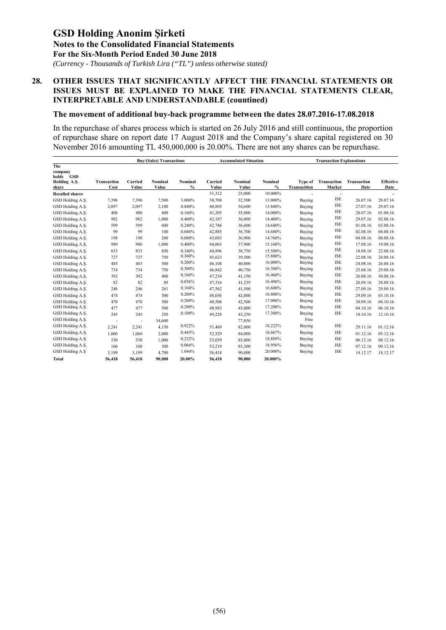*(Currency - Thousands of Turkish Lira ("TL") unless otherwise stated)*

### **28. OTHER ISSUES THAT SIGNIFICANTLY AFFECT THE FINANCIAL STATEMENTS OR ISSUES MUST BE EXPLAINED TO MAKE THE FINANCIAL STATEMENTS CLEAR, INTERPRETABLE AND UNDERSTANDABLE (countined)**

#### **The movement of additional buy-back programme between the dates 28.07.2016-17.08.2018**

In the repurchase of shares process which is started on 26 July 2016 and still continuous, the proportion of repurchase share on report date 17 August 2018 and the Company's share capital registered on 30 November 2016 amounting TL 450,000,000 is 20.00%. There are not any shares can be repurchase.

|                                                         |                            |                          | <b>Buy/(Sales) Transactions</b> |                          | <b>Accumulated Situation</b> |                  |                          | <b>Transaction Explanations</b> |                          |                     |                          |
|---------------------------------------------------------|----------------------------|--------------------------|---------------------------------|--------------------------|------------------------------|------------------|--------------------------|---------------------------------|--------------------------|---------------------|--------------------------|
| The<br>company<br>GSD<br>holds<br>Holding A.S.<br>share | <b>Transaction</b><br>Cost | Carried<br>Value         | Nominal<br>Value                | Nominal<br>$\frac{9}{6}$ | Carried<br>Value             | Nominal<br>Value | Nominal<br>$\frac{0}{0}$ | Type of<br>Transacition         | Transaction<br>Market    | Transaction<br>Date | <b>Effective</b><br>Date |
| <b>Recalled shares</b>                                  |                            |                          |                                 |                          | 31,312                       | 25,000           | 10.000%                  |                                 | $\overline{\phantom{a}}$ |                     |                          |
| GSD Holding A.S.                                        | 7,396                      | 7,396                    | 7,500                           | 3.000%                   | 38,708                       | 32,500           | 13.000%                  | Buying                          | ISE                      | 26.07.16            | 28.07.16                 |
| GSD Holding A.S.                                        | 2,097                      | 2,097                    | 2,100                           | 0.840%                   | 40,805                       | 34,600           | 13.840%                  | Buying                          | <b>ISE</b>               | 27.07.16            | 29.07.16                 |
| GSD Holding A.Ş.                                        | 400                        | 400                      | 400                             | 0.160%                   | 41,205                       | 35,000           | 14.000%                  | Buying                          | <b>ISE</b>               | 28.07.16            | 01.08.16                 |
| GSD Holding A.S.                                        | 982                        | 982                      | 1,000                           | 0.400%                   | 42,187                       | 36,000           | 14.400%                  | Buying                          | <b>ISE</b>               | 29.07.16            | 02.08.16                 |
| GSD Holding A.S.                                        | 599                        | 599                      | 600                             | 0.240%                   | 42,786                       | 36,600           | 14.640%                  | Buying                          | ISE                      | 01.08.16            | 03.08.16                 |
| GSD Holding A.Ş.                                        | 99                         | 99                       | 100                             | 0.040%                   | 42,885                       | 36,700           | 14.680%                  | Buying                          | <b>ISE</b>               | 02.08.16            | 04.08.16                 |
| GSD Holding A.S.                                        | 198                        | 198                      | 200                             | 0.080%                   | 43,083                       | 36,900           | 14.760%                  | Buying                          | ISE                      | 04.08.16            | 08.08.16                 |
| GSD Holding A.Ş.                                        | 980                        | 980                      | 1,000                           | 0.400%                   | 44,063                       | 37,900           | 15.160%                  | Buying                          | <b>ISE</b>               | 17.08.16            | 19.08.16                 |
| GSD Holding A.Ş.                                        | 833                        | 833                      | 850                             | 0.340%                   | 44,896                       | 38,750           | 15.500%                  | Buying                          | <b>ISE</b>               | 18.08.16            | 22.08.16                 |
| GSD Holding A.Ş.                                        | 727                        | 727                      | 750                             | 0.300%                   | 45,623                       | 39,500           | 15.800%                  | Buying                          | ISE                      | 22.08.16            | 24.08.16                 |
| GSD Holding A.S.                                        | 485                        | 485                      | 500                             | 0.200%                   | 46,108                       | 40,000           | 16.000%                  | Buying                          | ISE                      | 24.08.16            | 26.08.16                 |
| GSD Holding A.S.                                        | 734                        | 734                      | 750                             | 0.300%                   | 46,842                       | 40,750           | 16.300%                  | Buying                          | <b>ISE</b>               | 25.08.16            | 29.08.16                 |
| GSD Holding A.S.                                        | 392                        | 392                      | 400                             | 0.160%                   | 47,234                       | 41,150           | 16.460%                  | Buying                          | <b>ISE</b>               | 26.08.16            | 30.08.16                 |
| GSD Holding A.S.                                        | 82                         | 82                       | 89                              | 0.036%                   | 47,316                       | 41,239           | 16.496%                  | Buying                          | <b>ISE</b>               | 26.09.16            | 28.09.16                 |
| GSD Holding A.Ş.                                        | 246                        | 246                      | 261                             | 0.104%                   | 47,562                       | 41,500           | 16.600%                  | Buying                          | <b>ISE</b>               | 27.09.16            | 29.09.16                 |
| GSD Holding A.S.                                        | 474                        | 474                      | 500                             | 0.200%                   | 48,036                       | 42,000           | 16.800%                  | Buying                          | <b>ISE</b>               | 29.09.16            | 03.10.16                 |
| GSD Holding A.S.                                        | 470                        | 470                      | 500                             | 0.200%                   | 48,506                       | 42,500           | 17.000%                  | Buying                          | <b>ISE</b>               | 30.09.16            | 04.10.16                 |
| GSD Holding A.S.                                        | 477                        | 477                      | 500                             | 0.200%                   | 48,983                       | 43,000           | 17.200%                  | Buying                          | <b>ISE</b>               | 04.10.16            | 06.10.16                 |
| GSD Holding A.S.                                        | 245                        | 245                      | 250                             | 0.100%                   | 49,228                       | 43,250           | 17.300%                  | Buying                          | <b>ISE</b>               | 10.10.16            | 12.10.16                 |
| GSD Holding A.S.                                        | $\overline{a}$             | $\overline{\phantom{a}}$ | 34,600                          |                          |                              | 77,850           |                          | Free                            |                          |                     |                          |
| GSD Holding A.S.                                        | 2,241                      | 2,241                    | 4,150                           | 0.922%                   | 51,469                       | 82,000           | 18.222%                  | Buying                          | <b>ISE</b>               | 29.11.16            | 01.12.16                 |
| GSD Holding A.S.                                        | 1,060                      | 1,060                    | 2,000                           | 0.445%                   | 52,529                       | 84,000           | 18.667%                  | Buying                          | <b>ISE</b>               | 01.12.16            | 05.12.16                 |
| GSD Holding A.Ş.                                        | 530                        | 530                      | 1,000                           | 0.222%                   | 53,059                       | 85,000           | 18.889%                  | Buying                          | <b>ISE</b>               | 06.12.16            | 08.12.16                 |
| GSD Holding A.Ş.                                        | 160                        | 160                      | 300                             | 0.066%                   | 53,219                       | 85,300           | 18.956%                  | Buying                          | <b>ISE</b>               | 07.12.16            | 09.12.16                 |
| GSD Holding A.S                                         | 3.199                      | 3.199                    | 4.700                           | 1.044%                   | 56,418                       | 90,000           | 20.000%                  | Buying                          | <b>ISE</b>               | 14.12.17            | 18.12.17                 |
| Total                                                   | 56,418                     | 56.418                   | 90.000                          | 20.00%                   | 56,418                       | 90,000           | 20.000%                  |                                 |                          |                     |                          |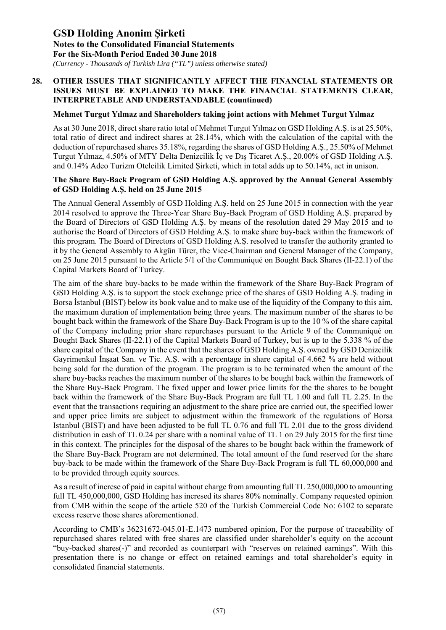*(Currency - Thousands of Turkish Lira ("TL") unless otherwise stated)*

### **28. OTHER ISSUES THAT SIGNIFICANTLY AFFECT THE FINANCIAL STATEMENTS OR ISSUES MUST BE EXPLAINED TO MAKE THE FINANCIAL STATEMENTS CLEAR, INTERPRETABLE AND UNDERSTANDABLE (countinued)**

#### **Mehmet Turgut Yılmaz and Shareholders taking joint actions with Mehmet Turgut Yılmaz**

As at 30 June 2018, direct share ratio total of Mehmet Turgut Yılmaz on GSD Holding A.Ş. is at 25.50%, total ratio of direct and indirect shares at 28.14%, which with the calculation of the capital with the deduction of repurchased shares 35.18%, regarding the shares of GSD Holding A.Ş., 25.50% of Mehmet Turgut Yılmaz, 4.50% of MTY Delta Denizcilik İç ve Dış Ticaret A.Ş., 20.00% of GSD Holding A.Ş. and 0.14% Adeo Turizm Otelcilik Limited Şirketi, which in total adds up to 50.14%, act in unison.

#### **The Share Buy-Back Program of GSD Holding A.Ş. approved by the Annual General Assembly of GSD Holding A.Ş. held on 25 June 2015**

The Annual General Assembly of GSD Holding A.Ş. held on 25 June 2015 in connection with the year 2014 resolved to approve the Three-Year Share Buy-Back Program of GSD Holding A.Ş. prepared by the Board of Directors of GSD Holding A.Ş. by means of the resolution dated 29 May 2015 and to authorise the Board of Directors of GSD Holding A.Ş. to make share buy-back within the framework of this program. The Board of Directors of GSD Holding A.Ş. resolved to transfer the authority granted to it by the General Assembly to Akgün Türer, the Vice-Chairman and General Manager of the Company, on 25 June 2015 pursuant to the Article 5/1 of the Communiqué on Bought Back Shares (II-22.1) of the Capital Markets Board of Turkey.

The aim of the share buy-backs to be made within the framework of the Share Buy-Back Program of GSD Holding A.Ş. is to support the stock exchange price of the shares of GSD Holding A.Ş. trading in Borsa İstanbul (BIST) below its book value and to make use of the liquidity of the Company to this aim, the maximum duration of implementation being three years. The maximum number of the shares to be bought back within the framework of the Share Buy-Back Program is up to the 10 % of the share capital of the Company including prior share repurchases pursuant to the Article 9 of the Communiqué on Bought Back Shares (II-22.1) of the Capital Markets Board of Turkey, but is up to the 5.338 % of the share capital of the Company in the event that the shares of GSD Holding A.Ş. owned by GSD Denizcilik Gayrimenkul İnşaat San. ve Tic. A.Ş. with a percentage in share capital of 4.662 % are held without being sold for the duration of the program. The program is to be terminated when the amount of the share buy-backs reaches the maximum number of the shares to be bought back within the framework of the Share Buy-Back Program. The fixed upper and lower price limits for the the shares to be bought back within the framework of the Share Buy-Back Program are full TL 1.00 and full TL 2.25. In the event that the transactions requiring an adjustment to the share price are carried out, the specified lower and upper price limits are subject to adjustment within the framework of the regulations of Borsa Istanbul (BIST) and have been adjusted to be full TL 0.76 and full TL 2.01 due to the gross dividend distribution in cash of TL 0.24 per share with a nominal value of TL 1 on 29 July 2015 for the first time in this context. The principles for the disposal of the shares to be bought back within the framework of the Share Buy-Back Program are not determined. The total amount of the fund reserved for the share buy-back to be made within the framework of the Share Buy-Back Program is full TL 60,000,000 and to be provided through equity sources.

As a result of increse of paid in capital without charge from amounting full TL 250,000,000 to amounting full TL 450,000,000, GSD Holding has incresed its shares 80% nominally. Company requested opinion from CMB within the scope of the article 520 of the Turkish Commercial Code No: 6102 to separate excess reserve those shares aforementioned.

According to CMB's 36231672-045.01-E.1473 numbered opinion, For the purpose of traceability of repurchased shares related with free shares are classified under shareholder's equity on the account "buy-backed shares(-)" and recorded as counterpart with "reserves on retained earnings". With this presentation there is no change or effect on retained earnings and total shareholder's equity in consolidated financial statements.